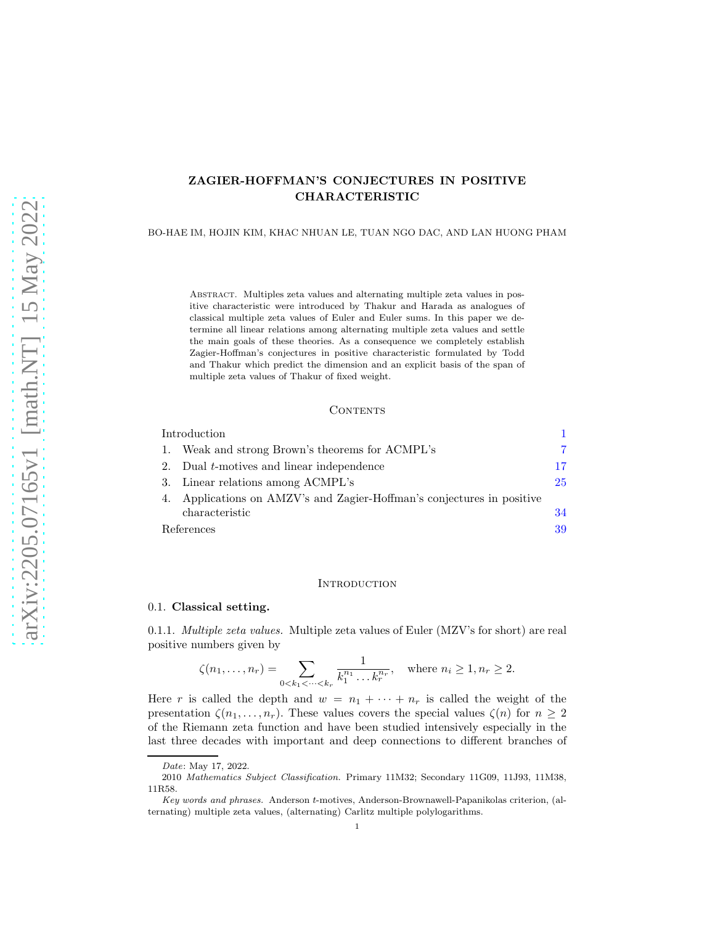# ZAGIER-HOFFMAN'S CONJECTURES IN POSITIVE CHARACTERISTIC

BO-HAE IM, HOJIN KIM, KHAC NHUAN LE, TUAN NGO DAC, AND LAN HUONG PHAM

ABSTRACT. Multiples zeta values and alternating multiple zeta values in positive characteristic were introduced by Thakur and Harada as analogues of classical multiple zeta values of Euler and Euler sums. In this paper we determine all linear relations among alternating multiple zeta values and settle the main goals of these theories. As a consequence we completely establish Zagier-Hoffman's conjectures in positive characteristic formulated by Todd and Thakur which predict the dimension and an explicit basis of the span of multiple zeta values of Thakur of fixed weight.

#### **CONTENTS**

| Introduction |                                                                        |    |
|--------------|------------------------------------------------------------------------|----|
|              | 1. Weak and strong Brown's theorems for ACMPL's                        | 7  |
|              | 2. Dual <i>t</i> -motives and linear independence                      | 17 |
|              | 3. Linear relations among ACMPL's                                      | 25 |
|              | 4. Applications on AMZV's and Zagier-Hoffman's conjectures in positive |    |
|              | characteristic                                                         | 34 |
|              | References                                                             |    |

## <span id="page-0-0"></span>**INTRODUCTION**

#### 0.1. Classical setting.

0.1.1. Multiple zeta values. Multiple zeta values of Euler (MZV's for short) are real positive numbers given by

$$
\zeta(n_1, ..., n_r) = \sum_{0 < k_1 < \dots < k_r} \frac{1}{k_1^{n_1} \dots k_r^{n_r}}, \quad \text{where } n_i \ge 1, n_r \ge 2.
$$

Here r is called the depth and  $w = n_1 + \cdots + n_r$  is called the weight of the presentation  $\zeta(n_1,\ldots,n_r)$ . These values covers the special values  $\zeta(n)$  for  $n \geq 2$ of the Riemann zeta function and have been studied intensively especially in the last three decades with important and deep connections to different branches of

*Date*: May 17, 2022.

<sup>2010</sup> *Mathematics Subject Classification.* Primary 11M32; Secondary 11G09, 11J93, 11M38, 11R58.

*Key words and phrases.* Anderson t-motives, Anderson-Brownawell-Papanikolas criterion, (alternating) multiple zeta values, (alternating) Carlitz multiple polylogarithms.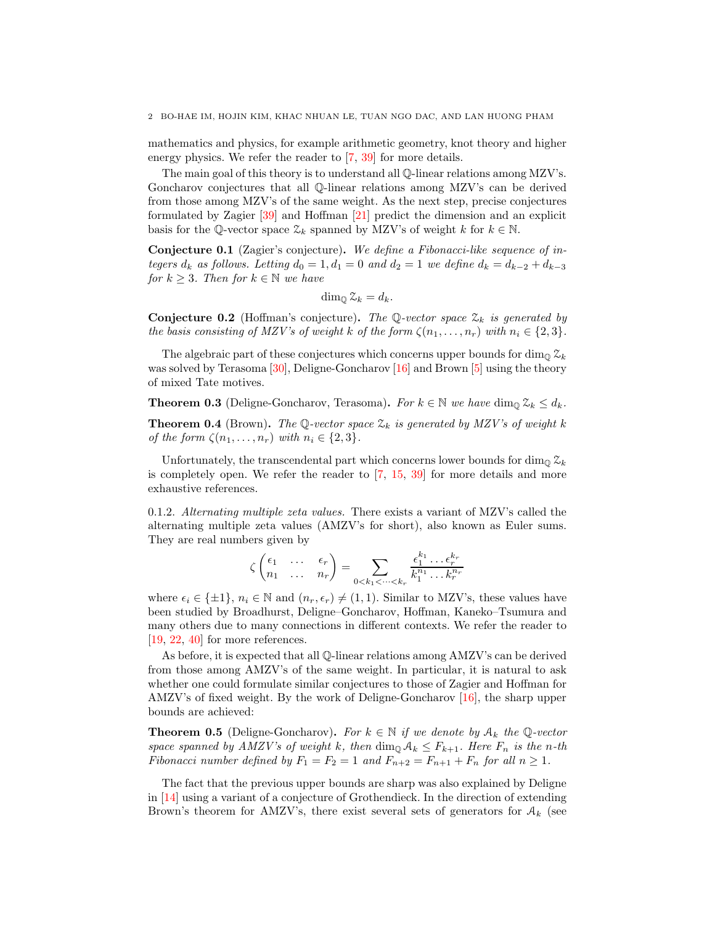mathematics and physics, for example arithmetic geometry, knot theory and higher energy physics. We refer the reader to [\[7,](#page-38-1) [39\]](#page-40-0) for more details.

The main goal of this theory is to understand all Q-linear relations among MZV's. Goncharov conjectures that all Q-linear relations among MZV's can be derived from those among MZV's of the same weight. As the next step, precise conjectures formulated by Zagier [\[39\]](#page-40-0) and Hoffman [\[21\]](#page-39-0) predict the dimension and an explicit basis for the Q-vector space  $\mathcal{Z}_k$  spanned by MZV's of weight k for  $k \in \mathbb{N}$ .

Conjecture 0.1 (Zagier's conjecture). We define a Fibonacci-like sequence of integers  $d_k$  as follows. Letting  $d_0 = 1, d_1 = 0$  and  $d_2 = 1$  we define  $d_k = d_{k-2} + d_{k-3}$ for  $k \geq 3$ . Then for  $k \in \mathbb{N}$  we have

$$
\dim_{\mathbb{Q}} \mathcal{Z}_k = d_k.
$$

**Conjecture 0.2** (Hoffman's conjecture). The Q-vector space  $\mathcal{Z}_k$  is generated by the basis consisting of MZV's of weight k of the form  $\zeta(n_1, \ldots, n_r)$  with  $n_i \in \{2, 3\}$ .

The algebraic part of these conjectures which concerns upper bounds for  $\dim_{\mathbb{Q}} \mathcal{Z}_k$ was solved by Terasoma [\[30\]](#page-39-1), Deligne-Goncharov [\[16\]](#page-39-2) and Brown [\[5\]](#page-38-2) using the theory of mixed Tate motives.

**Theorem 0.3** (Deligne-Goncharov, Terasoma). For  $k \in \mathbb{N}$  we have  $\dim_{\mathbb{Q}} \mathcal{Z}_k \leq d_k$ .

**Theorem 0.4** (Brown). The Q-vector space  $\mathcal{Z}_k$  is generated by MZV's of weight k of the form  $\zeta(n_1,\ldots,n_r)$  with  $n_i \in \{2,3\}$ .

Unfortunately, the transcendental part which concerns lower bounds for dim<sub> $\Omega$ </sub>  $\mathcal{Z}_k$ is completely open. We refer the reader to [\[7,](#page-38-1) [15,](#page-39-3) [39\]](#page-40-0) for more details and more exhaustive references.

0.1.2. Alternating multiple zeta values. There exists a variant of MZV's called the alternating multiple zeta values (AMZV's for short), also known as Euler sums. They are real numbers given by

$$
\zeta \begin{pmatrix} \epsilon_1 & \dots & \epsilon_r \\ n_1 & \dots & n_r \end{pmatrix} = \sum_{0 < k_1 < \dots < k_r} \frac{\epsilon_1^{k_1} \dots \epsilon_r^{k_r}}{k_1^{n_1} \dots k_r^{n_r}}
$$

where  $\epsilon_i \in {\pm 1}$ ,  $n_i \in \mathbb{N}$  and  $(n_r, \epsilon_r) \neq (1, 1)$ . Similar to MZV's, these values have been studied by Broadhurst, Deligne–Goncharov, Hoffman, Kaneko–Tsumura and many others due to many connections in different contexts. We refer the reader to [\[19,](#page-39-4) [22,](#page-39-5) [40\]](#page-40-1) for more references.

As before, it is expected that all Q-linear relations among AMZV's can be derived from those among AMZV's of the same weight. In particular, it is natural to ask whether one could formulate similar conjectures to those of Zagier and Hoffman for AMZV's of fixed weight. By the work of Deligne-Goncharov [\[16\]](#page-39-2), the sharp upper bounds are achieved:

**Theorem 0.5** (Deligne-Goncharov). For  $k \in \mathbb{N}$  if we denote by  $A_k$  the Q-vector space spanned by AMZV's of weight k, then  $\dim_{\mathbb{Q}} A_k \leq F_{k+1}$ . Here  $F_n$  is the n-th Fibonacci number defined by  $F_1 = F_2 = 1$  and  $F_{n+2} = F_{n+1} + F_n$  for all  $n \ge 1$ .

The fact that the previous upper bounds are sharp was also explained by Deligne in [\[14\]](#page-39-6) using a variant of a conjecture of Grothendieck. In the direction of extending Brown's theorem for AMZV's, there exist several sets of generators for  $A_k$  (see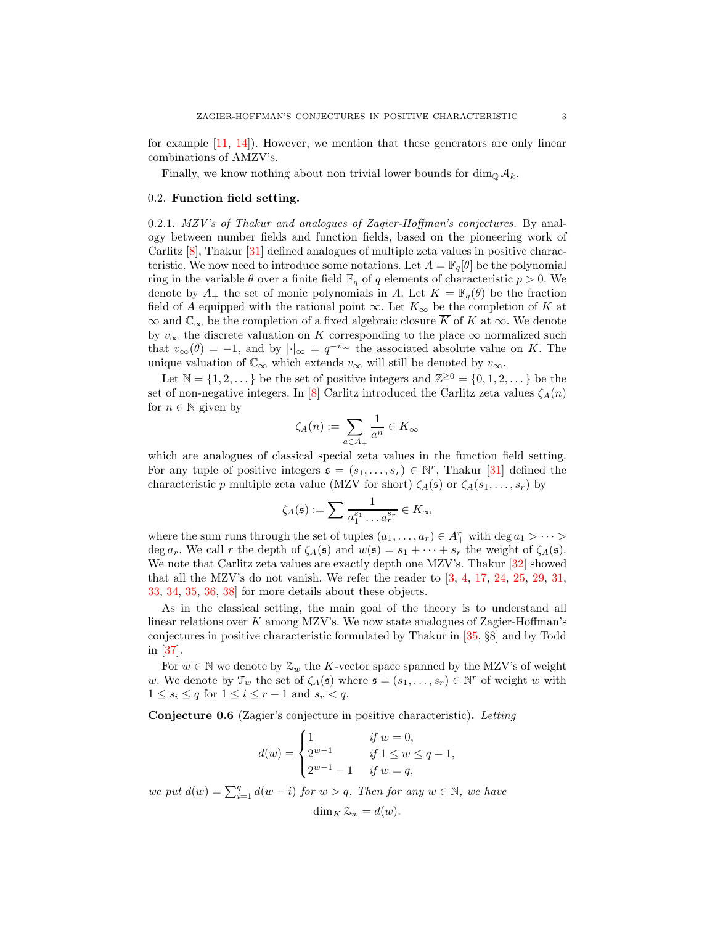for example  $[11, 14]$  $[11, 14]$ . However, we mention that these generators are only linear combinations of AMZV's.

<span id="page-2-0"></span>Finally, we know nothing about non trivial lower bounds for  $\dim_{\mathbb{Q}} A_k$ .

#### <span id="page-2-2"></span>0.2. Function field setting.

0.2.1. MZV's of Thakur and analogues of Zagier-Hoffman's conjectures. By analogy between number fields and function fields, based on the pioneering work of Carlitz [\[8\]](#page-39-8), Thakur [\[31\]](#page-39-9) defined analogues of multiple zeta values in positive characteristic. We now need to introduce some notations. Let  $A = \mathbb{F}_q[\theta]$  be the polynomial ring in the variable  $\theta$  over a finite field  $\mathbb{F}_q$  of q elements of characteristic  $p > 0$ . We denote by  $A_+$  the set of monic polynomials in A. Let  $K = \mathbb{F}_q(\theta)$  be the fraction field of A equipped with the rational point  $\infty$ . Let  $K_{\infty}$  be the completion of K at  $\infty$  and  $\mathbb{C}_{\infty}$  be the completion of a fixed algebraic closure  $\overline{K}$  of K at  $\infty$ . We denote by  $v_{\infty}$  the discrete valuation on K corresponding to the place  $\infty$  normalized such that  $v_{\infty}(\theta) = -1$ , and by  $|\cdot|_{\infty} = q^{-v_{\infty}}$  the associated absolute value on K. The unique valuation of  $\mathbb{C}_{\infty}$  which extends  $v_{\infty}$  will still be denoted by  $v_{\infty}.$ 

Let  $\mathbb{N} = \{1, 2, \dots\}$  be the set of positive integers and  $\mathbb{Z}^{\geq 0} = \{0, 1, 2, \dots\}$  be the set of non-negative integers. In [\[8\]](#page-39-8) Carlitz introduced the Carlitz zeta values  $\zeta_A(n)$ for  $n \in \mathbb{N}$  given by

$$
\zeta_A(n):=\sum_{a\in A_+}\frac{1}{a^n}\in K_\infty
$$

which are analogues of classical special zeta values in the function field setting. For any tuple of positive integers  $\mathfrak{s} = (s_1, \ldots, s_r) \in \mathbb{N}^r$ , Thakur [\[31\]](#page-39-9) defined the characteristic p multiple zeta value (MZV for short)  $\zeta_A(\mathfrak{s})$  or  $\zeta_A(s_1,\ldots,s_r)$  by

$$
\zeta_A(\mathfrak{s}) := \sum \frac{1}{a_1^{s_1} \dots a_r^{s_r}} \in K_\infty
$$

where the sum runs through the set of tuples  $(a_1, \ldots, a_r) \in A^r_+$  with  $\deg a_1 > \cdots >$ deg  $a_r$ . We call r the depth of  $\zeta_A(\mathfrak{s})$  and  $w(\mathfrak{s}) = s_1 + \cdots + s_r$  the weight of  $\zeta_A(\mathfrak{s})$ . We note that Carlitz zeta values are exactly depth one MZV's. Thakur [\[32\]](#page-39-10) showed that all the MZV's do not vanish. We refer the reader to  $[3, 4, 17, 24, 25, 29, 31,$  $[3, 4, 17, 24, 25, 29, 31,$  $[3, 4, 17, 24, 25, 29, 31,$  $[3, 4, 17, 24, 25, 29, 31,$  $[3, 4, 17, 24, 25, 29, 31,$  $[3, 4, 17, 24, 25, 29, 31,$  $[3, 4, 17, 24, 25, 29, 31,$  $[3, 4, 17, 24, 25, 29, 31,$  $[3, 4, 17, 24, 25, 29, 31,$  $[3, 4, 17, 24, 25, 29, 31,$  $[3, 4, 17, 24, 25, 29, 31,$  $[3, 4, 17, 24, 25, 29, 31,$ [33,](#page-39-15) [34,](#page-39-16) [35,](#page-39-17) [36,](#page-40-2) [38\]](#page-40-3) for more details about these objects.

As in the classical setting, the main goal of the theory is to understand all linear relations over  $K$  among MZV's. We now state analogues of Zagier-Hoffman's conjectures in positive characteristic formulated by Thakur in [\[35,](#page-39-17) §8] and by Todd in [\[37\]](#page-40-4).

For  $w \in \mathbb{N}$  we denote by  $\mathcal{Z}_w$  the K-vector space spanned by the MZV's of weight w. We denote by  $\mathcal{T}_w$  the set of  $\zeta_A(\mathfrak{s})$  where  $\mathfrak{s} = (s_1, \ldots, s_r) \in \mathbb{N}^r$  of weight w with  $1 \leq s_i \leq q$  for  $1 \leq i \leq r-1$  and  $s_r < q$ .

<span id="page-2-1"></span>Conjecture 0.6 (Zagier's conjecture in positive characteristic). Letting

$$
d(w) = \begin{cases} 1 & \text{if } w = 0, \\ 2^{w-1} & \text{if } 1 \le w \le q-1, \\ 2^{w-1} - 1 & \text{if } w = q, \end{cases}
$$

we put  $d(w) = \sum_{i=1}^{q} d(w - i)$  for  $w > q$ . Then for any  $w \in \mathbb{N}$ , we have  $\dim_K \mathcal{Z}_w = d(w).$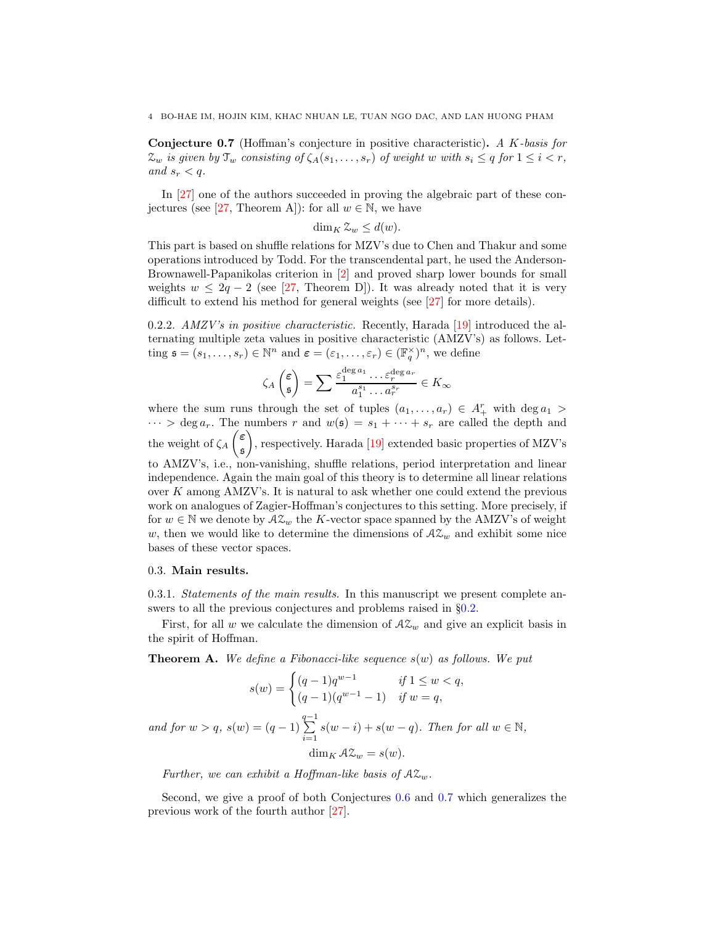<span id="page-3-0"></span>Conjecture 0.7 (Hoffman's conjecture in positive characteristic). A K-basis for  $\mathcal{Z}_w$  is given by  $\mathcal{T}_w$  consisting of  $\zeta_A(s_1,\ldots,s_r)$  of weight w with  $s_i \leq q$  for  $1 \leq i < r$ , and  $s_r < q$ .

In [\[27\]](#page-39-18) one of the authors succeeded in proving the algebraic part of these con-jectures (see [\[27,](#page-39-18) Theorem A]): for all  $w \in \mathbb{N}$ , we have

$$
\dim_K \mathcal{Z}_w \le d(w).
$$

This part is based on shuffle relations for MZV's due to Chen and Thakur and some operations introduced by Todd. For the transcendental part, he used the Anderson-Brownawell-Papanikolas criterion in [\[2\]](#page-38-5) and proved sharp lower bounds for small weights  $w \leq 2q - 2$  (see [\[27,](#page-39-18) Theorem D]). It was already noted that it is very difficult to extend his method for general weights (see [\[27\]](#page-39-18) for more details).

0.2.2.  $AMZV's$  in positive characteristic. Recently, Harada [\[19\]](#page-39-4) introduced the alternating multiple zeta values in positive characteristic (AMZV's) as follows. Letting  $\mathfrak{s} = (s_1, \ldots, s_r) \in \mathbb{N}^n$  and  $\boldsymbol{\varepsilon} = (\varepsilon_1, \ldots, \varepsilon_r) \in (\mathbb{F}_q^{\times})^n$ , we define

$$
\zeta_A\begin{pmatrix} \varepsilon \\ \mathfrak{s} \end{pmatrix} = \sum \frac{\varepsilon_1^{\deg a_1} \dots \varepsilon_r^{\deg a_r}}{a_1^{s_1} \dots a_r^{s_r}} \in K_\infty
$$

where the sum runs through the set of tuples  $(a_1, \ldots, a_r) \in A^r_+$  with  $\deg a_1 >$  $\cdots$  > deg  $a_r$ . The numbers r and  $w(\mathfrak{s}) = s_1 + \cdots + s_r$  are called the depth and the weight of  $\zeta_A$  ε s  $\overline{\phantom{0}}$ , respectively. Harada [\[19\]](#page-39-4) extended basic properties of MZV's to AMZV's, i.e., non-vanishing, shuffle relations, period interpretation and linear independence. Again the main goal of this theory is to determine all linear relations over K among AMZV's. It is natural to ask whether one could extend the previous work on analogues of Zagier-Hoffman's conjectures to this setting. More precisely, if for  $w \in \mathbb{N}$  we denote by  $A\mathcal{Z}_w$  the K-vector space spanned by the AMZV's of weight w, then we would like to determine the dimensions of  $A\mathcal{Z}_w$  and exhibit some nice bases of these vector spaces.

## 0.3. Main results.

and for  $w >$ 

0.3.1. Statements of the main results. In this manuscript we present complete answers to all the previous conjectures and problems raised in §[0.2.](#page-2-0)

First, for all w we calculate the dimension of  $A\mathcal{Z}_w$  and give an explicit basis in the spirit of Hoffman.

<span id="page-3-1"></span>**Theorem A.** We define a Fibonacci-like sequence  $s(w)$  as follows. We put

$$
s(w) = \begin{cases} (q-1)q^{w-1} & \text{if } 1 \le w < q, \\ (q-1)(q^{w-1}-1) & \text{if } w = q, \end{cases}
$$
  

$$
g, s(w) = (q-1) \sum_{i=1}^{q-1} s(w-i) + s(w-q). \text{ Then for all } w \in \mathbb{N},
$$

 $\dim_K A\mathcal{Z}_w = s(w).$ 

Further, we can exhibit a Hoffman-like basis of  $A\mathcal{Z}_w$ .

Second, we give a proof of both Conjectures [0.6](#page-2-1) and [0.7](#page-3-0) which generalizes the previous work of the fourth author [\[27\]](#page-39-18).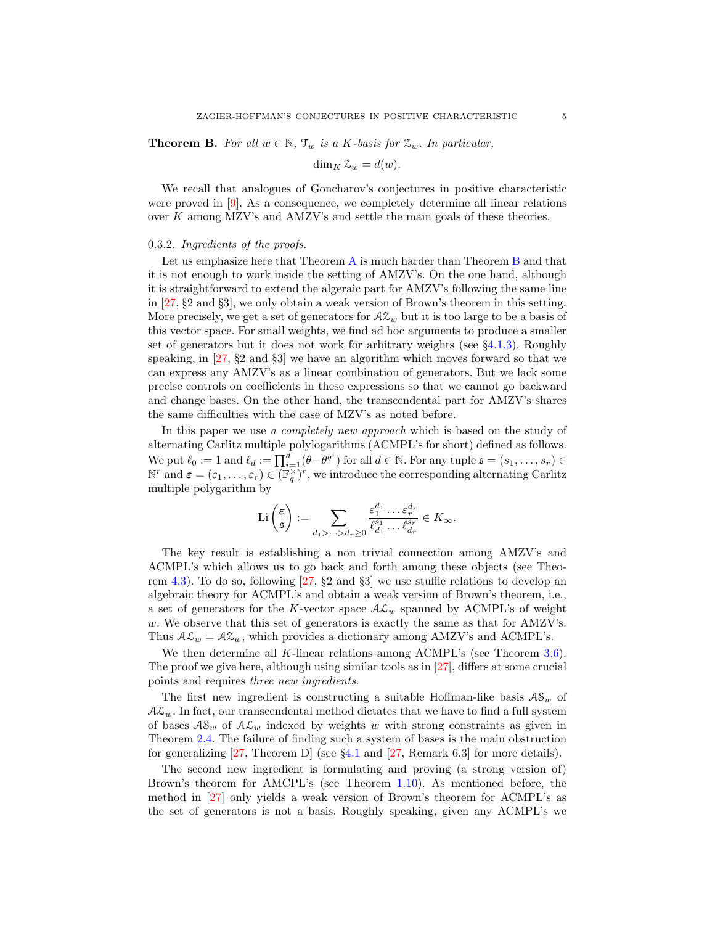<span id="page-4-0"></span>**Theorem B.** For all  $w \in \mathbb{N}$ ,  $\mathcal{T}_w$  is a K-basis for  $\mathcal{Z}_w$ . In particular,

$$
\dim_K \mathcal{Z}_w = d(w).
$$

We recall that analogues of Goncharov's conjectures in positive characteristic were proved in [\[9\]](#page-39-19). As a consequence, we completely determine all linear relations over K among MZV's and AMZV's and settle the main goals of these theories.

#### 0.3.2. Ingredients of the proofs.

Let us emphasize here that Theorem [A](#page-3-1) is much harder than Theorem [B](#page-4-0) and that it is not enough to work inside the setting of AMZV's. On the one hand, although it is straightforward to extend the algeraic part for AMZV's following the same line in [\[27,](#page-39-18) §2 and §3], we only obtain a weak version of Brown's theorem in this setting. More precisely, we get a set of generators for  $A\mathcal{Z}_w$  but it is too large to be a basis of this vector space. For small weights, we find ad hoc arguments to produce a smaller set of generators but it does not work for arbitrary weights (see  $\S 4.1.3$ ). Roughly speaking, in [\[27,](#page-39-18) §2 and §3] we have an algorithm which moves forward so that we can express any AMZV's as a linear combination of generators. But we lack some precise controls on coefficients in these expressions so that we cannot go backward and change bases. On the other hand, the transcendental part for AMZV's shares the same difficulties with the case of MZV's as noted before.

In this paper we use a completely new approach which is based on the study of alternating Carlitz multiple polylogarithms (ACMPL's for short) defined as follows. We put  $\ell_0 := 1$  and  $\ell_d := \prod_{i=1}^d (\theta - \theta^{q^i})$  for all  $d \in \mathbb{N}$ . For any tuple  $\mathfrak{s} = (s_1, \ldots, s_r) \in$  $\mathbb{N}^r$  and  $\boldsymbol{\varepsilon} = (\varepsilon_1, \ldots, \varepsilon_r) \in (\mathbb{F}_q^{\times})^r$ , we introduce the corresponding alternating Carlitz multiple polygarithm by

$$
\mathrm{Li}\begin{pmatrix} \varepsilon \\ \mathfrak{s} \end{pmatrix} := \sum_{d_1 > \dots > d_r \geq 0} \frac{\varepsilon_1^{d_1} \dots \varepsilon_r^{d_r}}{\ell_{d_1}^{s_1} \dots \ell_{d_r}^{s_r}} \in K_\infty.
$$

The key result is establishing a non trivial connection among AMZV's and ACMPL's which allows us to go back and forth among these objects (see Theorem [4.3\)](#page-35-1). To do so, following [\[27,](#page-39-18) §2 and §3] we use stuffle relations to develop an algebraic theory for ACMPL's and obtain a weak version of Brown's theorem, i.e., a set of generators for the K-vector space  $A\mathcal{L}_w$  spanned by ACMPL's of weight w. We observe that this set of generators is exactly the same as that for AMZV's. Thus  $A\mathcal{L}_w = A\mathcal{Z}_w$ , which provides a dictionary among AMZV's and ACMPL's.

We then determine all K-linear relations among ACMPL's (see Theorem [3.6\)](#page-26-0). The proof we give here, although using similar tools as in [\[27\]](#page-39-18), differs at some crucial points and requires three new ingredients.

The first new ingredient is constructing a suitable Hoffman-like basis  $A\mathcal{S}_w$  of  $A\mathcal{L}_w$ . In fact, our transcendental method dictates that we have to find a full system of bases  $A\mathcal{S}_w$  of  $A\mathcal{L}_w$  indexed by weights w with strong constraints as given in Theorem [2.4.](#page-20-0) The failure of finding such a system of bases is the main obstruction for generalizing [\[27,](#page-39-18) Theorem D] (see §[4.1](#page-33-1) and [\[27,](#page-39-18) Remark 6.3] for more details).

The second new ingredient is formulating and proving (a strong version of) Brown's theorem for AMCPL's (see Theorem [1.10\)](#page-16-1). As mentioned before, the method in [\[27\]](#page-39-18) only yields a weak version of Brown's theorem for ACMPL's as the set of generators is not a basis. Roughly speaking, given any ACMPL's we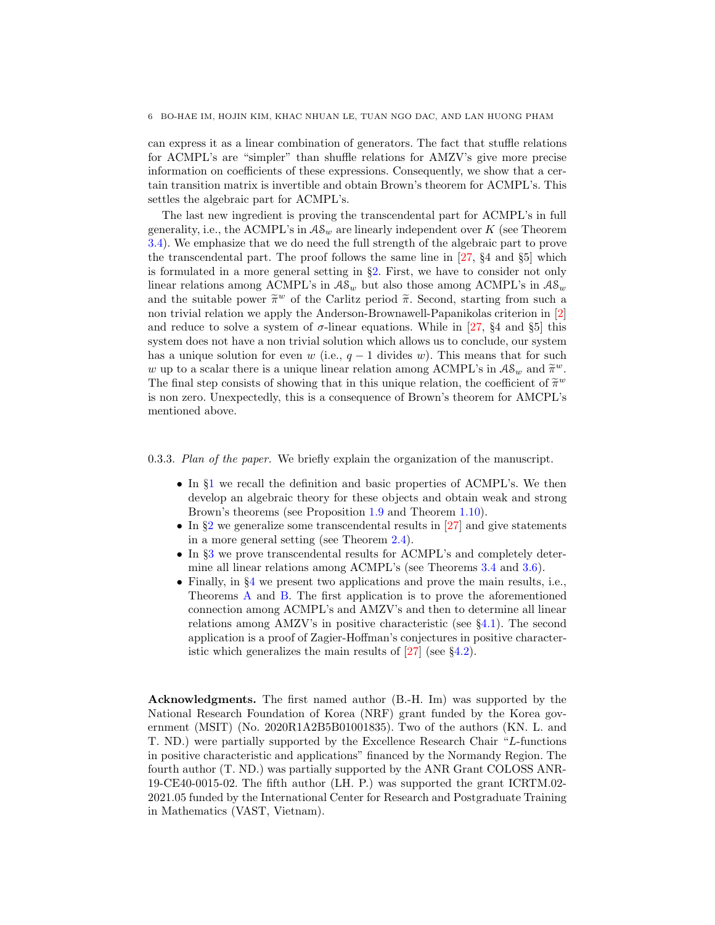can express it as a linear combination of generators. The fact that stuffle relations for ACMPL's are "simpler" than shuffle relations for AMZV's give more precise information on coefficients of these expressions. Consequently, we show that a certain transition matrix is invertible and obtain Brown's theorem for ACMPL's. This settles the algebraic part for ACMPL's.

The last new ingredient is proving the transcendental part for ACMPL's in full generality, i.e., the ACMPL's in  $AS_w$  are linearly independent over K (see Theorem [3.4\)](#page-26-1). We emphasize that we do need the full strength of the algebraic part to prove the transcendental part. The proof follows the same line in [\[27,](#page-39-18) §4 and §5] which is formulated in a more general setting in §[2.](#page-16-0) First, we have to consider not only linear relations among ACMPL's in  $AS_w$  but also those among ACMPL's in  $AS_w$ and the suitable power  $\tilde{\pi}^w$  of the Carlitz period  $\tilde{\pi}$ . Second, starting from such a non trivial relation we apply the Anderson-Brownawell-Papanikolas criterion in [\[2\]](#page-38-5) and reduce to solve a system of  $\sigma$ -linear equations. While in [\[27,](#page-39-18) §4 and §5] this system does not have a non trivial solution which allows us to conclude, our system has a unique solution for even w (i.e.,  $q - 1$  divides w). This means that for such w up to a scalar there is a unique linear relation among ACMPL's in  $\mathcal{A}\mathcal{S}_w$  and  $\widetilde{\pi}^w$ .<br>The final star consists of sharing that in this unique valuation, the so fisient of  $\widetilde{\approx}^w$ . The final step consists of showing that in this unique relation, the coefficient of  $\tilde{\pi}^w$ is non zero. Unexpectedly, this is a consequence of Brown's theorem for AMCPL's mentioned above.

0.3.3. Plan of the paper. We briefly explain the organization of the manuscript.

- In §[1](#page-6-0) we recall the definition and basic properties of ACMPL's. We then develop an algebraic theory for these objects and obtain weak and strong Brown's theorems (see Proposition [1.9](#page-15-0) and Theorem [1.10\)](#page-16-1).
- In  $\S2$  $\S2$  we generalize some transcendental results in [\[27\]](#page-39-18) and give statements in a more general setting (see Theorem [2.4\)](#page-20-0).
- In §[3](#page-24-0) we prove transcendental results for ACMPL's and completely determine all linear relations among ACMPL's (see Theorems [3.4](#page-26-1) and [3.6\)](#page-26-0).
- Finally, in §[4](#page-33-0) we present two applications and prove the main results, i.e., Theorems [A](#page-3-1) and [B.](#page-4-0) The first application is to prove the aforementioned connection among ACMPL's and AMZV's and then to determine all linear relations among AMZV's in positive characteristic (see §[4.1\)](#page-33-1). The second application is a proof of Zagier-Hoffman's conjectures in positive characteristic which generalizes the main results of [\[27\]](#page-39-18) (see §[4.2\)](#page-38-6).

Acknowledgments. The first named author (B.-H. Im) was supported by the National Research Foundation of Korea (NRF) grant funded by the Korea government (MSIT) (No. 2020R1A2B5B01001835). Two of the authors (KN. L. and T. ND.) were partially supported by the Excellence Research Chair "L-functions in positive characteristic and applications" financed by the Normandy Region. The fourth author (T. ND.) was partially supported by the ANR Grant COLOSS ANR-19-CE40-0015-02. The fifth author (LH. P.) was supported the grant ICRTM.02- 2021.05 funded by the International Center for Research and Postgraduate Training in Mathematics (VAST, Vietnam).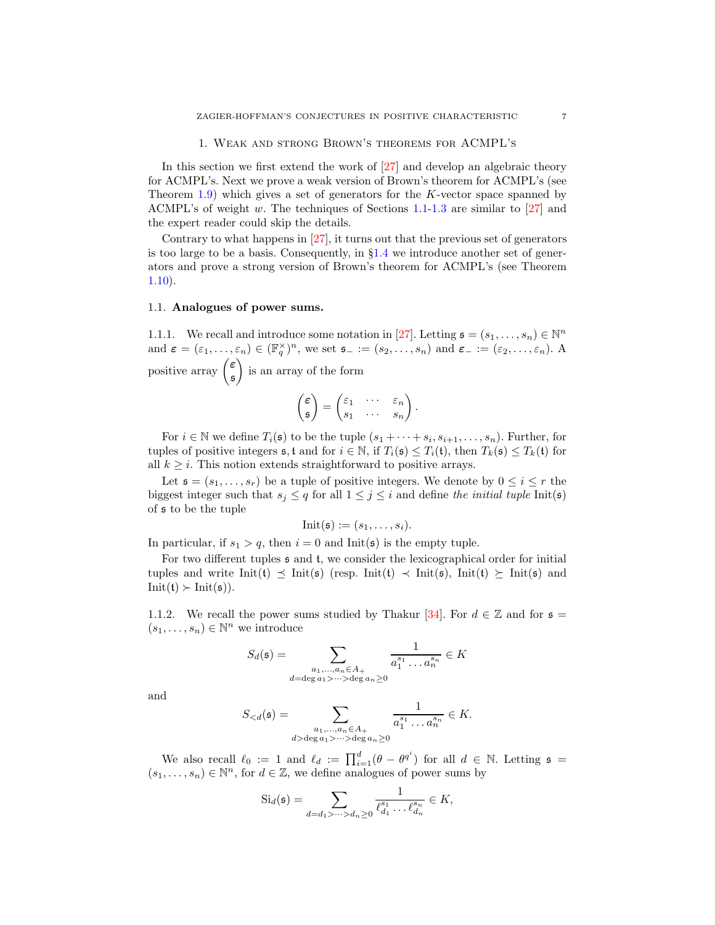<span id="page-6-0"></span>In this section we first extend the work of  $[27]$  and develop an algebraic theory for ACMPL's. Next we prove a weak version of Brown's theorem for ACMPL's (see Theorem [1.9\)](#page-15-0) which gives a set of generators for the  $K$ -vector space spanned by ACMPL's of weight w. The techniques of Sections [1.1](#page-6-1)[-1.3](#page-12-0) are similar to [\[27\]](#page-39-18) and the expert reader could skip the details.

Contrary to what happens in [\[27\]](#page-39-18), it turns out that the previous set of generators is too large to be a basis. Consequently, in  $\S1.4$  $\S1.4$  we introduce another set of generators and prove a strong version of Brown's theorem for ACMPL's (see Theorem [1.10\)](#page-16-1).

## <span id="page-6-1"></span>1.1. Analogues of power sums.

1.1.1. We recall and introduce some notation in [\[27\]](#page-39-18). Letting  $\mathfrak{s} = (s_1, \ldots, s_n) \in \mathbb{N}^n$ and  $\boldsymbol{\varepsilon} = (\varepsilon_1, \ldots, \varepsilon_n) \in (\mathbb{F}_q^{\times})^n$ , we set  $\mathfrak{s}_- := (s_2, \ldots, s_n)$  and  $\boldsymbol{\varepsilon}_- := (\varepsilon_2, \ldots, \varepsilon_n)$ . A positive array  $\begin{pmatrix} \varepsilon \\ z \end{pmatrix}$ s  $\setminus$ is an array of the form

$$
\begin{pmatrix} \varepsilon \\ \mathfrak{s} \end{pmatrix} = \begin{pmatrix} \varepsilon_1 & \cdots & \varepsilon_n \\ s_1 & \cdots & s_n \end{pmatrix}.
$$

For  $i \in \mathbb{N}$  we define  $T_i(\mathfrak{s})$  to be the tuple  $(s_1 + \cdots + s_i, s_{i+1}, \ldots, s_n)$ . Further, for tuples of positive integers  $\mathfrak{s}$ , t and for  $i \in \mathbb{N}$ , if  $T_i(\mathfrak{s}) \leq T_i(\mathfrak{t})$ , then  $T_k(\mathfrak{s}) \leq T_k(\mathfrak{t})$  for all  $k \geq i$ . This notion extends straightforward to positive arrays.

Let  $\mathfrak{s} = (s_1, \ldots, s_r)$  be a tuple of positive integers. We denote by  $0 \leq i \leq r$  the biggest integer such that  $s_i \leq q$  for all  $1 \leq j \leq i$  and define the *initial tuple* Init( $\mathfrak{s}$ ) of s to be the tuple

$$
Init(\mathfrak{s}) := (s_1, \ldots, s_i).
$$

In particular, if  $s_1 > q$ , then  $i = 0$  and Init( $\mathfrak{s}$ ) is the empty tuple.

For two different tuples s and t, we consider the lexicographical order for initial tuples and write Init(t)  $\leq$  Init(s) (resp. Init(t)  $\lt$  Init(s), Init(t)  $\succeq$  Init(s) and  $Init(t) \succ Int(s)$ .

1.1.2. We recall the power sums studied by Thakur [\[34\]](#page-39-16). For  $d \in \mathbb{Z}$  and for  $\mathfrak{s} =$  $(s_1, \ldots, s_n) \in \mathbb{N}^n$  we introduce

$$
S_d(\mathfrak{s}) = \sum_{\substack{a_1, \dots, a_n \in A_+ \\ d = \deg a_1 > \dots > \deg a_n \ge 0}} \frac{1}{a_1^{s_1} \dots a_n^{s_n}} \in K
$$

and

$$
S_{ \deg a_1 > \cdots > \deg a_n \ge 0}} \frac{1}{a_1^{s_1} \ldots a_n^{s_n}} \in K.
$$

We also recall  $\ell_0 := 1$  and  $\ell_d := \prod_{i=1}^d (\theta - \theta^{q^i})$  for all  $d \in \mathbb{N}$ . Letting  $\mathfrak{s} =$  $(s_1, \ldots, s_n) \in \mathbb{N}^n$ , for  $d \in \mathbb{Z}$ , we define analogues of power sums by

$$
Si_d(\mathfrak{s}) = \sum_{d=d_1 > \dots > d_n \geq 0} \frac{1}{\ell_{d_1}^{s_1} \dots \ell_{d_n}^{s_n}} \in K,
$$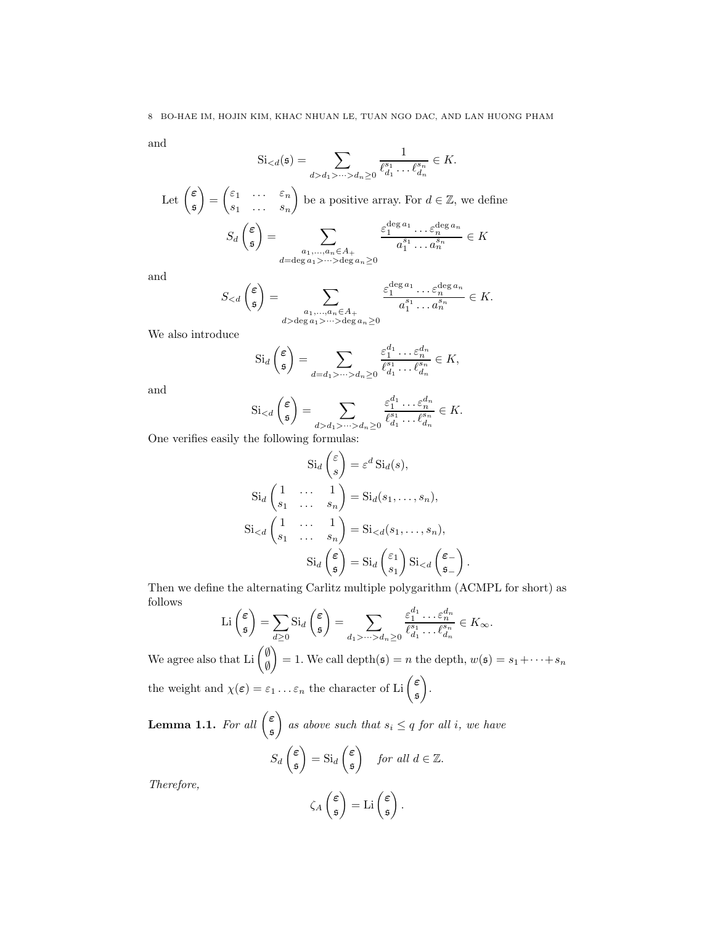and

$$
\mathrm{Si}_{< d}(\mathfrak{s}) = \sum_{d > d_1 > \dots > d_n \ge 0} \frac{1}{\ell_{d_1}^{s_1} \dots \ell_{d_n}^{s_n}} \in K.
$$

Let  $\Big(\frac{\varepsilon}{\varepsilon}\Big)$ s  $\setminus$ =  $\begin{pmatrix} \varepsilon_1 & \ldots & \varepsilon_n \end{pmatrix}$  $s_1 \ldots s_n$  $\overline{\phantom{0}}$ be a positive array. For  $d \in \mathbb{Z}$ , we define  $S_d$  $\sqrt{\varepsilon}$ s  $\overline{\phantom{0}}$  $=$   $\sum$  $a_1,...,a_n \in A_+$ <br>d=deg  $a_1 > ... >$ deg  $a_n \ge 0$  $\varepsilon_1^{\deg a_1}\dots\varepsilon_n^{\deg a_n}$  $\frac{n!}{a_1^{s_1}\ldots a_n^{s_n}}\in K$ 

and

$$
S_{< d}\begin{pmatrix} \varepsilon \\ \mathfrak{s} \end{pmatrix} = \sum_{\substack{a_1, \dots, a_n \in A_+ \\ d > \deg a_1 > \dots > \deg a_n \ge 0}} \frac{\varepsilon_1^{\deg a_1} \dots \varepsilon_n^{\deg a_n}}{a_1^{s_1} \dots a_n^{s_n}} \in K.
$$

We also introduce

$$
\operatorname{Si}_d\left(\begin{matrix}\varepsilon\\\mathfrak{s}\end{matrix}\right)=\sum_{d=d_1>\cdots>d_n\geq 0}\frac{\varepsilon_1^{d_1}\ldots\varepsilon_n^{d_n}}{\ell_{d_1}^{s_1}\ldots\ell_{d_n}^{s_n}}\in K,
$$

and

$$
\operatorname{Si}_{< d}\binom{\varepsilon}{\mathfrak{s}} = \sum_{d > d_1 > \dots > d_n \ge 0} \frac{\varepsilon_1^{d_1} \dots \varepsilon_n^{d_n}}{\ell_{d_1}^{s_1} \dots \ell_{d_n}^{s_n}} \in K.
$$

One verifies easily the following formulas:

$$
Si_d\begin{pmatrix} \varepsilon \\ s \end{pmatrix} = \varepsilon^d Si_d(s),
$$
  
\n
$$
Si_d\begin{pmatrix} 1 & \cdots & 1 \\ s_1 & \cdots & s_n \end{pmatrix} = Si_d(s_1, \ldots, s_n),
$$
  
\n
$$
Si_{< d}\begin{pmatrix} 1 & \cdots & 1 \\ s_1 & \cdots & s_n \end{pmatrix} = Si_{< d}(s_1, \ldots, s_n),
$$
  
\n
$$
Si_d\begin{pmatrix} \varepsilon \\ \varepsilon \end{pmatrix} = Si_d\begin{pmatrix} \varepsilon_1 \\ s_1 \end{pmatrix} Si_{< d}\begin{pmatrix} \varepsilon_- \\ \varepsilon_- \end{pmatrix}.
$$

Then we define the alternating Carlitz multiple polygarithm (ACMPL for short) as follows

Li 
$$
\begin{pmatrix} \varepsilon \\ \mathfrak{s} \end{pmatrix} = \sum_{d \ge 0} \text{Si}_d \begin{pmatrix} \varepsilon \\ \mathfrak{s} \end{pmatrix} = \sum_{d_1 > \dots > d_n \ge 0} \frac{\varepsilon_1^{d_1} \dots \varepsilon_n^{d_n}}{\ell_{d_1}^{s_1} \dots \ell_{d_n}^{s_n}} \in K_\infty.
$$

We agree also that Li  $\begin{pmatrix} \emptyset \\ \emptyset \end{pmatrix}$  $\emptyset$ = 1. We call depth( $\mathfrak{s}$ ) = n the depth,  $w(\mathfrak{s}) = s_1 + \cdots + s_n$ the weight and  $\chi(\varepsilon) = \varepsilon_1 \dots \varepsilon_n$  the character of Li  $\begin{pmatrix} \varepsilon \\ \varepsilon \end{pmatrix}$ s  $\setminus$ .

<span id="page-7-0"></span>**Lemma 1.1.** For all  $\begin{pmatrix} \varepsilon \\ s \end{pmatrix}$ s  $\overline{\phantom{0}}$ as above such that  $s_i \leq q$  for all i, we have  $S_d$  $\sqrt{\varepsilon}$ s  $\overline{\phantom{0}}$  $=\mathrm{Si}_d$  $\sqrt{\varepsilon}$ s  $\overline{ }$ for all  $d \in \mathbb{Z}$ .

Therefore,

$$
\zeta_A \begin{pmatrix} \varepsilon \\ \mathfrak{s} \end{pmatrix} = \mathrm{Li} \begin{pmatrix} \varepsilon \\ \mathfrak{s} \end{pmatrix}.
$$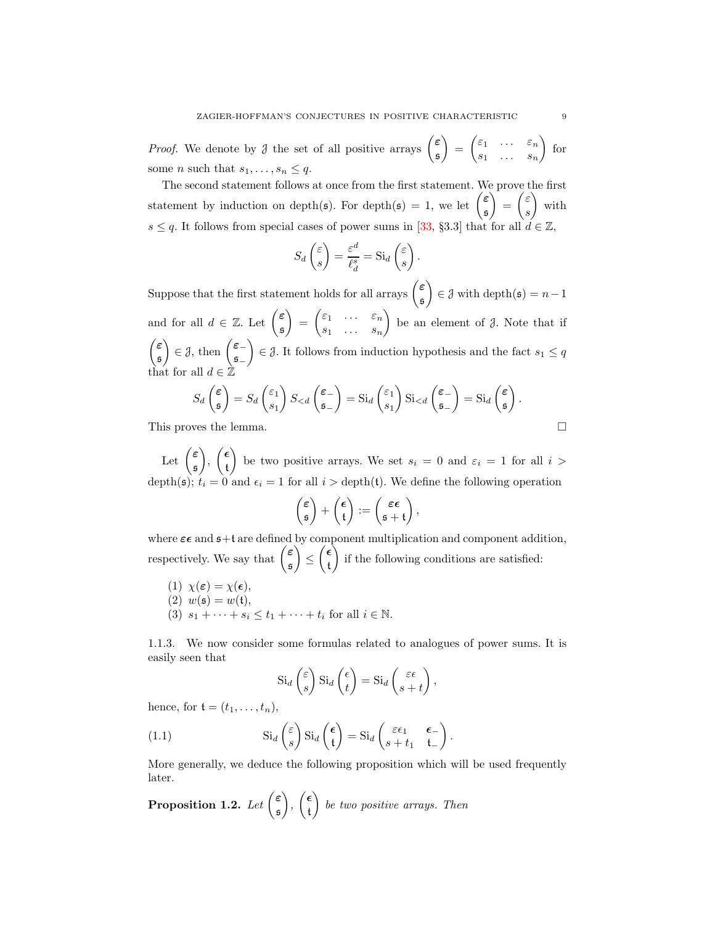*Proof.* We denote by  $\mathcal{J}$  the set of all positive arrays  $\begin{pmatrix} \varepsilon \\ \varepsilon \end{pmatrix}$ s  $\setminus$ =  $\begin{pmatrix} \varepsilon_1 & \ldots & \varepsilon_n \end{pmatrix}$  $s_1 \ldots s_n$  $\setminus$ for some *n* such that  $s_1, \ldots, s_n \leq q$ .

The second statement follows at once from the first statement. We prove the first statement by induction on depth(s). For depth(s) = 1, we let  $\begin{pmatrix} \varepsilon \\ \varepsilon \end{pmatrix}$ s  $\setminus$ =  $\int \mathcal{E}$ s  $\setminus$ with  $s \leq q$ . It follows from special cases of power sums in [\[33,](#page-39-15) §3.3] that for all  $d \in \mathbb{Z}$ ,

$$
S_d\begin{pmatrix} \varepsilon \\ s \end{pmatrix} = \frac{\varepsilon^d}{\ell_d^s} = \text{Si}_d\begin{pmatrix} \varepsilon \\ s \end{pmatrix}.
$$

Suppose that the first statement holds for all arrays  $\begin{pmatrix} \varepsilon \\ \varepsilon \end{pmatrix}$ s  $\Big) \in \mathcal{J}$  with depth $(\mathfrak{s}) = n-1$ and for all  $d \in \mathbb{Z}$ . Let  $\begin{pmatrix} \varepsilon \\ \varepsilon \end{pmatrix}$ s  $\overline{ }$ =  $\begin{pmatrix} \varepsilon_1 & \ldots & \varepsilon_n \end{pmatrix}$  $s_1 \ldots s_n$  $\Big)$  be an element of  $\mathcal J$ . Note that if  $\sqrt{\varepsilon}$ s  $\Big) \in \mathcal{J}$ , then  $\Big( \frac{\varepsilon}{\varepsilon}$ s−  $\Big) \in \mathcal{J}$ . It follows from induction hypothesis and the fact  $s_1 \leq q$ that for all  $d \in \mathbb{Z}$ 

$$
S_d\begin{pmatrix} \varepsilon \\ \mathfrak{s} \end{pmatrix} = S_d \begin{pmatrix} \varepsilon_1 \\ s_1 \end{pmatrix} S_{  
This proves the lemma.
$$

Let  $\left(\frac{\varepsilon}{\varepsilon}\right)$ s  $\setminus$ ,  $\sqrt{\epsilon}$ t  $\setminus$ be two positive arrays. We set  $s_i = 0$  and  $\varepsilon_i = 1$  for all  $i >$ depth(s);  $t_i = 0$  and  $\epsilon_i = 1$  for all  $i > \text{depth}(t)$ . We define the following operation

$$
\begin{pmatrix} \varepsilon \\ \mathfrak{s} \end{pmatrix} + \begin{pmatrix} \varepsilon \\ \mathfrak{t} \end{pmatrix} := \begin{pmatrix} \varepsilon \varepsilon \\ \mathfrak{s} + \mathfrak{t} \end{pmatrix},
$$

where  $\varepsilon \epsilon$  and  $s+t$  are defined by component multiplication and component addition, respectively. We say that  $\begin{pmatrix} \varepsilon \\ z \end{pmatrix}$ s  $\setminus$ ≤  $\sqrt{\epsilon}$ t Í. if the following conditions are satisfied:

- (1)  $\chi(\varepsilon) = \chi(\varepsilon)$ , (2)  $w(s) = w(t)$ ,
- $(3)$   $s_1 + \cdots + s_i \le t_1 + \cdots + t_i$  for all  $i \in \mathbb{N}$ .

1.1.3. We now consider some formulas related to analogues of power sums. It is easily seen that

<span id="page-8-1"></span>
$$
\operatorname{Si}_d\begin{pmatrix} \varepsilon \\ s \end{pmatrix} \operatorname{Si}_d\begin{pmatrix} \epsilon \\ t \end{pmatrix} = \operatorname{Si}_d\begin{pmatrix} \varepsilon \epsilon \\ s + t \end{pmatrix},
$$

hence, for  $\mathfrak{t} = (t_1, \ldots, t_n),$ 

(1.1) 
$$
\operatorname{Si}_d\begin{pmatrix} \varepsilon \\ s \end{pmatrix} \operatorname{Si}_d\begin{pmatrix} \epsilon \\ t \end{pmatrix} = \operatorname{Si}_d\begin{pmatrix} \varepsilon \epsilon_1 & \epsilon_- \\ s + t_1 & t_- \end{pmatrix}
$$

More generally, we deduce the following proposition which will be used frequently later.

.

<span id="page-8-0"></span>Proposition 1.2. Let  $\begin{pmatrix} \varepsilon \\ z \end{pmatrix}$ s  $\overline{\phantom{0}}$ ,  $\sqrt{\epsilon}$ t  $\setminus$ be two positive arrays. Then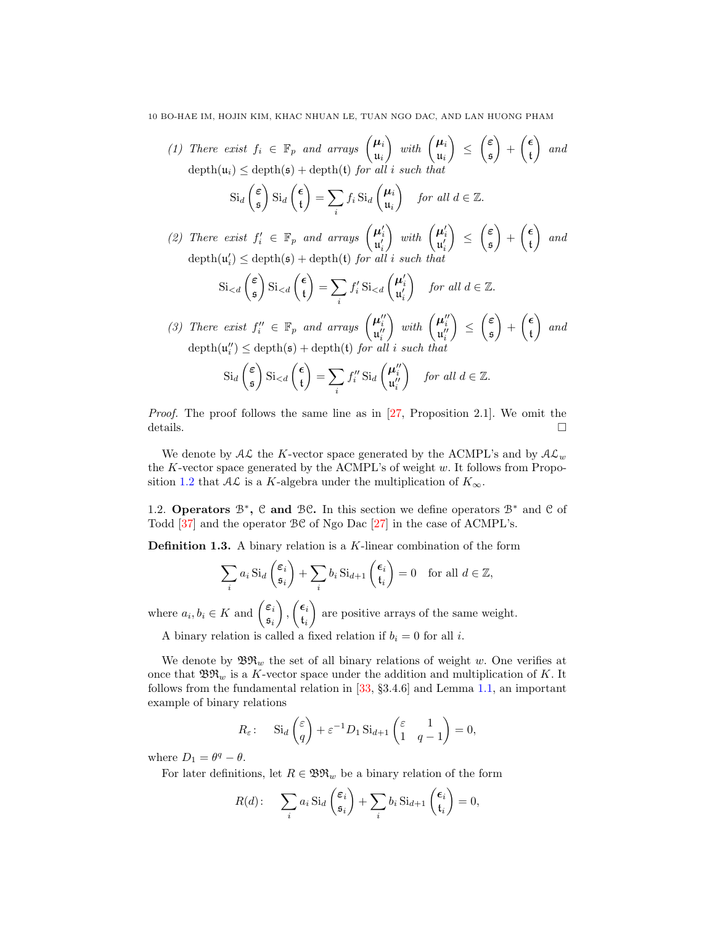10 BO-HAE IM, HOJIN KIM, KHAC NHUAN LE, TUAN NGO DAC, AND LAN HUONG PHAM

(1) There exist 
$$
f_i \in \mathbb{F}_p
$$
 and arrays  $\begin{pmatrix} \mu_i \\ u_i \end{pmatrix}$  with  $\begin{pmatrix} \mu_i \\ u_i \end{pmatrix} \leq \begin{pmatrix} \varepsilon \\ \mathfrak{s} \end{pmatrix} + \begin{pmatrix} \varepsilon \\ \mathfrak{t} \end{pmatrix}$  and depth $(u_i) \leq$  depth(s) + depth(t) for all *i* such that

$$
\operatorname{Si}_d\binom{\epsilon}{\mathfrak{s}}\operatorname{Si}_d\binom{\epsilon}{\mathfrak{t}}=\sum_i f_i \operatorname{Si}_d\binom{\mu_i}{\mathfrak{u}_i} \quad \text{for all } d \in \mathbb{Z}.
$$

(2) There exist  $f'_i \in \mathbb{F}_p$  and arrays  $\begin{pmatrix} \mu'_i \\ \mu'_i \end{pmatrix}$  $\bigg)$  with  $\begin{pmatrix} \boldsymbol{\mu}'_i \\ \boldsymbol{\mathfrak{u}}'_i \end{pmatrix}$  $\overline{\phantom{0}}$ ≤  $\sqrt{\varepsilon}$ s  $\overline{\phantom{0}}$  $+$  $\sqrt{\epsilon}$ t  $\overline{ }$ and  $\operatorname{depth}(\mathfrak{u}'_i) \leq \operatorname{depth}(\mathfrak{s}) + \operatorname{depth}(\mathfrak{t})$  for all i such that

$$
\operatorname{Si}_{< d}\binom{\varepsilon}{\mathfrak{s}}\operatorname{Si}_{< d}\binom{\varepsilon}{\mathfrak{t}} = \sum_i f'_i \operatorname{Si}_{< d}\binom{\boldsymbol{\mu}'_i}{\mathfrak{u}'_i} \quad \text{for all } d \in \mathbb{Z}.
$$

(3) There exist  $f_i'' \in \mathbb{F}_p$  and arrays  $\begin{pmatrix} \boldsymbol{\mu}_i'' \\ \mathbf{u}_i'' \end{pmatrix}$  $\Bigg)$  with  $\begin{pmatrix} \boldsymbol{\mu}''_i \\ \mathfrak{u}''_i \end{pmatrix}$  $\overline{\phantom{0}}$ ≤  $\sqrt{\varepsilon}$ s  $\overline{\phantom{0}}$ +  $\sqrt{\epsilon}$ t  $\overline{ }$ and  $\operatorname{depth}(\mathfrak{u}''_i) \leq \operatorname{depth}(\mathfrak{s}) + \operatorname{depth}(\mathfrak{t})$  for all i such that

$$
\operatorname{Si}_d\begin{pmatrix} \varepsilon \\ \mathfrak{s} \end{pmatrix} \operatorname{Si}_{< d} \begin{pmatrix} \epsilon \\ \mathfrak{t} \end{pmatrix} = \sum_i f_i'' \operatorname{Si}_d\begin{pmatrix} \boldsymbol{\mu}_i'' \\ \mathfrak{u}_i'' \end{pmatrix} \quad \text{for all } d \in \mathbb{Z}.
$$

Proof. The proof follows the same line as in [\[27,](#page-39-18) Proposition 2.1]. We omit the details.  $\Box$ 

We denote by  $A\mathcal{L}$  the K-vector space generated by the ACMPL's and by  $A\mathcal{L}_w$ the K-vector space generated by the ACMPL's of weight  $w$ . It follows from Propo-sition [1.2](#page-8-0) that  $A\mathcal{L}$  is a K-algebra under the multiplication of  $K_{\infty}$ .

1.2. Operators <sup>B\*</sup>, C and <sup>BC</sup>. In this section we define operators <sup>B\*</sup> and C of Todd [\[37\]](#page-40-4) and the operator BC of Ngo Dac [\[27\]](#page-39-18) in the case of ACMPL's.

**Definition 1.3.** A binary relation is a  $K$ -linear combination of the form

$$
\sum_{i} a_i \operatorname{Si}_d\left(\frac{\varepsilon_i}{\mathfrak{s}_i}\right) + \sum_{i} b_i \operatorname{Si}_{d+1}\left(\frac{\varepsilon_i}{\mathfrak{t}_i}\right) = 0 \quad \text{for all } d \in \mathbb{Z},
$$

where  $a_i, b_i \in K$  and  $\begin{pmatrix} \varepsilon_i \\ \varepsilon_i \end{pmatrix}$ si  $\overline{ }$ ,  $\left(\epsilon_i\right)$ ti  $\overline{ }$ are positive arrays of the same weight.

A binary relation is called a fixed relation if  $b_i = 0$  for all i.

We denote by  $\mathfrak{BR}_w$  the set of all binary relations of weight w. One verifies at once that  $\mathfrak{BR}_w$  is a K-vector space under the addition and multiplication of K. It follows from the fundamental relation in [\[33,](#page-39-15) §3.4.6] and Lemma [1.1,](#page-7-0) an important example of binary relations

$$
R_{\varepsilon}: \quad \mathrm{Si}_d\begin{pmatrix} \varepsilon \\ q \end{pmatrix} + \varepsilon^{-1} D_1 \,\mathrm{Si}_{d+1}\begin{pmatrix} \varepsilon & 1 \\ 1 & q-1 \end{pmatrix} = 0,
$$

where  $D_1 = \theta^q - \theta$ .

For later definitions, let  $R \in \mathfrak{BR}_w$  be a binary relation of the form

$$
R(d): \sum_i a_i \operatorname{Si}_d\left(\frac{\varepsilon_i}{\mathfrak{s}_i}\right) + \sum_i b_i \operatorname{Si}_{d+1}\left(\frac{\varepsilon_i}{\mathfrak{t}_i}\right) = 0,
$$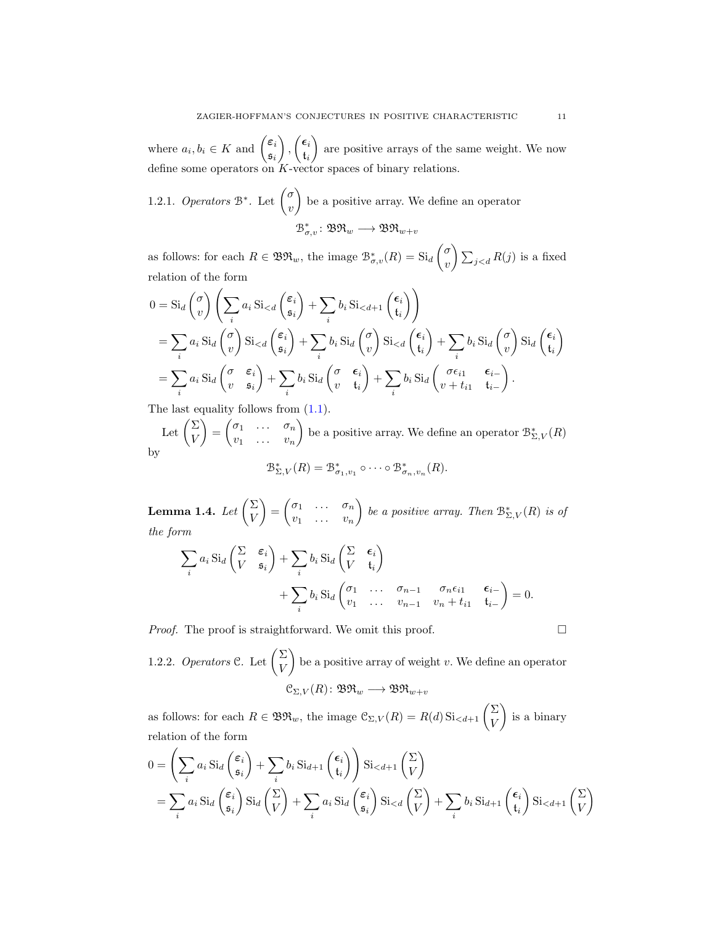where  $a_i, b_i \in K$  and  $\begin{pmatrix} \varepsilon_i \\ \varepsilon_i \end{pmatrix}$ si  $\setminus$ ,  $\left(\epsilon_i\right)$ ti  $\setminus$ are positive arrays of the same weight. We now define some operators on K-vector spaces of binary relations.

1.2.1. *Operations* 
$$
\mathcal{B}^*
$$
. Let  $\begin{pmatrix} \sigma \\ v \end{pmatrix}$  be a positive array. We define an operator  $\mathcal{B}^*_{\sigma,v} : \mathfrak{BR}_w \longrightarrow \mathfrak{BR}_{w+v}$ 

as follows: for each  $R \in \mathfrak{BR}_w$ , the image  $\mathfrak{B}^*_{\sigma,v}(R) = \mathrm{Si}_d$  $\sqrt{a}$  $\begin{pmatrix} \sigma \\ v \end{pmatrix} \sum_{j < d} R(j)$  is a fixed relation of the form

$$
0 = \mathrm{Si}_{d} \begin{pmatrix} \sigma \\ v \end{pmatrix} \left( \sum_{i} a_{i} \mathrm{Si}_{< d} \begin{pmatrix} \varepsilon_{i} \\ \varepsilon_{i} \end{pmatrix} + \sum_{i} b_{i} \mathrm{Si}_{< d+1} \begin{pmatrix} \epsilon_{i} \\ t_{i} \end{pmatrix} \right)
$$
  
\n
$$
= \sum_{i} a_{i} \mathrm{Si}_{d} \begin{pmatrix} \sigma \\ v \end{pmatrix} \mathrm{Si}_{< d} \begin{pmatrix} \varepsilon_{i} \\ \varepsilon_{i} \end{pmatrix} + \sum_{i} b_{i} \mathrm{Si}_{d} \begin{pmatrix} \sigma \\ v \end{pmatrix} \mathrm{Si}_{< d} \begin{pmatrix} \epsilon_{i} \\ t_{i} \end{pmatrix} + \sum_{i} b_{i} \mathrm{Si}_{d} \begin{pmatrix} \sigma \\ t_{i} \end{pmatrix} \mathrm{Si}_{d} \begin{pmatrix} \sigma \\ t_{i} \end{pmatrix}
$$
  
\n
$$
= \sum_{i} a_{i} \mathrm{Si}_{d} \begin{pmatrix} \sigma & \varepsilon_{i} \\ v & \varepsilon_{i} \end{pmatrix} + \sum_{i} b_{i} \mathrm{Si}_{d} \begin{pmatrix} \sigma & \epsilon_{i} \\ v & t_{i} \end{pmatrix} + \sum_{i} b_{i} \mathrm{Si}_{d} \begin{pmatrix} \sigma \epsilon_{i1} & \varepsilon_{i-} \\ v + t_{i1} & t_{i-} \end{pmatrix}.
$$

The last equality follows from  $(1.1)$ .

Let  $\left(\frac{\Sigma}{V}\right)$ V  $\setminus$ =  $\begin{pmatrix} \sigma_1 & \ldots & \sigma_n \end{pmatrix}$  $v_1 \quad \ldots \quad v_n$ ) be a positive array. We define an operator  $\mathcal{B}_{\Sigma,V}^*(R)$ by

$$
\mathcal{B}_{\Sigma,V}^*(R)=\mathcal{B}_{\sigma_1,v_1}^*\circ\cdots\circ\mathcal{B}_{\sigma_n,v_n}^*(R).
$$

<span id="page-10-0"></span>Lemma 1.4. Let  $\Big(\frac{\Sigma}{V}\Big)$ V  $\overline{\phantom{0}}$ =  $\begin{pmatrix} \sigma_1 & \ldots & \sigma_n \end{pmatrix}$  $v_1 \quad \ldots \quad v_n$  $\Big)$  be a positive array. Then  $\mathcal{B}_{\Sigma,V}^*(R)$  is of the form

$$
\sum_{i} a_{i} \operatorname{Si}_{d} \begin{pmatrix} \Sigma & \varepsilon_{i} \\ V & \mathfrak{s}_{i} \end{pmatrix} + \sum_{i} b_{i} \operatorname{Si}_{d} \begin{pmatrix} \Sigma & \varepsilon_{i} \\ V & \mathfrak{t}_{i} \end{pmatrix} + \sum_{i} b_{i} \operatorname{Si}_{d} \begin{pmatrix} \sigma_{1} & \cdots & \sigma_{n-1} & \sigma_{n} \varepsilon_{i1} \\ v_{1} & \cdots & v_{n-1} & v_{n} + t_{i1} & \mathfrak{t}_{i-} \end{pmatrix} = 0.
$$

*Proof.* The proof is straightforward. We omit this proof.  $\Box$ 

1.2.2. *Operations* C. Let 
$$
\begin{pmatrix} \Sigma \\ V \end{pmatrix}
$$
 be a positive array of weight *v*. We define an operator  

$$
\mathfrak{C}_{\Sigma,V}(R): \mathfrak{BR}_w \longrightarrow \mathfrak{BR}_{w+v}
$$

as follows: for each  $R \in \mathfrak{BR}_w$ , the image  $\mathfrak{C}_{\Sigma,V}(R) = R(d) \operatorname{Si}_{\leq d+1}\left(\frac{\Sigma}{V}\right)$ V  $\setminus$ is a binary relation of the form

$$
0 = \left(\sum_{i} a_{i} \operatorname{Si}_{d}\left(\frac{\varepsilon_{i}}{\mathfrak{s}_{i}}\right) + \sum_{i} b_{i} \operatorname{Si}_{d+1}\left(\frac{\varepsilon_{i}}{\mathfrak{t}_{i}}\right)\right) \operatorname{Si}_{< d+1}\left(\frac{\Sigma}{V}\right)
$$
  
=  $\sum_{i} a_{i} \operatorname{Si}_{d}\left(\frac{\varepsilon_{i}}{\mathfrak{s}_{i}}\right) \operatorname{Si}_{d}\left(\frac{\Sigma}{V}\right) + \sum_{i} a_{i} \operatorname{Si}_{d}\left(\frac{\varepsilon_{i}}{\mathfrak{s}_{i}}\right) \operatorname{Si}_{< d}\left(\frac{\Sigma}{V}\right) + \sum_{i} b_{i} \operatorname{Si}_{d+1}\left(\frac{\varepsilon_{i}}{\mathfrak{t}_{i}}\right) \operatorname{Si}_{< d+1}\left(\frac{\Sigma}{V}\right)$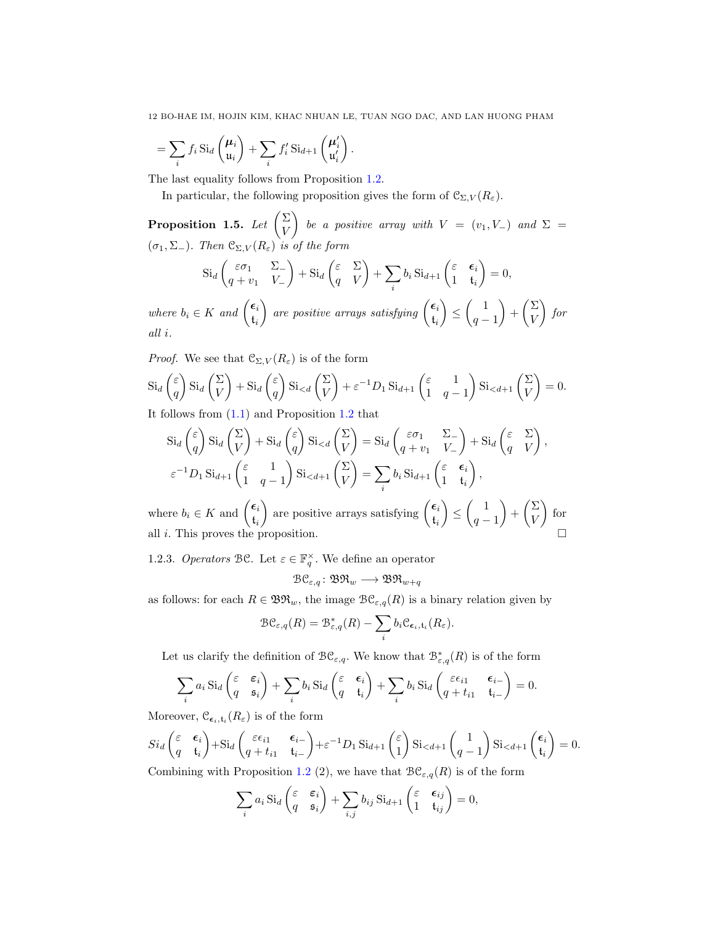12 BO-HAE IM, HOJIN KIM, KHAC NHUAN LE, TUAN NGO DAC, AND LAN HUONG PHAM

$$
= \sum_i f_i \operatorname{Si}_d\left(\begin{matrix} \boldsymbol{\mu}_i \\ \mathfrak{u}_i \end{matrix}\right) + \sum_i f'_i \operatorname{Si}_{d+1}\left(\begin{matrix} \boldsymbol{\mu}'_i \\ \mathfrak{u}'_i \end{matrix}\right).
$$

The last equality follows from Proposition [1.2.](#page-8-0)

In particular, the following proposition gives the form of  $\mathfrak{C}_{\Sigma,V}(R_{\varepsilon}).$ 

<span id="page-11-0"></span>Proposition 1.5. Let  $\begin{pmatrix} \Sigma & \Sigma \end{pmatrix}$ V  $\overline{ }$ be a positive array with  $V = (v_1, V_-)$  and  $\Sigma =$  $(\sigma_1, \Sigma_-)$ . Then  $\mathfrak{C}_{\Sigma,V}(R_{\varepsilon})$  is of the form

$$
\operatorname{Si}_d\begin{pmatrix} \varepsilon \sigma_1 & \Sigma_- \\ q + v_1 & V_- \end{pmatrix} + \operatorname{Si}_d\begin{pmatrix} \varepsilon & \Sigma \\ q & V \end{pmatrix} + \sum_i b_i \operatorname{Si}_{d+1} \begin{pmatrix} \varepsilon & \epsilon_i \\ 1 & t_i \end{pmatrix} = 0,
$$
  
where  $b_i \in K$  and  $\begin{pmatrix} \epsilon_i \\ t_i \end{pmatrix}$  are positive arrays satisfying  $\begin{pmatrix} \epsilon_i \\ t_i \end{pmatrix} \leq \begin{pmatrix} 1 \\ q - 1 \end{pmatrix} + \begin{pmatrix} \Sigma \\ V \end{pmatrix}$  for

 $\langle u \rangle$ all i.

*Proof.* We see that  $\mathfrak{C}_{\Sigma,V}(R_{\varepsilon})$  is of the form

$$
\operatorname{Si}_d\begin{pmatrix} \varepsilon \\ q \end{pmatrix} \operatorname{Si}_d\begin{pmatrix} \Sigma \\ V \end{pmatrix} + \operatorname{Si}_d\begin{pmatrix} \varepsilon \\ q \end{pmatrix} \operatorname{Si}_{< d} \begin{pmatrix} \Sigma \\ V \end{pmatrix} + \varepsilon^{-1} D_1 \operatorname{Si}_{d+1} \begin{pmatrix} \varepsilon & 1 \\ 1 & q-1 \end{pmatrix} \operatorname{Si}_{< d+1} \begin{pmatrix} \Sigma \\ V \end{pmatrix} = 0.
$$
\nIt follows from (1.1) and Proposition 1.2 that

It follows from 
$$
(1.1)
$$
 and Proposition 1.2 that

$$
\operatorname{Si}_d\begin{pmatrix} \varepsilon \\ q \end{pmatrix} \operatorname{Si}_d\begin{pmatrix} \Sigma \\ V \end{pmatrix} + \operatorname{Si}_d\begin{pmatrix} \varepsilon \\ q \end{pmatrix} \operatorname{Si}_{< d} \begin{pmatrix} \Sigma \\ V \end{pmatrix} = \operatorname{Si}_d\begin{pmatrix} \varepsilon \sigma_1 & \Sigma_- \\ q + v_1 & V_- \end{pmatrix} + \operatorname{Si}_d\begin{pmatrix} \varepsilon & \Sigma \\ q & V \end{pmatrix},
$$
  

$$
\varepsilon^{-1} D_1 \operatorname{Si}_{d+1} \begin{pmatrix} \varepsilon & 1 \\ 1 & q-1 \end{pmatrix} \operatorname{Si}_{< d+1} \begin{pmatrix} \Sigma \\ V \end{pmatrix} = \sum_i b_i \operatorname{Si}_{d+1} \begin{pmatrix} \varepsilon & \epsilon_i \\ 1 & t_i \end{pmatrix},
$$

where  $b_i \in K$  and  $\begin{pmatrix} \epsilon_i \\ \epsilon_i \end{pmatrix}$ ti ) are positive arrays satisfying  $\begin{pmatrix} \epsilon_i \\ i \end{pmatrix}$  $\mathfrak{t}_i$  $\setminus$ ≤  $\begin{pmatrix} 1 \end{pmatrix}$  $q-1$  $\overline{ }$ +  $\sqrt{\Sigma}$ V  $\setminus$ for all *i*. This proves the proposition.

1.2.3. Operators BC. Let  $\varepsilon \in \mathbb{F}_q^{\times}$ . We define an operator

$$
\mathfrak{BC}_{\varepsilon,q}\colon \mathfrak{BR}_w\longrightarrow \mathfrak{BR}_{w+q}
$$

as follows: for each  $R \in \mathfrak{BR}_w$ , the image  $\mathfrak{BC}_{\varepsilon,q}(R)$  is a binary relation given by

$$
\mathcal{BC}_{\varepsilon,q}(R) = \mathcal{B}_{\varepsilon,q}^*(R) - \sum_i b_i \mathcal{C}_{\varepsilon_i,\mathfrak{t}_i}(R_{\varepsilon}).
$$

Let us clarify the definition of  $\mathcal{BC}_{\varepsilon,q}$ . We know that  $\mathcal{B}^*_{\varepsilon,q}(R)$  is of the form

$$
\sum_{i} a_{i} \operatorname{Si}_{d} \begin{pmatrix} \varepsilon & \varepsilon_{i} \\ q & \varepsilon_{i} \end{pmatrix} + \sum_{i} b_{i} \operatorname{Si}_{d} \begin{pmatrix} \varepsilon & \varepsilon_{i} \\ q & t_{i} \end{pmatrix} + \sum_{i} b_{i} \operatorname{Si}_{d} \begin{pmatrix} \varepsilon \varepsilon_{i1} & \varepsilon_{i-} \\ q + t_{i1} & t_{i-} \end{pmatrix} = 0.
$$

Moreover,  $\mathfrak{C}_{\epsilon_i,t_i}(R_{\varepsilon})$  is of the form

$$
Si_d\begin{pmatrix} \varepsilon & \epsilon_i \\ q & t_i \end{pmatrix} + Si_d\begin{pmatrix} \varepsilon\epsilon_{i1} & \epsilon_{i-} \\ q + t_{i1} & t_{i-} \end{pmatrix} + \varepsilon^{-1}D_1 Si_{d+1}\begin{pmatrix} \varepsilon \\ 1 \end{pmatrix} Si_{
$$

Combining with Proposition [1.2](#page-8-0) (2), we have that  $\mathcal{BC}_{\varepsilon,q}(R)$  is of the form

$$
\sum_i a_i \operatorname{Si}_d\begin{pmatrix} \varepsilon & \varepsilon_i \\ q & \varepsilon_i \end{pmatrix} + \sum_{i,j} b_{ij} \operatorname{Si}_{d+1}\begin{pmatrix} \varepsilon & \varepsilon_{ij} \\ 1 & t_{ij} \end{pmatrix} = 0,
$$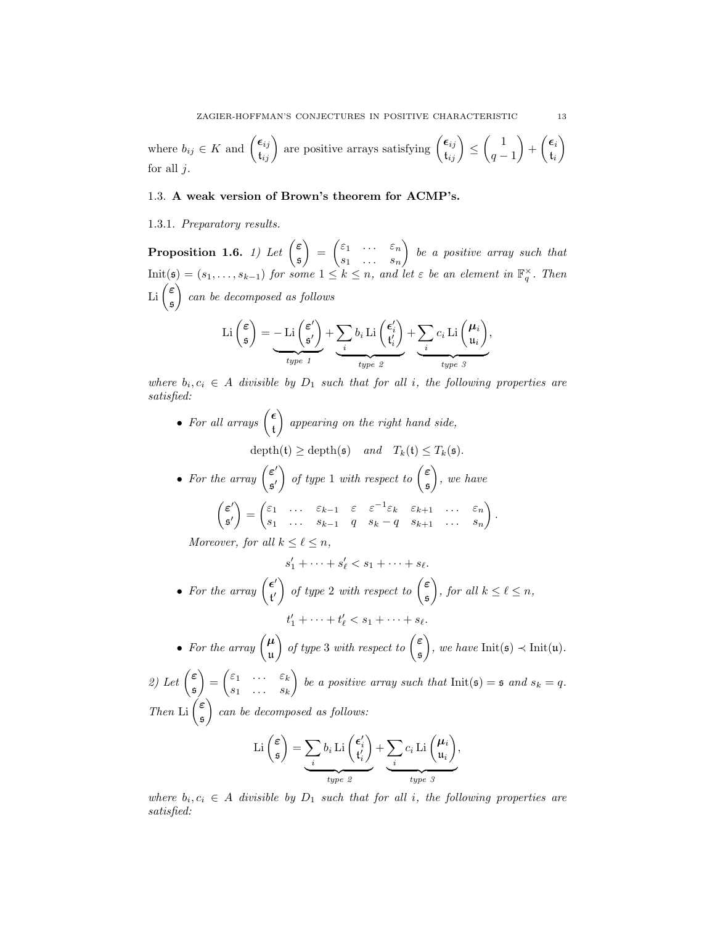where  $b_{ij} \in K$  and  $\begin{pmatrix} \epsilon_{ij} \\ t_{ij} \end{pmatrix}$  are positive arrays satisfying  $\begin{pmatrix} \epsilon_{ij} \\ t_{ij} \end{pmatrix} \leq$  $\begin{pmatrix} 1 \end{pmatrix}$  $q-1$  $\setminus$ +  $\left(\epsilon_i\right)$ ti  $\setminus$ for all  $i$ .

#### <span id="page-12-0"></span>1.3. A weak version of Brown's theorem for ACMP's.

### 1.3.1. Preparatory results.

<span id="page-12-1"></span>**Proposition 1.6.** 1) Let  $\begin{pmatrix} \varepsilon \\ \varepsilon \end{pmatrix}$ s  $\overline{ }$ =  $\begin{pmatrix} \varepsilon_1 & \ldots & \varepsilon_n \end{pmatrix}$  $s_1 \ldots s_n$  $\overline{\phantom{0}}$ be a positive array such that  $\text{Init}(\mathfrak{s}) = (s_1, \ldots, s_{k-1})$  for some  $1 \leq k \leq n$ , and let  $\varepsilon$  be an element in  $\mathbb{F}_q^{\times}$ . Then  $\operatorname{Li}\left(\frac{\varepsilon}{2}\right)$ s  $\setminus$ can be decomposed as follows

$$
\text{Li}\left(\frac{\varepsilon}{\mathfrak{s}}\right) = -\text{Li}\left(\frac{\varepsilon'}{\mathfrak{s}'}\right) + \underbrace{\sum_{i} b_i \text{Li}\left(\frac{\varepsilon'_i}{\mathfrak{t}'_i}\right)}_{type \ 2} + \underbrace{\sum_{i} c_i \text{Li}\left(\frac{\mu_i}{\mathfrak{u}_i}\right)}_{type \ 3},
$$

where  $b_i, c_i \in A$  divisible by  $D_1$  such that for all i, the following properties are satisfied:

• For all arrays  $\begin{pmatrix} \epsilon \\ 0 \end{pmatrix}$ t  $\setminus$ appearing on the right hand side,  $depth(t) \geq depth(s)$  and  $T_k(t) \leq T_k(s)$ . • For the array  $\begin{pmatrix} \varepsilon' \\ s' \end{pmatrix}$ s ′  $\int$  of type 1 with respect to  $\begin{pmatrix} \varepsilon \\ \varepsilon \end{pmatrix}$ s  $\setminus$ , we have ε ′ s ′  $\setminus$ =  $\begin{pmatrix} \varepsilon_1 & \ldots & \varepsilon_{k-1} & \varepsilon & \varepsilon^{-1} \varepsilon_k & \varepsilon_{k+1} & \ldots & \varepsilon_n \end{pmatrix}$  $s_1$  ...  $s_{k-1}$  q  $s_k - q$   $s_{k+1}$  ...  $s_n$  $\setminus$ . Moreover, for all  $k \leq \ell \leq n$ ,  $s'_1 + \cdots + s'_\ell < s_1 + \cdots + s_\ell.$ • For the array  $\begin{pmatrix} \epsilon' \\ \epsilon' \end{pmatrix}$ t ′  $\Big)$  of type 2 with respect to  $\Big(\frac{\varepsilon}{\varepsilon}\Big)$ s  $\overline{ }$ , for all  $k \leq \ell \leq n$ ,  $t'_{1} + \cdots + t'_{\ell} < s_{1} + \cdots + s_{\ell}.$ 

• For the array 
$$
\begin{pmatrix} \mu \\ u \end{pmatrix}
$$
 of type 3 with respect to  $\begin{pmatrix} \varepsilon \\ \mathfrak{s} \end{pmatrix}$ , we have  $\text{Init}(\mathfrak{s}) \prec \text{Init}(\mathfrak{u})$ .

2) Let  $\left(\frac{\varepsilon}{\varepsilon}\right)$ s  $\overline{ }$ =  $\begin{pmatrix} \varepsilon_1 & \ldots & \varepsilon_k \end{pmatrix}$  $s_1 \ldots s_k$ be a positive array such that  $Init(\mathfrak{s}) = \mathfrak{s}$  and  $s_k = q$ . Then Li  $\left(\frac{\varepsilon}{\varepsilon}\right)$ s  $\overline{\phantom{0}}$ can be decomposed as follows:

$$
\text{Li}\begin{pmatrix} \varepsilon \\ \mathfrak{s} \end{pmatrix} = \underbrace{\sum_{i} b_{i} \text{Li}\begin{pmatrix} \epsilon'_{i} \\ \mathfrak{t}'_{i} \end{pmatrix}}_{type \ 2} + \underbrace{\sum_{i} c_{i} \text{Li}\begin{pmatrix} \mu_{i} \\ \mu_{i} \end{pmatrix}}_{type \ 3},
$$

where  $b_i, c_i \in A$  divisible by  $D_1$  such that for all i, the following properties are satisfied: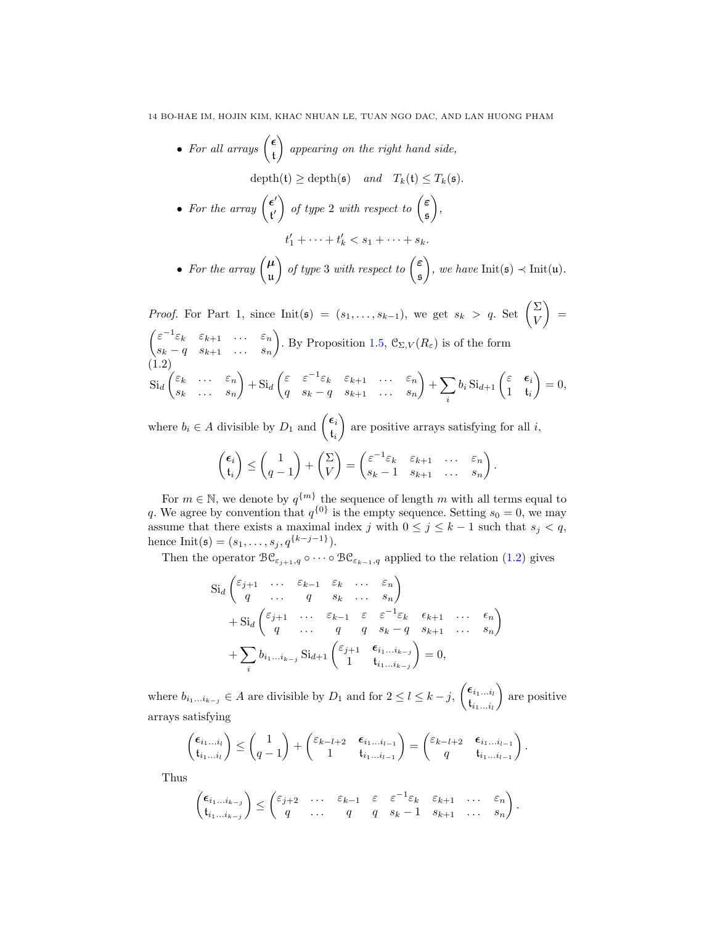14 BO-HAE IM, HOJIN KIM, KHAC NHUAN LE, TUAN NGO DAC, AND LAN HUONG PHAM

\n- For all arrays 
$$
\begin{pmatrix} \epsilon \\ t \end{pmatrix}
$$
 appearing on the right hand side,  $\operatorname{depth}(t) \geq \operatorname{depth}(s)$  and  $T_k(t) \leq T_k(s)$ .
\n- For the array  $\begin{pmatrix} \epsilon' \\ t' \end{pmatrix}$  of type 2 with respect to  $\begin{pmatrix} \epsilon \\ s \end{pmatrix}$ ,  $t'_1 + \cdots + t'_k < s_1 + \cdots + s_k$ .
\n- For the array  $\begin{pmatrix} \mu \\ u \end{pmatrix}$  of type 3 with respect to  $\begin{pmatrix} \epsilon \\ s \end{pmatrix}$ , we have  $\text{Init}(\mathfrak{s}) \prec \text{Init}(\mathfrak{u})$ .
\n

*Proof.* For Part 1, since Init( $\mathfrak{s}$ ) =  $(s_1, \ldots, s_{k-1})$ , we get  $s_k > q$ . Set  $\begin{pmatrix} \sum \\ V \end{pmatrix}$ V  $\overline{\phantom{0}}$ =  $\int \varepsilon^{-1} \varepsilon_k \quad \varepsilon_{k+1} \quad \dots \quad \varepsilon_n$  $s_k - q$   $s_{k+1}$  ...  $s_n$ ). By Proposition [1.5,](#page-11-0)  $\mathfrak{C}_{\Sigma,V}(R_{\varepsilon})$  is of the form (1.2)  $\mathrm{Si}_d$  $\int \varepsilon_k$  ...  $\varepsilon_n$  $s_k$  ...  $s_n$  $\setminus$  $+$  Si<sub>d</sub>  $\int \varepsilon \varepsilon^{-1} \varepsilon_k \varepsilon_{k+1} \dots \varepsilon_n$  $q \quad s_k - q \quad s_{k+1} \quad \ldots \quad s_n$  $\overline{ }$  $+\sum$ i  $b_i$  Si<sub>d+1</sub>  $\begin{pmatrix} \varepsilon & \epsilon_i \\ 1 & \epsilon_i \end{pmatrix}$  $1 - \mathfrak{t}_i$  $\overline{ }$  $= 0,$ 

<span id="page-13-0"></span>where  $b_i \in A$  divisible by  $D_1$  and  $\begin{pmatrix} \epsilon_i \\ \epsilon_i \end{pmatrix}$  $\mathfrak{t}_i$  $\setminus$ are positive arrays satisfying for all i,

$$
\begin{pmatrix} \epsilon_i \\ t_i \end{pmatrix} \le \begin{pmatrix} 1 \\ q-1 \end{pmatrix} + \begin{pmatrix} \Sigma \\ V \end{pmatrix} = \begin{pmatrix} \varepsilon^{-1} \varepsilon_k & \varepsilon_{k+1} & \dots & \varepsilon_n \\ s_k - 1 & s_{k+1} & \dots & s_n \end{pmatrix}
$$

.

.

For  $m \in \mathbb{N}$ , we denote by  $q^{\{m\}}$  the sequence of length m with all terms equal to q. We agree by convention that  $q^{\{0\}}$  is the empty sequence. Setting  $s_0 = 0$ , we may assume that there exists a maximal index j with  $0 \leq j \leq k-1$  such that  $s_j < q$ , hence Init( $\mathfrak{s}$ ) =  $(s_1, \ldots, s_j, q^{\{k-j-1\}}).$ 

Then the operator  $\mathcal{BC}_{\varepsilon_{j+1},q}\circ\cdots\circ\mathcal{BC}_{\varepsilon_{k-1},q}$  applied to the relation [\(1.2\)](#page-13-0) gives

$$
\begin{split}\n\operatorname{Si}_d\begin{pmatrix}\n\varepsilon_{j+1} & \dots & \varepsilon_{k-1} & \varepsilon_k & \dots & \varepsilon_n \\
q & \dots & q & s_k & \dots & s_n\n\end{pmatrix} \\
+ \operatorname{Si}_d\begin{pmatrix}\n\varepsilon_{j+1} & \dots & \varepsilon_{k-1} & \varepsilon & \varepsilon^{-1}\varepsilon_k & \varepsilon_{k+1} & \dots & \varepsilon_n \\
q & \dots & q & q & s_k - q & s_{k+1} & \dots & s_n\n\end{pmatrix} \\
+ \sum_i b_{i_1 \dots i_{k-j}} \operatorname{Si}_{d+1}\begin{pmatrix}\n\varepsilon_{j+1} & \varepsilon_{i_1 \dots i_{k-j}} \\
1 & \varepsilon_{i_1 \dots i_{k-j}}\n\end{pmatrix} = 0,\n\end{split}
$$

where  $b_{i_1...i_{k-j}} \in A$  are divisible by  $D_1$  and for  $2 \leq l \leq k-j$ ,  $\left(\boldsymbol{\epsilon}_{i_1...i_l}\right)$  $\mathfrak{t}_{i_1...i_l}$  $\overline{\phantom{0}}$ are positive arrays satisfying

$$
\begin{pmatrix} \epsilon_{i_1\ldots i_l} \\ t_{i_1\ldots i_l} \end{pmatrix} \leq \begin{pmatrix} 1 \\ q-1 \end{pmatrix} + \begin{pmatrix} \varepsilon_{k-l+2} & \epsilon_{i_1\ldots i_{l-1}} \\ 1 & t_{i_1\ldots i_{l-1}} \end{pmatrix} = \begin{pmatrix} \varepsilon_{k-l+2} & \epsilon_{i_1\ldots i_{l-1}} \\ q & t_{i_1\ldots i_{l-1}} \end{pmatrix}
$$

Thus

$$
\begin{pmatrix} \epsilon_{i_1\ldots i_{k-j}} \\ t_{i_1\ldots i_{k-j}} \end{pmatrix} \leq \begin{pmatrix} \varepsilon_{j+2} & \ldots & \varepsilon_{k-1} & \varepsilon & \varepsilon^{-1}\varepsilon_k & \varepsilon_{k+1} & \ldots & \varepsilon_n \\ q & \ldots & q & q & s_k - 1 & s_{k+1} & \ldots & s_n \end{pmatrix}.
$$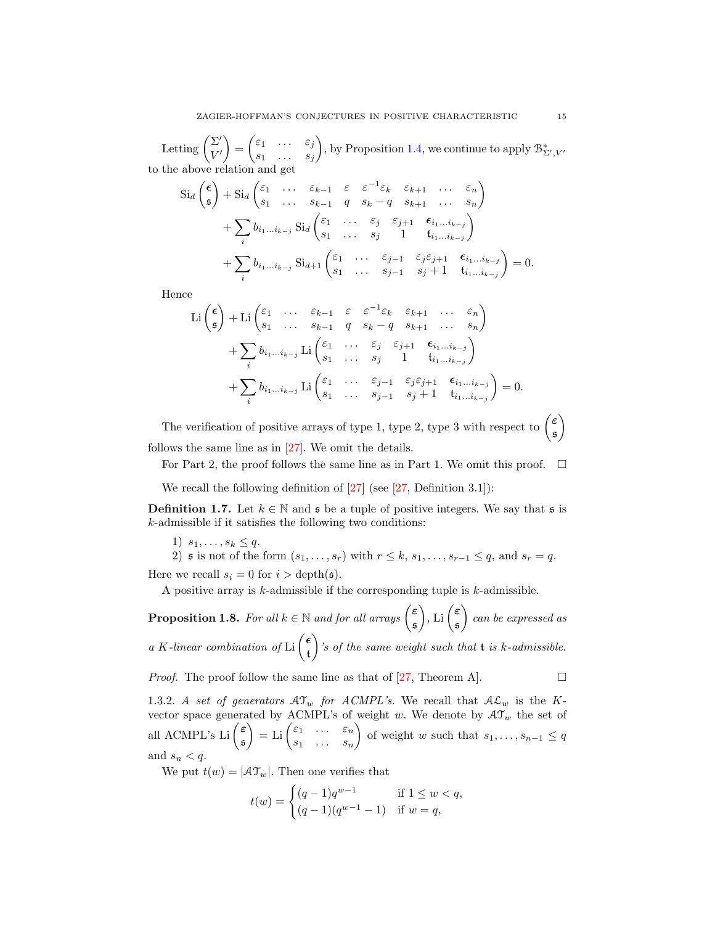Letting  $\left(\frac{\Sigma'}{\Sigma'}\right)$  $V'$  $\setminus$ =  $\begin{pmatrix} \varepsilon_1 & \dots & \varepsilon_j \end{pmatrix}$  $s_1 \ldots s_j$ ), by Proposition [1.4,](#page-10-0) we continue to apply  $\mathcal{B}_{\Sigma',V'}^*$ to the above relation and get

$$
\mathrm{Si}_d\left(\xi\right) + \mathrm{Si}_d\left(\begin{matrix}\varepsilon_1 & \dots & \varepsilon_{k-1} & \varepsilon & \varepsilon^{-1}\varepsilon_k & \varepsilon_{k+1} & \dots & \varepsilon_n\\s_1 & \dots & s_{k-1} & q & s_k - q & s_{k+1} & \dots & s_n\end{matrix}\right) + \sum_i b_{i_1 \dots i_{k-j}} \mathrm{Si}_d\left(\begin{matrix}\varepsilon_1 & \dots & \varepsilon_j & \varepsilon_{j+1} & \varepsilon_{i_1 \dots i_{k-j}}\\s_1 & \dots & s_j & 1 & t_{i_1 \dots i_{k-j}}\end{matrix}\right) + \sum_i b_{i_1 \dots i_{k-j}} \mathrm{Si}_{d+1}\left(\begin{matrix}\varepsilon_1 & \dots & \varepsilon_{j-1} & \varepsilon_j\varepsilon_{j+1} & \varepsilon_{i_1 \dots i_{k-j}}\\s_1 & \dots & s_{j-1} & s_j+1 & t_{i_1 \dots i_{k-j}}\end{matrix}\right) = 0.
$$

Hence

Li 
$$
\begin{pmatrix} \epsilon \\ \mathfrak{s} \end{pmatrix}
$$
 + Li  $\begin{pmatrix} \varepsilon_1 & \cdots & \varepsilon_{k-1} & \varepsilon & \varepsilon^{-1} \varepsilon_k & \varepsilon_{k+1} & \cdots & \varepsilon_n \\ s_1 & \cdots & s_{k-1} & q & s_k - q & s_{k+1} & \cdots & s_n \end{pmatrix}$   
+  $\sum_i b_{i_1...i_{k-j}}$  Li  $\begin{pmatrix} \varepsilon_1 & \cdots & \varepsilon_j & \varepsilon_{j+1} & \epsilon_{i_1...i_{k-j}} \\ s_1 & \cdots & s_j & 1 & t_{i_1...i_{k-j}} \end{pmatrix}$   
+  $\sum_i b_{i_1...i_{k-j}}$  Li  $\begin{pmatrix} \varepsilon_1 & \cdots & \varepsilon_{j-1} & \varepsilon_j \varepsilon_{j+1} & \epsilon_{i_1...i_{k-j}} \\ s_1 & \cdots & s_{j-1} & s_j + 1 & t_{i_1...i_{k-j}} \end{pmatrix} = 0.$ 

The verification of positive arrays of type 1, type 2, type 3 with respect to  $\begin{pmatrix} \varepsilon \\ z \end{pmatrix}$ s  $\setminus$ follows the same line as in [\[27\]](#page-39-18). We omit the details.

For Part 2, the proof follows the same line as in Part 1. We omit this proof.  $\Box$ 

We recall the following definition of  $[27]$  (see  $[27,$  Definition 3.1]):

**Definition 1.7.** Let  $k \in \mathbb{N}$  and  $\mathfrak{s}$  be a tuple of positive integers. We say that  $\mathfrak{s}$  is k-admissible if it satisfies the following two conditions:

1)  $s_1, \ldots, s_k \leq q$ .

2)  $\mathfrak s$  is not of the form  $(s_1, \ldots, s_r)$  with  $r \leq k, s_1, \ldots, s_{r-1} \leq q$ , and  $s_r = q$ . Here we recall  $s_i = 0$  for  $i > \text{depth}(\mathfrak{s})$ .

A positive array is  $k$ -admissible if the corresponding tuple is  $k$ -admissible.

<span id="page-14-0"></span>**Proposition 1.8.** For all  $k \in \mathbb{N}$  and for all arrays  $\begin{pmatrix} \varepsilon \\ \varepsilon \end{pmatrix}$ s  $\bigg), \mathrm{Li} \left( \frac{\varepsilon}{\varepsilon} \right)$ s  $\setminus$ can be expressed as a K-linear combination of Li $\begin{pmatrix} \epsilon \\ h \end{pmatrix}$ t  $\Big)$ 's of the same weight such that  $t$  is k-admissible.

*Proof.* The proof follow the same line as that of [\[27,](#page-39-18) Theorem A].  $\Box$ 

1.3.2. A set of generators  $AT_w$  for ACMPL's. We recall that  $AL_w$  is the Kvector space generated by ACMPL's of weight w. We denote by  $A\mathcal{T}_w$  the set of all ACMPL's Li $\left(\frac{\varepsilon}{\varepsilon}\right)$ s  $=\mathrm{Li} \begin{pmatrix} \varepsilon_1 & \cdots & \varepsilon_n \end{pmatrix}$  $s_1 \ldots s_n$  $\setminus$ of weight w such that  $s_1, \ldots, s_{n-1} \leq q$ and  $s_n < q$ .

We put  $t(w) = |A \mathcal{T}_w|$ . Then one verifies that

$$
t(w) = \begin{cases} (q-1)q^{w-1} & \text{if } 1 \le w < q, \\ (q-1)(q^{w-1}-1) & \text{if } w = q, \end{cases}
$$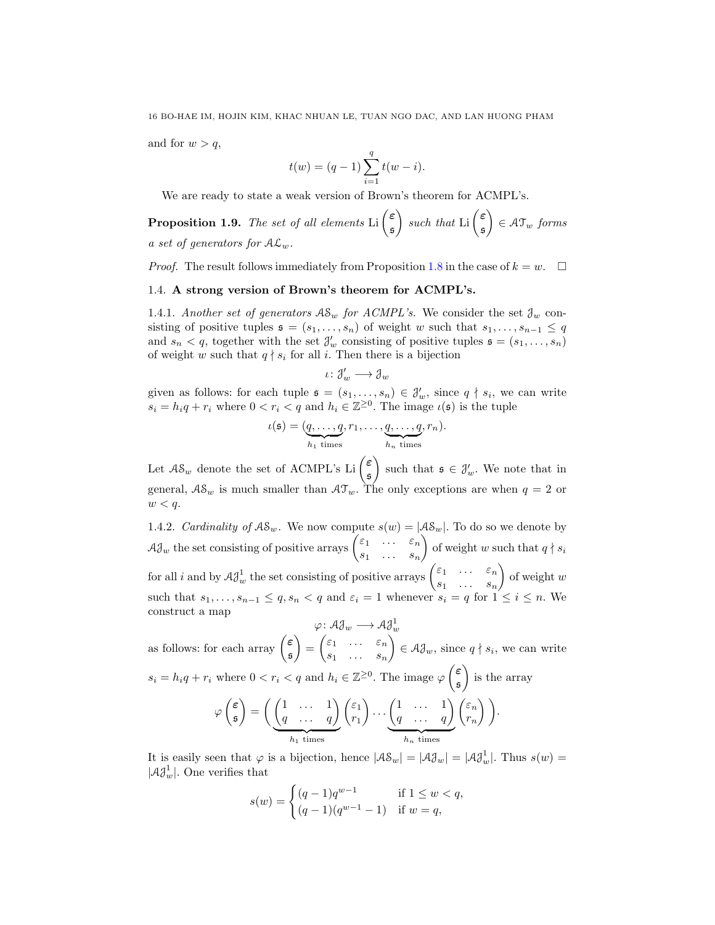and for  $w > q$ ,

$$
t(w) = (q-1) \sum_{i=1}^{q} t(w-i).
$$

We are ready to state a weak version of Brown's theorem for ACMPL's.

<span id="page-15-0"></span>**Proposition 1.9.** The set of all elements Li  $\begin{pmatrix} \varepsilon \\ \varepsilon \end{pmatrix}$ s  $\Big)$  such that Li  $\Big(\frac{\varepsilon}{\varepsilon}\Big)$ s  $\Big) \in \mathcal{AT}_w$  forms a set of generators for  $A\mathcal{L}_w$ .

<span id="page-15-1"></span>*Proof.* The result follows immediately from Proposition [1.8](#page-14-0) in the case of  $k = w$ .  $\Box$ 

## <span id="page-15-2"></span>1.4. A strong version of Brown's theorem for ACMPL's.

1.4.1. Another set of generators  $AS_w$  for ACMPL's. We consider the set  $\mathcal{J}_w$  consisting of positive tuples  $\mathfrak{s} = (s_1, \ldots, s_n)$  of weight w such that  $s_1, \ldots, s_{n-1} \leq q$ and  $s_n < q$ , together with the set  $\mathcal{J}'_w$  consisting of positive tuples  $\mathfrak{s} = (s_1, \ldots, s_n)$ of weight w such that  $q \nmid s_i$  for all i. Then there is a bijection

$$
\iota\colon \mathcal{J}'_w\longrightarrow \mathcal{J}_w
$$

given as follows: for each tuple  $\mathfrak{s} = (s_1, \ldots, s_n) \in \mathcal{J}'_w$ , since  $q \nmid s_i$ , we can write  $s_i = h_i q + r_i$  where  $0 < r_i < q$  and  $h_i \in \mathbb{Z}^{\geq 0}$ . The image  $\iota(\mathfrak{s})$  is the tuple

$$
\iota(\mathfrak{s}) = (\underbrace{q, \ldots, q}_{h_1 \text{ times}}, r_1, \ldots, \underbrace{q, \ldots, q}_{h_n \text{ times}}, r_n).
$$

Let  $AS_w$  denote the set of ACMPL's Li $\begin{pmatrix} \varepsilon \\ \varepsilon \end{pmatrix}$ s such that  $\mathfrak{s} \in \mathcal{J}'_w$ . We note that in general,  $AS_w$  is much smaller than  $AT_w$ . The only exceptions are when  $q = 2$  or  $w < q$ .

1.4.2. Cardinality of  $AS_w$ . We now compute  $s(w) = |AS_w|$ . To do so we denote by  $\mathcal{A}\mathcal{J}_w$  the set consisting of positive arrays  $\begin{pmatrix} \varepsilon_1 & \cdots & \varepsilon_n \\ \vdots & \vdots & \vdots \end{pmatrix}$  $s_1 \ldots s_n$  $\overline{\phantom{0}}$ of weight w such that  $q \nmid s_i$ for all i and by  $\mathcal{A}\mathcal{J}_w^1$  the set consisting of positive arrays  $\begin{pmatrix} \varepsilon_1 & \cdots & \varepsilon_n \\ \varepsilon_2 & \cdots & \varepsilon_n \end{pmatrix}$  $s_1 \ldots s_n$  $\overline{\phantom{0}}$ of weight  $w$ such that  $s_1, \ldots, s_{n-1} \leq q, s_n < q$  and  $\varepsilon_i = 1$  whenever  $s_i = q$  for  $1 \leq i \leq n$ . We construct a map

 $\varphi: \mathcal{A}\mathcal{J}_w \longrightarrow \mathcal{A}\mathcal{J}_w^1$ as follows: for each array  $\begin{pmatrix} \varepsilon \\ \varepsilon \end{pmatrix} = \begin{pmatrix} \varepsilon_1 & \cdots & \varepsilon_n \\ \varepsilon_n & \cdots & \varepsilon_n \end{pmatrix}$ s  $\overline{ }$ =  $\begin{pmatrix} \varepsilon_1 & \ldots & \varepsilon_n \end{pmatrix}$  $s_1 \ldots s_n$  $\Big) \in \mathcal{AI}_w$ , since  $q \nmid s_i$ , we can write  $s_i = h_i q + r_i$  where  $0 < r_i < q$  and  $h_i \in \mathbb{Z}^{\geq 0}$ . The image  $\varphi$  $\sqrt{\varepsilon}$ s  $\setminus$ is the array  $\varphi$  $\sqrt{\varepsilon}$ s  $\overline{ }$  $=\left(\begin{pmatrix} 1 & \cdots & 1\\ q & \cdots & q \end{pmatrix}\right)$  $h_1$  times  $\sqrt{\varepsilon_1}$  $r_1$  $\left( \begin{matrix} 1 & \cdots & 1 \\ q & \cdots & q \end{matrix} \right)$  $h_n$  times  $\int \varepsilon_n$  $\begin{pmatrix} \varepsilon_n \\ r_n \end{pmatrix}$ .

It is easily seen that  $\varphi$  is a bijection, hence  $|\mathcal{AS}_w| = |\mathcal{AJ}_w| = |\mathcal{AJ}_w^1|$ . Thus  $s(w) =$  $|\mathcal{A}\mathcal{J}_{w}^{1}|$ . One verifies that

$$
s(w) = \begin{cases} (q-1)q^{w-1} & \text{if } 1 \le w < q, \\ (q-1)(q^{w-1}-1) & \text{if } w = q, \end{cases}
$$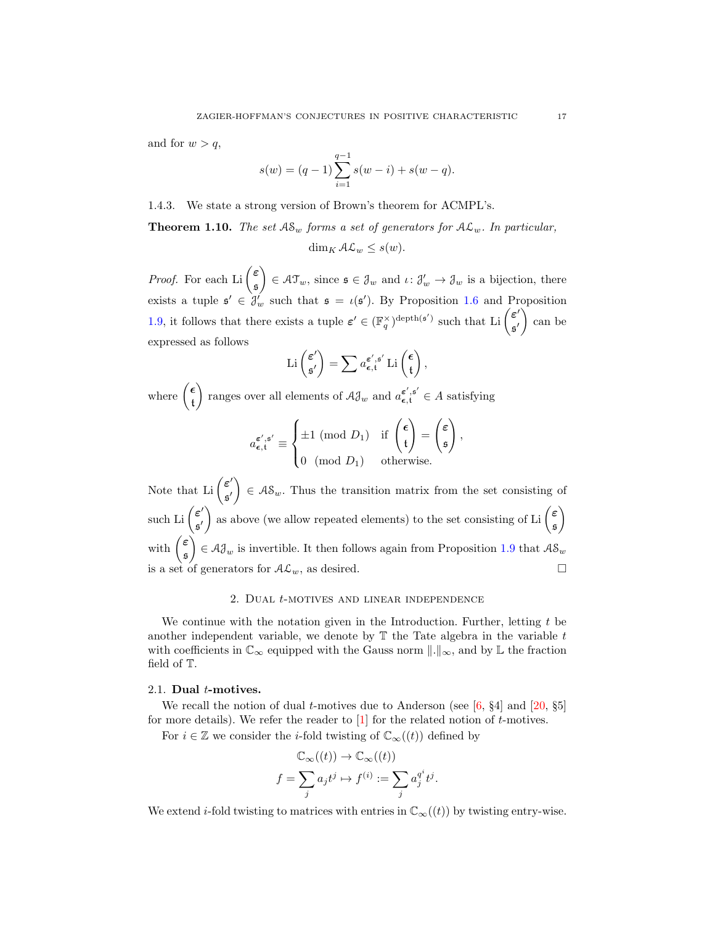and for  $w > q$ ,

$$
s(w) = (q-1)\sum_{i=1}^{q-1} s(w-i) + s(w-q).
$$

1.4.3. We state a strong version of Brown's theorem for ACMPL's.

<span id="page-16-1"></span>**Theorem 1.10.** The set  $AS_w$  forms a set of generators for  $AS_w$ . In particular,  $\dim_K A\mathcal{L}_w \leq s(w).$ 

*Proof.* For each Li  $\left(\frac{\varepsilon}{\varepsilon}\right)$ s  $\Big) \in \mathcal{AT}_w$ , since  $\mathfrak{s} \in \mathcal{J}_w$  and  $\iota: \mathcal{J}'_w \to \mathcal{J}_w$  is a bijection, there exists a tuple  $\mathfrak{s}' \in \mathfrak{J}'_w$  such that  $\mathfrak{s} = \iota(\mathfrak{s}')$ . By Proposition [1.6](#page-12-1) and Proposition [1.9,](#page-15-0) it follows that there exists a tuple  $\varepsilon' \in (\mathbb{F}_q^{\times})^{\mathrm{depth}(\mathfrak{s}')}$  such that  $\mathrm{Li} \begin{pmatrix} \varepsilon' \\ \varepsilon' \end{pmatrix}$ s ′  $\sqrt{ }$ can be expressed as follows

$$
\mathrm{Li}\left(\frac{\varepsilon'}{\mathfrak{s}'}\right) = \sum a_{\varepsilon,t}^{\varepsilon',\mathfrak{s}'} \mathrm{Li}\left(\frac{\varepsilon}{\mathfrak{t}}\right),
$$

where  $\int_{t}$ t ) ranges over all elements of  $A\mathcal{J}_w$  and  $a_{\epsilon,t}^{\epsilon',\epsilon'} \in A$  satisfying

$$
a_{\epsilon,t}^{\epsilon',\mathfrak{s}'} \equiv \begin{cases} \pm 1 \pmod{D_1} & \text{if } \begin{pmatrix} \epsilon \\ \mathfrak{t} \end{pmatrix} = \begin{pmatrix} \varepsilon \\ \mathfrak{s} \end{pmatrix}, \\ 0 \pmod{D_1} & \text{otherwise.} \end{cases}
$$

Note that Li  $\begin{pmatrix} \varepsilon' \\ s' \end{pmatrix}$ s ′  $\Big) \in \mathcal{AS}_w$ . Thus the transition matrix from the set consisting of such Li  $\left(\frac{\varepsilon'}{\varepsilon'}\right)$ s ′ as above (we allow repeated elements) to the set consisting of Li  $\begin{pmatrix} \varepsilon \\ \varepsilon \end{pmatrix}$ s  $\overline{ }$ with  $\int_{0}^{\epsilon}$ s  $\hat{A} \in \mathcal{A} \mathcal{J}_w$  is invertible. It then follows again from Proposition [1.9](#page-15-0) that  $\mathcal{A} \mathcal{S}_w$ is a set of generators for  $A\mathcal{L}_w$ , as desired.

## 2. Dual t-motives and linear independence

<span id="page-16-0"></span>We continue with the notation given in the Introduction. Further, letting  $t$  be another independent variable, we denote by  $\mathbb T$  the Tate algebra in the variable  $t$ with coefficients in  $\mathbb{C}_{\infty}$  equipped with the Gauss norm  $\|.\|_{\infty}$ , and by L the fraction field of T.

## 2.1. Dual t-motives.

We recall the notion of dual *t*-motives due to Anderson (see  $[6, 84]$  and  $[20, 85]$ ) for more details). We refer the reader to  $[1]$  for the related notion of t-motives.

For  $i \in \mathbb{Z}$  we consider the *i*-fold twisting of  $\mathbb{C}_{\infty}((t))$  defined by

$$
\mathbb{C}_{\infty}((t)) \to \mathbb{C}_{\infty}((t))
$$
  

$$
f = \sum_{j} a_j t^j \mapsto f^{(i)} := \sum_{j} a_j^{q^i} t^j.
$$

We extend *i*-fold twisting to matrices with entries in  $\mathbb{C}_{\infty}((t))$  by twisting entry-wise.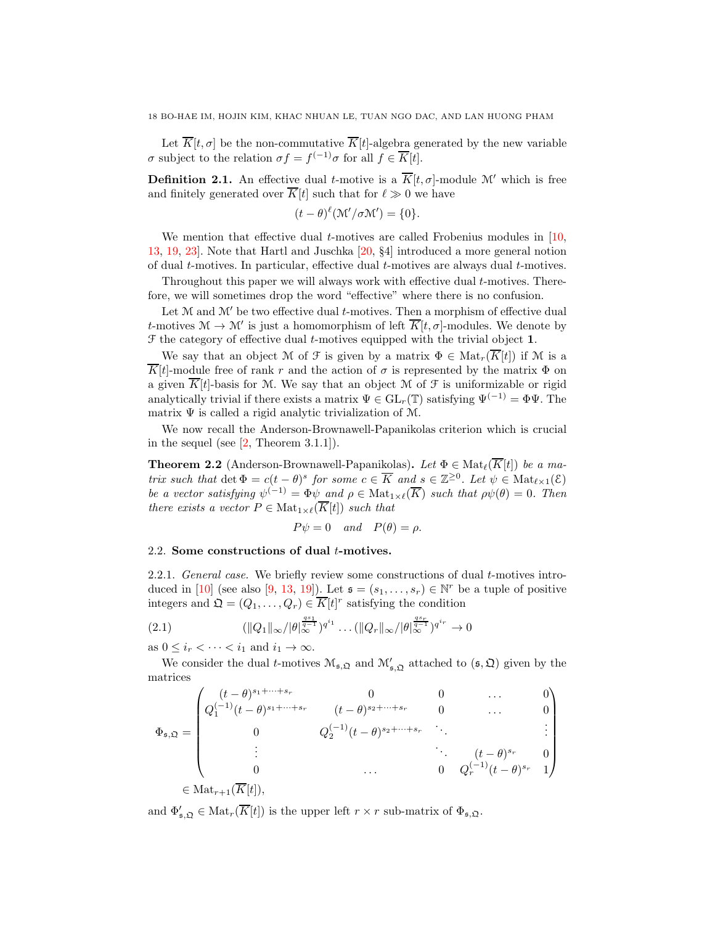Let  $\overline{K}[t,\sigma]$  be the non-commutative  $\overline{K}[t]$ -algebra generated by the new variable σ subject to the relation  $σf = f<sup>(-1)</sup>σ$  for all  $f ∈ \overline{K}[t]$ .

**Definition 2.1.** An effective dual t-motive is a  $\overline{K}[t, \sigma]$ -module M' which is free and finitely generated over  $\overline{K}[t]$  such that for  $\ell \gg 0$  we have

$$
(t - \theta)^{\ell}(\mathcal{M}'/\sigma\mathcal{M}') = \{0\}.
$$

We mention that effective dual  $t$ -motives are called Frobenius modules in [\[10,](#page-39-21) [13,](#page-39-22) [19,](#page-39-4) [23\]](#page-39-23). Note that Hartl and Juschka [\[20,](#page-39-20) §4] introduced a more general notion of dual  $t$ -motives. In particular, effective dual  $t$ -motives are always dual  $t$ -motives.

Throughout this paper we will always work with effective dual *t*-motives. Therefore, we will sometimes drop the word "effective" where there is no confusion.

Let  $M$  and  $M'$  be two effective dual t-motives. Then a morphism of effective dual t-motives  $\mathcal{M} \to \mathcal{M}'$  is just a homomorphism of left  $\overline{K}[t, \sigma]$ -modules. We denote by  $F$  the category of effective dual  $t$ -motives equipped with the trivial object 1.

We say that an object M of F is given by a matrix  $\Phi \in \text{Mat}_r(\overline{K}[t])$  if M is a  $\overline{K}[t]$ -module free of rank r and the action of  $\sigma$  is represented by the matrix  $\Phi$  on a given  $\overline{K}[t]$ -basis for M. We say that an object M of F is uniformizable or rigid analytically trivial if there exists a matrix  $\Psi \in GL_r(\mathbb{T})$  satisfying  $\Psi^{(-1)} = \Phi \Psi$ . The matrix  $\Psi$  is called a rigid analytic trivialization of M.

We now recall the Anderson-Brownawell-Papanikolas criterion which is crucial in the sequel (see  $[2,$  Theorem 3.1.1]).

<span id="page-17-2"></span>**Theorem 2.2** (Anderson-Brownawell-Papanikolas). Let  $\Phi \in Mat_{\ell}(\overline{K}[t])$  be a matrix such that  $\det \Phi = c(t - \theta)^s$  for some  $c \in \overline{K}$  and  $s \in \mathbb{Z}^{\geq 0}$ . Let  $\psi \in \text{Mat}_{\ell \times 1}(\mathcal{E})$ be a vector satisfying  $\psi^{(-1)} = \Phi \psi$  and  $\rho \in \text{Mat}_{1 \times \ell}(\overline{K})$  such that  $\rho \psi(\theta) = 0$ . Then there exists a vector  $P \in Mat_{1 \times \ell}(\overline{K}[t])$  such that

$$
P\psi = 0 \quad and \quad P(\theta) = \rho.
$$

## <span id="page-17-1"></span>2.2. Some constructions of dual t-motives.

2.2.1. *General case.* We briefly review some constructions of dual t-motives intro-duced in [\[10\]](#page-39-21) (see also [\[9,](#page-39-19) [13,](#page-39-22) [19\]](#page-39-4)). Let  $\mathfrak{s} = (s_1, \ldots, s_r) \in \mathbb{N}^r$  be a tuple of positive integers and  $\mathfrak{Q} = (Q_1, \ldots, Q_r) \in \overline{K}[t]^r$  satisfying the condition

<span id="page-17-0"></span>
$$
(2.1) \qquad (||Q_1||_{\infty}/|\theta|_{\infty}^{\frac{qs_1}{q-1}})^{q^{i_1}} \dots (||Q_r||_{\infty}/|\theta|_{\infty}^{\frac{qs_r}{q-1}})^{q^{i_r}} \to 0
$$

as  $0 \leq i_r < \cdots < i_1$  and  $i_1 \to \infty$ .

We consider the dual *t*-motives  $\mathcal{M}_{\mathfrak{s},\mathfrak{Q}}$  and  $\mathcal{M}'_{\mathfrak{s},\mathfrak{Q}}$  attached to  $(\mathfrak{s},\mathfrak{Q})$  given by the matrices

$$
\Phi_{\mathfrak{s},\mathfrak{Q}} = \begin{pmatrix}\n(t-\theta)^{s_1+\cdots+s_r} & 0 & 0 & \cdots & 0 \\
Q_1^{(-1)}(t-\theta)^{s_1+\cdots+s_r} & (t-\theta)^{s_2+\cdots+s_r} & 0 & \cdots & 0 \\
0 & Q_2^{(-1)}(t-\theta)^{s_2+\cdots+s_r} & \ddots & & \vdots \\
\vdots & & \ddots & (t-\theta)^{s_r} & 0 \\
0 & \cdots & 0 & Q_r^{(-1)}(t-\theta)^{s_r} & 1\n\end{pmatrix}
$$
\n
$$
\in \text{Mat}_{r+1}(\overline{K}[t]),
$$

and  $\Phi'_{\mathfrak{s}, \mathfrak{Q}} \in \mathrm{Mat}_r(\overline{K}[t])$  is the upper left  $r \times r$  sub-matrix of  $\Phi_{\mathfrak{s}, \mathfrak{Q}}$ .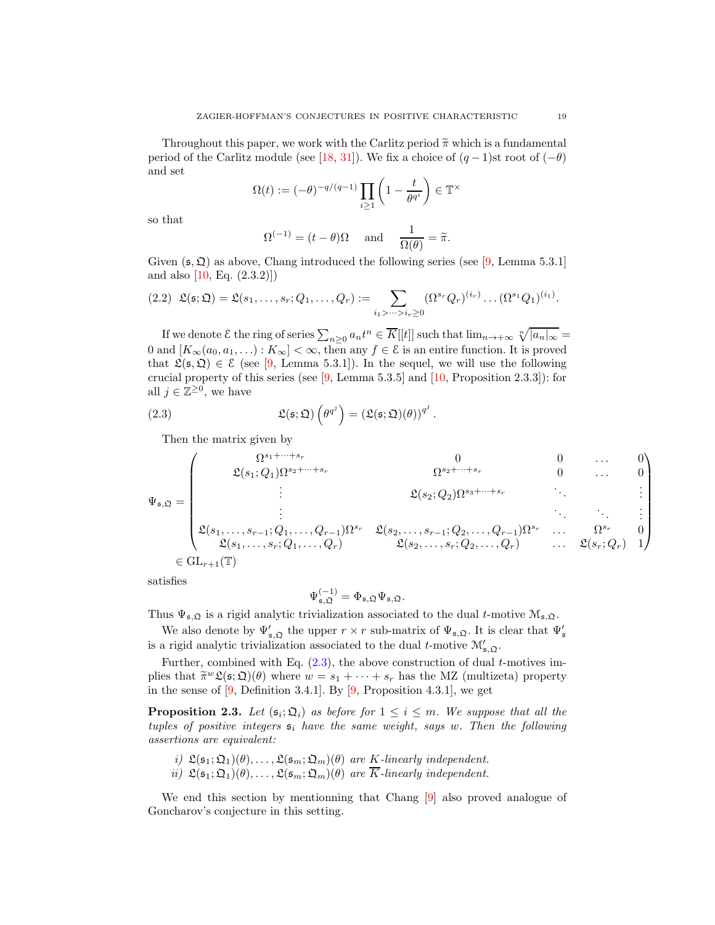Throughout this paper, we work with the Carlitz period  $\tilde{\pi}$  which is a fundamental period of the Carlitz module (see [\[18,](#page-39-24) [31\]](#page-39-9)). We fix a choice of  $(q-1)$ st root of  $(-\theta)$ and set

$$
\Omega(t) := (-\theta)^{-q/(q-1)} \prod_{i \ge 1} \left( 1 - \frac{t}{\theta^{q^i}} \right) \in \mathbb{T}^\times
$$

so that

$$
\Omega^{(-1)} = (t - \theta)\Omega
$$
 and  $\frac{1}{\Omega(\theta)} = \tilde{\pi}.$ 

Given  $(\mathfrak{s}, \mathfrak{Q})$  as above, Chang introduced the following series (see [\[9,](#page-39-19) Lemma 5.3.1] and also  $[10, Eq. (2.3.2)]$ 

$$
(2.2) \mathfrak{L}(\mathfrak{s};\mathfrak{Q}) = \mathfrak{L}(s_1,\ldots,s_r;Q_1,\ldots,Q_r) := \sum_{i_1 > \cdots > i_r \geq 0} (\Omega^{s_r} Q_r)^{(i_r)} \ldots (\Omega^{s_1} Q_1)^{(i_1)}.
$$

If we denote  $\mathcal E$  the ring of series  $\sum_{n\geq 0} a_nt^n \in \overline K[[t]]$  such that  $\lim_{n\to+\infty} \sqrt[n]{|a_n|_\infty} =$ 0 and  $[K_{\infty}(a_0, a_1, \ldots) : K_{\infty}] < \infty$ , then any  $f \in \mathcal{E}$  is an entire function. It is proved that  $\mathfrak{L}(s, \mathfrak{Q}) \in \mathcal{E}$  (see [\[9,](#page-39-19) Lemma 5.3.1]). In the sequel, we will use the following crucial property of this series (see [\[9,](#page-39-19) Lemma 5.3.5] and [\[10,](#page-39-21) Proposition 2.3.3]): for all  $j \in \mathbb{Z}^{\geq 0}$ , we have

(2.3) 
$$
\mathfrak{L}(\mathfrak{s};\mathfrak{Q})\left(\theta^{q^j}\right) = \left(\mathfrak{L}(\mathfrak{s};\mathfrak{Q})(\theta)\right)^{q^j}.
$$

<span id="page-18-0"></span>Then the matrix given by

$$
\Psi_{\mathfrak{s},\mathfrak{Q}} = \begin{pmatrix}\n\Omega^{s_1 + \dots + s_r} & 0 & 0 & \dots & 0 \\
\mathfrak{L}(s_1; Q_1)\Omega^{s_2 + \dots + s_r} & \Omega^{s_2 + \dots + s_r} & 0 & \dots & 0 \\
\vdots & \vdots & \vdots & \ddots & \vdots \\
\mathfrak{L}(s_1, \dots, s_{r-1}; Q_1, \dots, Q_{r-1})\Omega^{s_r} & \mathfrak{L}(s_2, \dots, s_{r-1}; Q_2, \dots, Q_{r-1})\Omega^{s_r} & \dots & \Omega^{s_r} \\
\vdots & \vdots & \vdots & \ddots & \vdots \\
\mathfrak{L}(s_1, \dots, s_r; Q_1, \dots, Q_r) & \mathfrak{L}(s_2, \dots, s_r; Q_2, \dots, Q_r) & \dots & \Omega^{s_r} & 0 \\
\mathfrak{L}(s_{r+1}(\mathbb{T}) & \dots & \mathfrak{L}(s_r; Q_r) & 1\n\end{pmatrix}
$$

satisfies

$$
\Psi_{\mathfrak{s},\mathfrak{Q}}^{(-1)}=\Phi_{\mathfrak{s},\mathfrak{Q}}\Psi_{\mathfrak{s},\mathfrak{Q}}.
$$

Thus  $\Psi_{\mathfrak{s},\mathfrak{Q}}$  is a rigid analytic trivialization associated to the dual t-motive  $\mathcal{M}_{\mathfrak{s},\mathfrak{Q}}$ .

We also denote by  $\Psi'_{\mathfrak{s},\mathfrak{Q}}$  the upper  $r \times r$  sub-matrix of  $\Psi_{\mathfrak{s},\mathfrak{Q}}$ . It is clear that  $\Psi'_{\mathfrak{s}}$ is a rigid analytic trivialization associated to the dual *t*-motive  $\mathcal{M}'_{\mathfrak{s}, \mathfrak{Q}}$ .

Further, combined with Eq.  $(2.3)$ , the above construction of dual t-motives implies that  $\tilde{\pi}^w \mathfrak{L}(\mathfrak{s}; \mathfrak{Q})(\theta)$  where  $w = s_1 + \cdots + s_r$  has the MZ (multizeta) property in the sense of  $[9,$  Definition 3.4.1]. By  $[9,$  Proposition 4.3.1], we get

<span id="page-18-1"></span>**Proposition 2.3.** Let  $(\mathfrak{s}_i; \mathfrak{Q}_i)$  as before for  $1 \leq i \leq m$ . We suppose that all the tuples of positive integers  $s_i$  have the same weight, says w. Then the following assertions are equivalent:

i)  $\mathfrak{L}(\mathfrak{s}_1; \mathfrak{Q}_1)(\theta), \ldots, \mathfrak{L}(\mathfrak{s}_m; \mathfrak{Q}_m)(\theta)$  are K-linearly independent. ii)  $\mathfrak{L}(\mathfrak{s}_1; \mathfrak{Q}_1)(\theta), \ldots, \mathfrak{L}(\mathfrak{s}_m; \mathfrak{Q}_m)(\theta)$  are  $\overline{K}$ -linearly independent.

We end this section by mentionning that Chang [\[9\]](#page-39-19) also proved analogue of Goncharov's conjecture in this setting.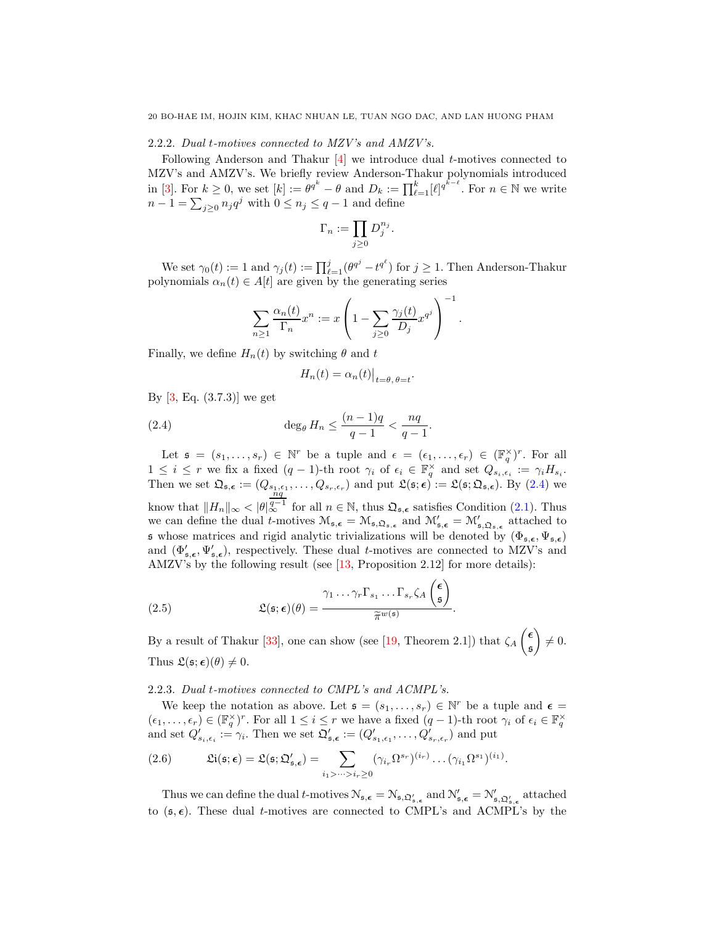#### 2.2.2. Dual t-motives connected to MZV's and AMZV's.

Following Anderson and Thakur  $[4]$  we introduce dual *t*-motives connected to MZV's and AMZV's. We briefly review Anderson-Thakur polynomials introduced in [\[3\]](#page-38-3). For  $k \geq 0$ , we set  $[k] := \theta^{q^k} - \theta$  and  $D_k := \prod_{\ell=1}^k [\ell]^{q^{k-\ell}}$ . For  $n \in \mathbb{N}$  we write  $n-1 = \sum_{j\geq 0} n_j q^j$  with  $0 \leq n_j \leq q-1$  and define

$$
\Gamma_n := \prod_{j \ge 0} D_j^{n_j}.
$$

We set  $\gamma_0(t) := 1$  and  $\gamma_j(t) := \prod_{\ell=1}^j (\theta^{q^j} - t^{q^{\ell}})$  for  $j \ge 1$ . Then Anderson-Thakur polynomials  $\alpha_n(t) \in A[t]$  are given by the generating series

$$
\sum_{n\geq 1} \frac{\alpha_n(t)}{\Gamma_n} x^n := x \left( 1 - \sum_{j\geq 0} \frac{\gamma_j(t)}{D_j} x^{q^j} \right)^{-1}.
$$

Finally, we define  $H_n(t)$  by switching  $\theta$  and t

<span id="page-19-0"></span>
$$
H_n(t) = \alpha_n(t)|_{t=\theta, \theta=t}.
$$

By  $[3, Eq. (3.7.3)]$  we get

(2.4) 
$$
\deg_{\theta} H_n \le \frac{(n-1)q}{q-1} < \frac{nq}{q-1}.
$$

Let  $\mathfrak{s} = (s_1, \ldots, s_r) \in \mathbb{N}^r$  be a tuple and  $\epsilon = (\epsilon_1, \ldots, \epsilon_r) \in (\mathbb{F}_q^{\times})^r$ . For all  $1 \leq i \leq r$  we fix a fixed  $(q-1)$ -th root  $\gamma_i$  of  $\epsilon_i \in \mathbb{F}_q^{\times}$  and set  $Q_{s_i,\epsilon_i} := \gamma_i H_{s_i}$ . Then we set  $\mathfrak{Q}_{\mathfrak{s},\boldsymbol{\epsilon}} := (Q_{s_1,\epsilon_1}, \ldots, Q_{s_r,\epsilon_r})$  and put  $\mathfrak{L}(\mathfrak{s};\boldsymbol{\epsilon}) := \mathfrak{L}(\mathfrak{s};\mathfrak{Q}_{\mathfrak{s},\boldsymbol{\epsilon}})$ . By  $(2.4)$  we know that  $||H_n||_{\infty} < |\theta|_{\infty}^{q-1}$  for all  $n \in \mathbb{N}$ , thus  $\mathfrak{Q}_{\mathfrak{s},\epsilon}$  satisfies Condition [\(2.1\)](#page-17-0). Thus we can define the dual t-motives  $\mathcal{M}_{\mathfrak{s},\epsilon} = \mathcal{M}_{\mathfrak{s},\mathfrak{Q}_{\mathfrak{s},\epsilon}}$  and  $\mathcal{M}'_{\mathfrak{s},\epsilon} = \mathcal{M}'_{\mathfrak{s},\mathfrak{Q}_{\mathfrak{s},\epsilon}}$  attached to s whose matrices and rigid analytic trivializations will be denoted by  $(\Phi_{\mathfrak{s},\epsilon}, \Psi_{\mathfrak{s},\epsilon})$ and  $(\Phi_{\mathfrak{s},\epsilon}', \Psi_{\mathfrak{s},\epsilon}')$ , respectively. These dual t-motives are connected to MZV's and AMZV's by the following result (see [\[13,](#page-39-22) Proposition 2.12] for more details):

<span id="page-19-2"></span>(2.5) 
$$
\mathfrak{L}(\mathfrak{s}; \epsilon)(\theta) = \frac{\gamma_1 \dots \gamma_r \Gamma_{s_1} \dots \Gamma_{s_r} \zeta_A \left(\frac{\epsilon}{\mathfrak{s}}\right)}{\widetilde{\pi}^{w(\mathfrak{s})}}
$$

By a result of Thakur [\[33\]](#page-39-15), one can show (see [\[19,](#page-39-4) Theorem 2.1]) that  $\zeta_A$  $\sqrt{\epsilon}$ s  $\overline{ }$  $\neq 0.$ Thus  $\mathfrak{L}(\mathfrak{s}; \epsilon)(\theta) \neq 0$ .

.

#### <span id="page-19-1"></span>2.2.3. Dual t-motives connected to CMPL's and ACMPL's.

We keep the notation as above. Let  $\mathfrak{s} = (s_1, \ldots, s_r) \in \mathbb{N}^r$  be a tuple and  $\epsilon =$  $(\epsilon_1,\ldots,\epsilon_r) \in (\mathbb{F}_q^{\times})^r$ . For all  $1 \leq i \leq r$  we have a fixed  $(q-1)$ -th root  $\gamma_i$  of  $\epsilon_i \in \mathbb{F}_q^{\times}$ and set  $Q'_{s_i,\epsilon_i} := \gamma_i$ . Then we set  $\mathfrak{Q}'_{s_i,\epsilon} := (Q'_{s_1,\epsilon_1}, \ldots, Q'_{s_r,\epsilon_r})$  and put

(2.6) 
$$
\mathfrak{Li}(\mathfrak{s};\epsilon) = \mathfrak{L}(\mathfrak{s};\Omega'_{\mathfrak{s},\epsilon}) = \sum_{i_1 > \cdots > i_r \geq 0} (\gamma_{i_r} \Omega^{s_r})^{(i_r)} \cdots (\gamma_{i_1} \Omega^{s_1})^{(i_1)}.
$$

Thus we can define the dual t-motives  $\mathcal{N}_{\mathfrak{s}, \epsilon} = \mathcal{N}_{\mathfrak{s}, \mathfrak{Q}'_{\mathfrak{s}, \epsilon}}$  and  $\mathcal{N}'_{\mathfrak{s}, \epsilon} = \mathcal{N}'_{\mathfrak{s}, \mathfrak{Q}'_{\mathfrak{s}, \epsilon}}$  attached to  $(\mathfrak{s}, \epsilon)$ . These dual t-motives are connected to CMPL's and ACMPL's by the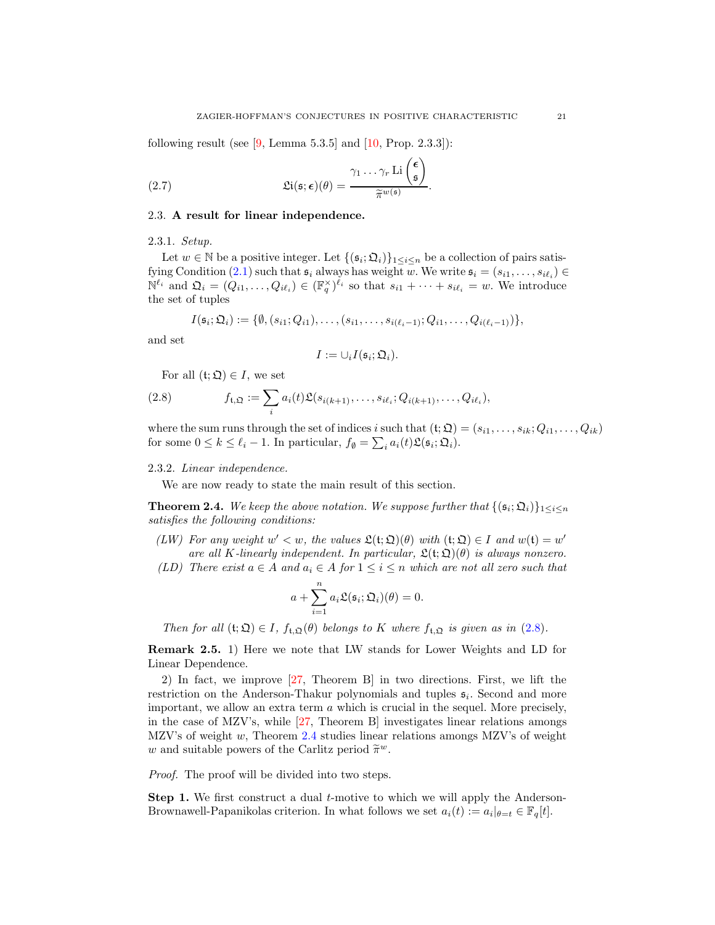following result (see  $[9, \text{Lemma } 5.3.5]$  and  $[10, \text{Prop. } 2.3.3]$ ):

(2.7) 
$$
\mathfrak{Li}(\mathfrak{s};\epsilon)(\theta) = \frac{\gamma_1 \dots \gamma_r \operatorname{Li}\left(\frac{\epsilon}{\mathfrak{s}}\right)}{\widetilde{\pi}^{w(\mathfrak{s})}}.
$$

#### 2.3. A result for linear independence.

2.3.1. Setup.

Let  $w \in \mathbb{N}$  be a positive integer. Let  $\{(\mathfrak{s}_i; \mathfrak{Q}_i)\}_{1 \leq i \leq n}$  be a collection of pairs satis-fying Condition [\(2.1\)](#page-17-0) such that  $\mathfrak{s}_i$  always has weight w. We write  $\mathfrak{s}_i = (s_{i1}, \ldots, s_{i\ell_i}) \in$  $\mathbb{N}^{\ell_i}$  and  $\mathfrak{Q}_i = (Q_{i1}, \ldots, Q_{i\ell_i}) \in (\mathbb{F}_q^{\times})^{\ell_i}$  so that  $s_{i1} + \cdots + s_{i\ell_i} = w$ . We introduce the set of tuples

$$
I(\mathfrak{s}_i; \mathfrak{Q}_i) := \{ \emptyset, (s_{i1}; Q_{i1}), \ldots, (s_{i1}, \ldots, s_{i(\ell_i-1)}; Q_{i1}, \ldots, Q_{i(\ell_i-1)}) \},
$$

and set

$$
I:=\cup_i I(\mathfrak{s}_i;\mathfrak{Q}_i).
$$

<span id="page-20-1"></span>For all  $(t; \mathfrak{Q}) \in I$ , we set

(2.8) 
$$
f_{t,\mathfrak{Q}} := \sum_{i} a_i(t) \mathfrak{L}(s_{i(k+1)}, \ldots, s_{i\ell_i}; Q_{i(k+1)}, \ldots, Q_{i\ell_i}),
$$

where the sum runs through the set of indices i such that  $(t; \Omega) = (s_{i1}, \ldots, s_{ik}; Q_{i1}, \ldots, Q_{ik})$ for some  $0 \leq k \leq \ell_i - 1$ . In particular,  $f_{\emptyset} = \sum_i a_i(t) \mathfrak{L}(\mathfrak{s}_i; \mathfrak{Q}_i)$ .

### 2.3.2. Linear independence.

We are now ready to state the main result of this section.

<span id="page-20-0"></span>**Theorem 2.4.** We keep the above notation. We suppose further that  $\{(\mathfrak{s}_i; \mathfrak{Q}_i)\}_{1 \leq i \leq n}$ satisfies the following conditions:

- (LW) For any weight  $w' < w$ , the values  $\mathfrak{L}(\mathfrak{t}; \mathfrak{Q})(\theta)$  with  $(\mathfrak{t}; \mathfrak{Q}) \in I$  and  $w(\mathfrak{t}) = w'$ are all K-linearly independent. In particular,  $\mathfrak{L}(\mathfrak{t};\mathfrak{Q})(\theta)$  is always nonzero.
- (LD) There exist  $a \in A$  and  $a_i \in A$  for  $1 \leq i \leq n$  which are not all zero such that

$$
a + \sum_{i=1}^{n} a_i \mathfrak{L}(\mathfrak{s}_i; \mathfrak{Q}_i)(\theta) = 0.
$$

Then for all  $(t; \Omega) \in I$ ,  $f_{t,\Omega}(\theta)$  belongs to K where  $f_{t,\Omega}$  is given as in [\(2.8\)](#page-20-1).

Remark 2.5. 1) Here we note that LW stands for Lower Weights and LD for Linear Dependence.

2) In fact, we improve [\[27,](#page-39-18) Theorem B] in two directions. First, we lift the restriction on the Anderson-Thakur polynomials and tuples  $\mathfrak{s}_i$ . Second and more important, we allow an extra term  $a$  which is crucial in the sequel. More precisely, in the case of MZV's, while [\[27,](#page-39-18) Theorem B] investigates linear relations amongs MZV's of weight w, Theorem [2.4](#page-20-0) studies linear relations amongs MZV's of weight w and suitable powers of the Carlitz period  $\widetilde{\pi}^w$ .

Proof. The proof will be divided into two steps.

**Step 1.** We first construct a dual *t*-motive to which we will apply the Anderson-Brownawell-Papanikolas criterion. In what follows we set  $a_i(t) := a_i|_{\theta=t} \in \mathbb{F}_q[t]$ .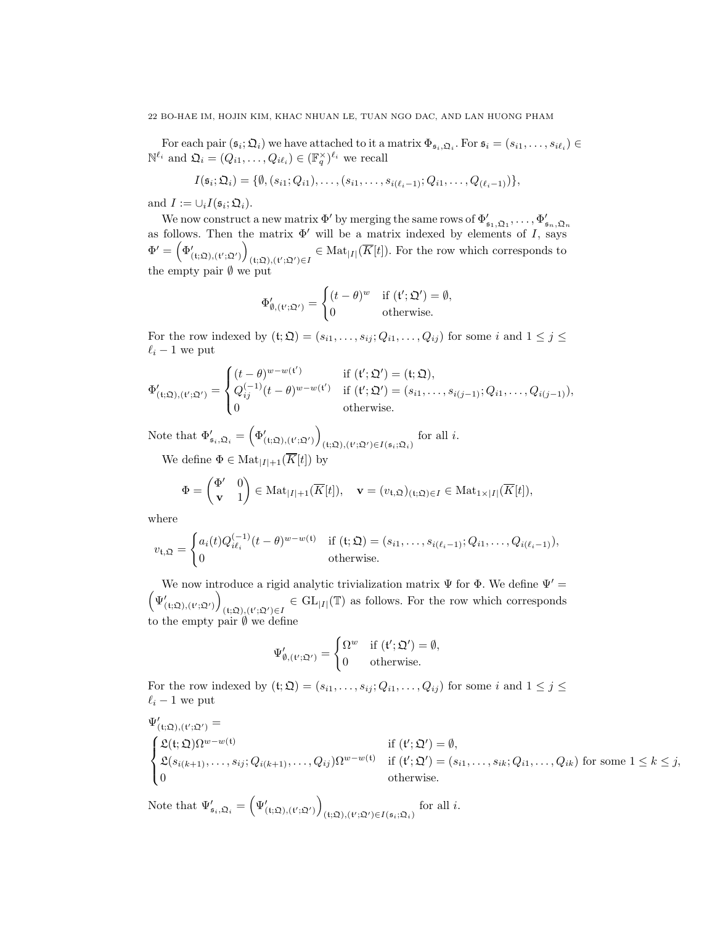For each pair  $(\mathfrak{s}_i; \mathfrak{Q}_i)$  we have attached to it a matrix  $\Phi_{\mathfrak{s}_i, \mathfrak{Q}_i}$ . For  $\mathfrak{s}_i = (s_{i1}, \ldots, s_{i\ell_i}) \in$  $\mathbb{N}^{\ell_i}$  and  $\mathfrak{Q}_i = (Q_{i1}, \ldots, Q_{i\ell_i}) \in (\mathbb{F}_q^{\times})^{\ell_i}$  we recall

$$
I(\mathfrak{s}_i; \mathfrak{Q}_i) = \{ \emptyset, (s_{i1}; Q_{i1}), \dots, (s_{i1}, \dots, s_{i(\ell_i-1)}; Q_{i1}, \dots, Q_{(\ell_i-1)}) \},
$$

and  $I := \cup_i I(\mathfrak{s}_i; \mathfrak{Q}_i)$ .

We now construct a new matrix  $\Phi'$  by merging the same rows of  $\Phi'_{s_1, \mathfrak{Q}_1}, \ldots, \Phi'_{s_n, \mathfrak{Q}_n}$ as follows. Then the matrix  $\Phi'$  will be a matrix indexed by elements of I, says  $\Phi' = \left( \Phi'_{(\mathfrak{t}; \mathfrak{Q}), (\mathfrak{t}'; \mathfrak{Q}')} \right)$  $\overline{ }$  $(t, \mathfrak{Q})$ , $(t', \mathfrak{Q}') \in I$   $\in$  Mat<sub> $|I|$ </sub> $(K[t])$ . For the row which corresponds to the empty pair  $\emptyset$  we put

$$
\Phi'_{\emptyset,(\mathfrak{t}';\mathfrak{Q}')} = \begin{cases} (t-\theta)^w & \text{if } (\mathfrak{t}';\mathfrak{Q}') = \emptyset, \\ 0 & \text{otherwise.} \end{cases}
$$

For the row indexed by  $(t; \mathfrak{Q}) = (s_{i1}, \ldots, s_{ij}; Q_{i1}, \ldots, Q_{ij})$  for some i and  $1 \leq j \leq i$  $\ell_i - 1$  we put

$$
\Phi'_{(\mathfrak{t};\mathfrak{Q}),(\mathfrak{t}';\mathfrak{Q}')} = \begin{cases}\n(t-\theta)^{w-w(\mathfrak{t}')} & \text{if } (\mathfrak{t}';\mathfrak{Q}') = (\mathfrak{t};\mathfrak{Q}), \\
Q_{ij}^{(-1)}(t-\theta)^{w-w(\mathfrak{t}')} & \text{if } (\mathfrak{t}';\mathfrak{Q}') = (s_{i1},\ldots,s_{i(j-1)};Q_{i1},\ldots,Q_{i(j-1)}), \\
0 & \text{otherwise.} \n\end{cases}
$$

Note that  $\Phi'_{\mathfrak{s}_i, \mathfrak{Q}_i} = \left( \Phi'_{(\mathfrak{t}; \mathfrak{Q}), (\mathfrak{t}'; \mathfrak{Q}')} \right)$  $\overline{ }$  $(t;\mathfrak{Q}), (t';\mathfrak{Q}') \in I(\mathfrak{s}_i;\mathfrak{Q}_i)$  for all i.

We define  $\Phi \in Mat_{|I|+1}(\overline{K}[t])$  by

$$
\Phi = \begin{pmatrix} \Phi' & 0 \\ \mathbf{v} & 1 \end{pmatrix} \in \text{Mat}_{|I|+1}(\overline{K}[t]), \quad \mathbf{v} = (v_{\mathfrak{t}, \mathfrak{Q}})_{(\mathfrak{t}; \mathfrak{Q}) \in I} \in \text{Mat}_{1 \times |I|}(\overline{K}[t]),
$$

where

$$
v_{\mathfrak{t},\mathfrak{Q}} = \begin{cases} a_i(t)Q_{i\ell_i}^{(-1)}(t-\theta)^{w-w(\mathfrak{t})} & \text{if } (\mathfrak{t};\mathfrak{Q}) = (s_{i1},\ldots,s_{i(\ell_i-1)};Q_{i1},\ldots,Q_{i(\ell_i-1)}), \\ 0 & \text{otherwise.} \end{cases}
$$

 $\left( \Psi'_{\left( \mathfrak{t};\mathfrak{Q}\right) ,\left( \mathfrak{t}^{\prime};\mathfrak{Q}^{\prime}\right) }\right)$ We now introduce a rigid analytic trivialization matrix  $\Psi$  for  $\Phi$ . We define  $\Psi' =$  $\setminus$  $(t, \mathfrak{Q})$ , $(t', \mathfrak{Q}') \in I \in GL_{|I|}(\mathbb{T})$  as follows. For the row which corresponds to the empty pair  $\emptyset$  we define

$$
\Psi_{\emptyset,(\mathfrak{t}';\mathfrak{Q}')}^{\prime} = \begin{cases} \Omega^w & \text{if } (\mathfrak{t}';\mathfrak{Q}') = \emptyset, \\ 0 & \text{otherwise.} \end{cases}
$$

For the row indexed by  $(t; \mathfrak{Q}) = (s_{i1}, \ldots, s_{ij}; Q_{i1}, \ldots, Q_{ij})$  for some i and  $1 \leq j \leq i$  $\ell_i - 1$  we put

$$
\Psi'_{(t;\mathfrak{Q}), (t';\mathfrak{Q}')} =
$$
\n
$$
\begin{cases}\n\mathfrak{L}(t;\mathfrak{Q})\Omega^{w-w(t)} & \text{if } (t';\mathfrak{Q}') = \emptyset, \\
\mathfrak{L}(s_{i(k+1)},\ldots,s_{ij};Q_{i(k+1)},\ldots,Q_{ij})\Omega^{w-w(t)} & \text{if } (t';\mathfrak{Q}') = (s_{i1},\ldots,s_{ik};Q_{i1},\ldots,Q_{ik}) \text{ for some } 1 \leq k \leq j, \\
0 & \text{otherwise.} \n\end{cases}
$$

Note that  $\Psi'_{\mathfrak{s}_i, \mathfrak{Q}_i} = \left(\Psi'_{(\mathfrak{t}; \mathfrak{Q}), (\mathfrak{t}'; \mathfrak{Q}')} \right)$  $\overline{ }$ (t; $\Omega$ ),(t'; $\Omega'$ ) $\in I(\mathfrak{s}_i; \Omega_i)$  for all *i*.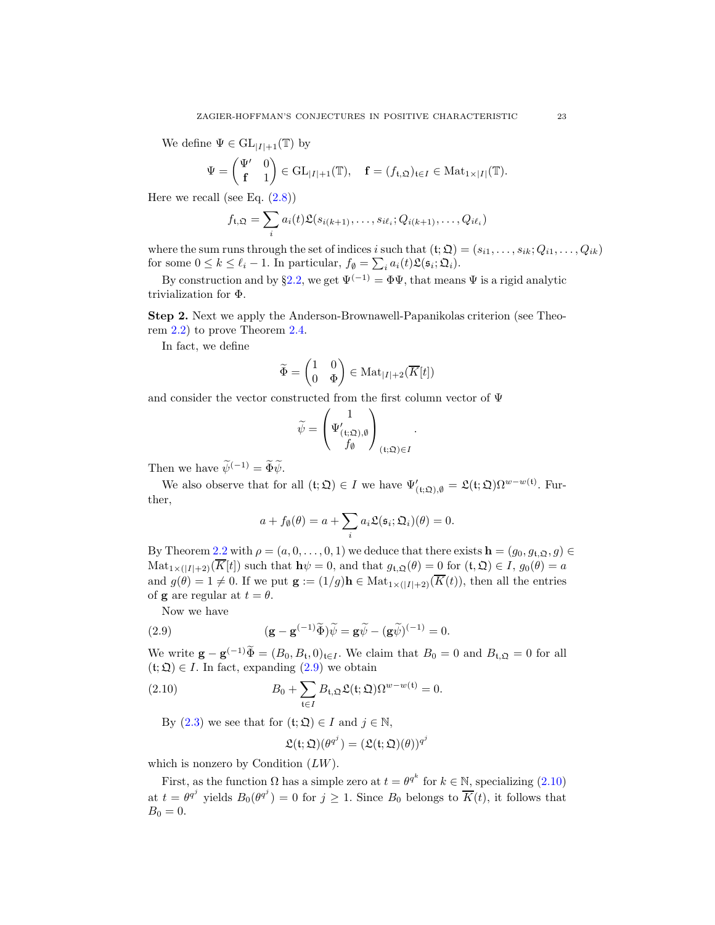We define  $\Psi \in GL_{|I|+1}(\mathbb{T})$  by

$$
\Psi = \begin{pmatrix} \Psi' & 0 \\ \mathbf{f} & 1 \end{pmatrix} \in \mathrm{GL}_{|I|+1}(\mathbb{T}), \quad \mathbf{f} = (f_{\mathfrak{t}, \mathfrak{Q}})_{\mathfrak{t} \in I} \in \mathrm{Mat}_{1 \times |I|}(\mathbb{T}).
$$

Here we recall (see Eq.  $(2.8)$ )

$$
f_{\mathfrak{t},\mathfrak{Q}}=\sum_{i}a_i(t)\mathfrak{L}(s_{i(k+1)},\ldots,s_{i\ell_i};Q_{i(k+1)},\ldots,Q_{i\ell_i})
$$

where the sum runs through the set of indices i such that  $(t; \mathfrak{Q}) = (s_{i1}, \ldots, s_{ik}; Q_{i1}, \ldots, Q_{ik})$ for some  $0 \leq k \leq \ell_i - 1$ . In particular,  $f_{\emptyset} = \sum_i a_i(t) \mathfrak{L}(\mathfrak{s}_i; \mathfrak{Q}_i)$ .

By construction and by §[2.2,](#page-17-1) we get  $\Psi^{(-1)} = \Phi \Psi$ , that means  $\Psi$  is a rigid analytic trivialization for Φ.

Step 2. Next we apply the Anderson-Brownawell-Papanikolas criterion (see Theorem [2.2\)](#page-17-2) to prove Theorem [2.4.](#page-20-0)

In fact, we define

$$
\widetilde{\Phi} = \begin{pmatrix} 1 & 0 \\ 0 & \Phi \end{pmatrix} \in \operatorname{Mat}_{|I|+2}(\overline{K}[t])
$$

and consider the vector constructed from the first column vector of  $\Psi$ 

$$
\widetilde{\psi} = \begin{pmatrix} 1 \\ \Psi'_{(\mathfrak{t}; \mathfrak{Q}), \emptyset} \\ f_{\emptyset} \end{pmatrix}_{(\mathfrak{t}; \mathfrak{Q}) \in I}
$$

.

Then we have  $\widetilde{\psi}^{(-1)} = \widetilde{\Phi}\widetilde{\psi}$ .

We also observe that for all  $(t; \Omega) \in I$  we have  $\Psi'_{(t; \Omega), \emptyset} = \mathfrak{L}(t; \Omega) \Omega^{w-w(t)}$ . Further,

$$
a + f_{\emptyset}(\theta) = a + \sum_{i} a_i \mathfrak{L}(\mathfrak{s}_i; \mathfrak{Q}_i)(\theta) = 0.
$$

By Theorem [2.2](#page-17-2) with  $\rho = (a, 0, \ldots, 0, 1)$  we deduce that there exists  $\mathbf{h} = (g_0, g_{t, \mathfrak{Q}}, g) \in$  $\text{Mat}_{1\times (|I|+2)}(\overline{K}[t])$  such that  $\mathbf{h}\psi=0$ , and that  $g_{t,\mathfrak{Q}}(\theta)=0$  for  $(t,\mathfrak{Q})\in I$ ,  $g_0(\theta)=a$ and  $g(\theta) = 1 \neq 0$ . If we put  $\mathbf{g} := (1/g)\mathbf{h} \in \text{Mat}_{1 \times (|I|+2)}(\overline{K}(t))$ , then all the entries of **g** are regular at  $t = \theta$ .

Now we have

<span id="page-22-0"></span>(2.9) 
$$
(\mathbf{g} - \mathbf{g}^{(-1)}\widetilde{\Phi})\widetilde{\psi} = \mathbf{g}\widetilde{\psi} - (\mathbf{g}\widetilde{\psi})^{(-1)} = 0.
$$

We write  $\mathbf{g} - \mathbf{g}^{(-1)}\tilde{\Phi} = (B_0, B_t, 0)_{t \in I}$ . We claim that  $B_0 = 0$  and  $B_{t,\mathfrak{Q}} = 0$  for all  $(t; \Omega) \in I$ . In fact, expanding  $(2.9)$  we obtain

(2.10) 
$$
B_0 + \sum_{\mathfrak{t} \in I} B_{\mathfrak{t}, \mathfrak{Q}} \mathfrak{L}(\mathfrak{t}; \mathfrak{Q}) \Omega^{w-w(\mathfrak{t})} = 0.
$$

By  $(2.3)$  we see that for  $(t; \Omega) \in I$  and  $j \in \mathbb{N}$ ,

<span id="page-22-1"></span>
$$
\mathfrak{L}(\mathfrak{t};\mathfrak{Q})(\theta^{q^j})=(\mathfrak{L}(\mathfrak{t};\mathfrak{Q})(\theta))^{q^j}
$$

which is nonzero by Condition  $(LW)$ .

First, as the function  $\Omega$  has a simple zero at  $t = \theta^{q^k}$  for  $k \in \mathbb{N}$ , specializing [\(2.10\)](#page-22-1) at  $t = \theta^{q^j}$  yields  $B_0(\theta^{q^j}) = 0$  for  $j \ge 1$ . Since  $B_0$  belongs to  $\overline{K}(t)$ , it follows that  $B_0 = 0.$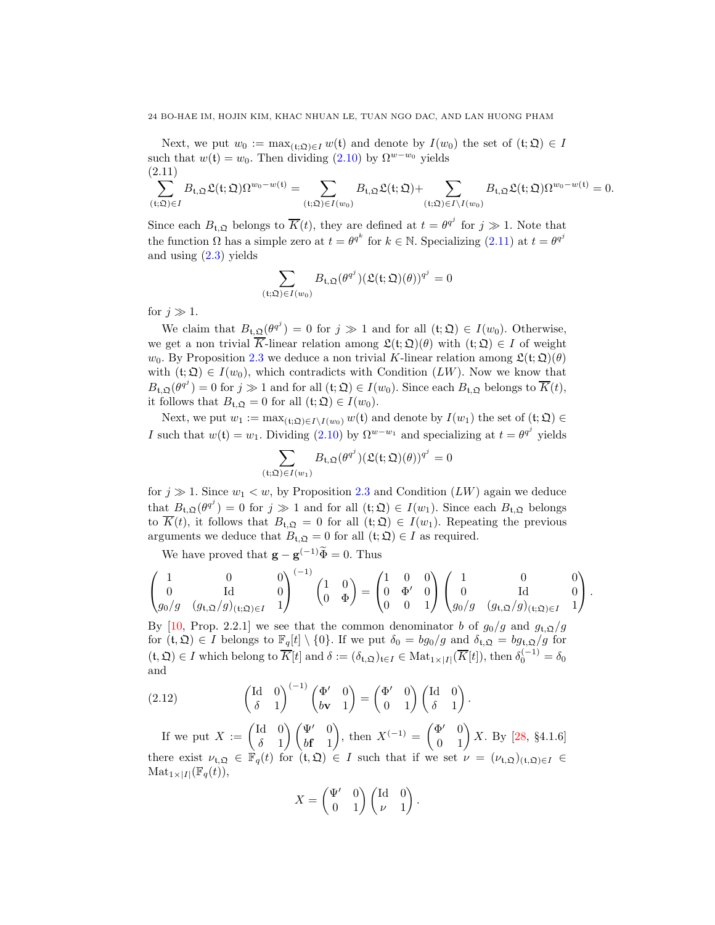#### 24 BO-HAE IM, HOJIN KIM, KHAC NHUAN LE, TUAN NGO DAC, AND LAN HUONG PHAM

Next, we put  $w_0 := \max_{(t,\Omega)\in I} w(t)$  and denote by  $I(w_0)$  the set of  $(t,\Omega) \in I$ such that  $w(t) = w_0$ . Then dividing  $(2.10)$  by  $\Omega^{w-w_0}$  yields (2.11)

<span id="page-23-0"></span>
$$
\sum_{(\mathfrak{t};\mathfrak{Q})\in I}B_{\mathfrak{t},\mathfrak{Q}}\mathfrak{L}(\mathfrak{t};\mathfrak{Q})\Omega^{w_0-w(\mathfrak{t})}=\sum_{(\mathfrak{t};\mathfrak{Q})\in I(w_0)}B_{\mathfrak{t},\mathfrak{Q}}\mathfrak{L}(\mathfrak{t};\mathfrak{Q})+\sum_{(\mathfrak{t};\mathfrak{Q})\in I\setminus I(w_0)}B_{\mathfrak{t},\mathfrak{Q}}\mathfrak{L}(\mathfrak{t};\mathfrak{Q})\Omega^{w_0-w(\mathfrak{t})}=0.
$$

Since each  $B_{t,\mathfrak{Q}}$  belongs to  $\overline{K}(t)$ , they are defined at  $t = \theta^{q^j}$  for  $j \gg 1$ . Note that the function  $\Omega$  has a simple zero at  $t = \theta^{q^k}$  for  $k \in \mathbb{N}$ . Specializing [\(2.11\)](#page-23-0) at  $t = \theta^{q^j}$ and using [\(2.3\)](#page-18-0) yields

$$
\sum_{(\mathfrak{t};\mathfrak{Q})\in I(w_0)}B_{\mathfrak{t},\mathfrak{Q}}(\theta^{q^j})(\mathfrak{L}(\mathfrak{t};\mathfrak{Q})(\theta))^{q^j}=0
$$

for  $j \gg 1$ .

We claim that  $B_{t,\mathfrak{Q}}(\theta^{q^j}) = 0$  for  $j \gg 1$  and for all  $(\mathfrak{t}; \mathfrak{Q}) \in I(w_0)$ . Otherwise, we get a non trivial  $\overline{K}$ -linear relation among  $\mathfrak{L}(\mathfrak{t};\mathfrak{Q})(\theta)$  with  $(\mathfrak{t};\mathfrak{Q})\in I$  of weight  $w_0$ . By Proposition [2.3](#page-18-1) we deduce a non trivial K-linear relation among  $\mathfrak{L}(\mathfrak{t};\mathfrak{Q})(\theta)$ with  $(t; \mathfrak{Q}) \in I(w_0)$ , which contradicts with Condition  $(LW)$ . Now we know that  $B_{\mathfrak{t},\mathfrak{Q}}(\theta^{q^j})=0$  for  $j\gg 1$  and for all  $(\mathfrak{t};\mathfrak{Q})\in I(w_0)$ . Since each  $B_{\mathfrak{t},\mathfrak{Q}}$  belongs to  $\overline{K}(t)$ , it follows that  $B_{\mathfrak{t},\mathfrak{Q}} = 0$  for all  $(\mathfrak{t}; \mathfrak{Q}) \in I(w_0)$ .

Next, we put  $w_1 := \max_{(\mathfrak{t}:\mathfrak{Q})\in I\setminus I(w_0)} w(\mathfrak{t})$  and denote by  $I(w_1)$  the set of  $(\mathfrak{t};\mathfrak{Q})\in I(w_1)$ I such that  $w(t) = w_1$ . Dividing [\(2.10\)](#page-22-1) by  $\Omega^{w-w_1}$  and specializing at  $t = \theta^{q^j}$  yields

$$
\sum_{(\mathfrak{t};\mathfrak{Q})\in I(w_1)}B_{\mathfrak{t},\mathfrak{Q}}(\theta^{q^j})(\mathfrak{L}(\mathfrak{t};\mathfrak{Q})(\theta))^{q^j}=0
$$

for  $j \gg 1$ . Since  $w_1 < w$ , by Proposition [2.3](#page-18-1) and Condition (*LW*) again we deduce that  $B_{\mathfrak{t},\mathfrak{Q}}(\theta^{q^j})=0$  for  $j\gg 1$  and for all  $(\mathfrak{t};\mathfrak{Q})\in I(w_1)$ . Since each  $B_{\mathfrak{t},\mathfrak{Q}}$  belongs to  $\overline{K}(t)$ , it follows that  $B_{t,\mathfrak{Q}} = 0$  for all  $(t;\mathfrak{Q}) \in I(w_1)$ . Repeating the previous arguments we deduce that  $B_{t,\mathfrak{Q}} = 0$  for all  $(t;\mathfrak{Q}) \in I$  as required.

We have proved that  $\mathbf{g} - \mathbf{g}^{(-1)}\tilde{\Phi} = 0$ . Thus

$$
\begin{pmatrix} 1 & 0 & 0 \ 0 & \operatorname{Id} & 0 \ g_0/g & (g_{\mathfrak{t},\mathfrak{Q}}/g)_{(\mathfrak{t};\mathfrak{Q})\in I} & 1 \end{pmatrix}^{(-1)} \begin{pmatrix} 1 & 0 \ 0 & \Phi \end{pmatrix} = \begin{pmatrix} 1 & 0 & 0 \ 0 & \Phi' & 0 \ 0 & 0 & 1 \end{pmatrix} \begin{pmatrix} 1 & 0 & 0 \ 0 & \operatorname{Id} & 0 \ g_0/g & (g_{\mathfrak{t},\mathfrak{Q}}/g)_{(\mathfrak{t};\mathfrak{Q})\in I} & 1 \end{pmatrix}.
$$

By [\[10,](#page-39-21) Prop. 2.2.1] we see that the common denominator b of  $g_0/g$  and  $g_{t,\mathcal{Q}}/g$ for  $(t, \mathfrak{Q}) \in I$  belongs to  $\mathbb{F}_q[t] \setminus \{0\}$ . If we put  $\delta_0 = bg_0/g$  and  $\delta_{t,\mathfrak{Q}} = bg_{t,\mathfrak{Q}}/g$  for  $(\mathfrak{t}, \mathfrak{Q}) \in I$  which belong to  $\overline{K}[t]$  and  $\delta := (\delta_{\mathfrak{t}, \mathfrak{Q}})_{\mathfrak{t} \in I} \in \mathrm{Mat}_{1 \times |I|}(\overline{K}[t])$ , then  $\delta_0^{(-1)} = \delta_0$ and  $(–1)$ 

<span id="page-23-1"></span>(2.12) 
$$
\begin{pmatrix} \text{Id} & 0 \\ \delta & 1 \end{pmatrix}^{(-1)} \begin{pmatrix} \Phi' & 0 \\ b\mathbf{v} & 1 \end{pmatrix} = \begin{pmatrix} \Phi' & 0 \\ 0 & 1 \end{pmatrix} \begin{pmatrix} \text{Id} & 0 \\ \delta & 1 \end{pmatrix}.
$$

If we put  $X := \begin{pmatrix} \mathrm{Id} & 0 \\ s & 1 \end{pmatrix}$  $\delta$  1  $\left(\Psi'\right)$  0  $b$ **f** 1 ), then  $X^{(-1)} = \begin{pmatrix} \Phi' & 0 \\ 0 & 1 \end{pmatrix} X$ . By [\[28,](#page-39-25) §4.1.6] there exist  $\nu_{t,\mathfrak{Q}} \in \mathbb{F}_q(t)$  for  $(t,\mathfrak{Q}) \in I$  such that if we set  $\nu = (\nu_{t,\mathfrak{Q}})_{(t,\mathfrak{Q})\in I} \in$  $\text{Mat}_{1\times |I|}(\mathbb{F}_q(t)),$ 

$$
X = \begin{pmatrix} \Psi' & 0 \\ 0 & 1 \end{pmatrix} \begin{pmatrix} \text{Id} & 0 \\ \nu & 1 \end{pmatrix}.
$$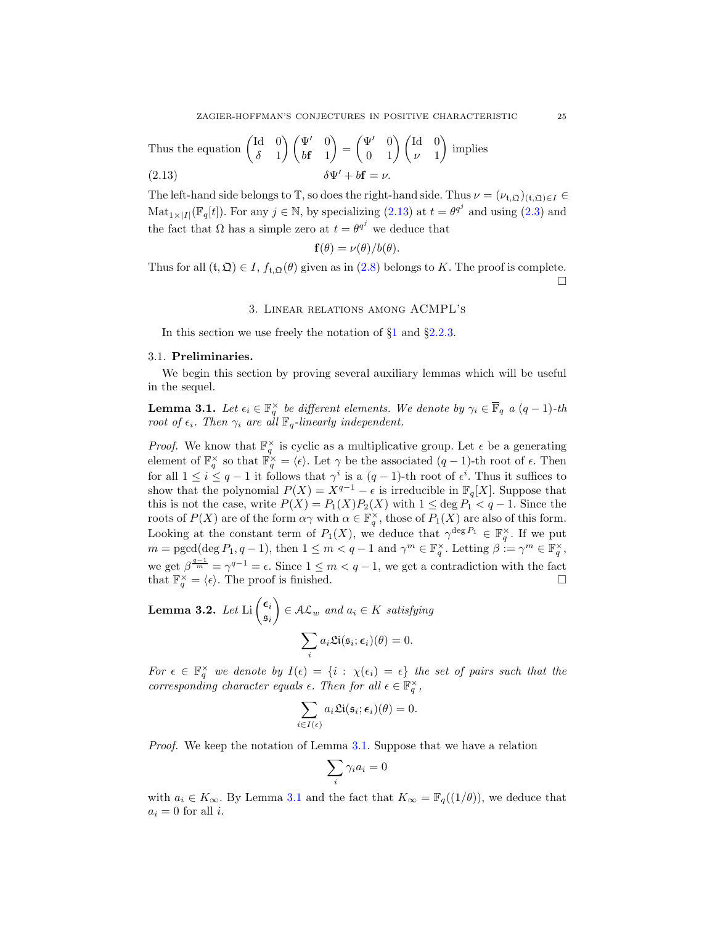Thus the equation  $\begin{pmatrix} \text{Id} & 0 \\ s & 1 \end{pmatrix}$  $\delta$  1  $\left(\Psi'\right)$  0  $b$ **f** 1  $\setminus$ =  $\begin{pmatrix} \Psi' & 0 \\ 0 & 1 \end{pmatrix} \begin{pmatrix} \mathrm{Id} & 0 \\ \nu & 1 \end{pmatrix}$  $\setminus$ implies  $(2.13)$  $\delta \Psi' + b$ **f** =  $\nu$ .

The left-hand side belongs to  $\mathbb{T}$ , so does the right-hand side. Thus  $\nu = (\nu_{t,\mathfrak{Q}})_{(t,\mathfrak{Q})\in I} \in$  $\text{Mat}_{1\times |I|}(\mathbb{F}_q[t])$ . For any  $j \in \mathbb{N}$ , by specializing  $(2.13)$  at  $t = \theta^{q^j}$  and using  $(2.3)$  and the fact that  $\Omega$  has a simple zero at  $t = \theta^{q^j}$  we deduce that

<span id="page-24-1"></span>
$$
\mathbf{f}(\theta) = \nu(\theta)/b(\theta).
$$

<span id="page-24-0"></span>Thus for all  $(t, \mathfrak{Q}) \in I$ ,  $f_{t,\mathfrak{Q}}(\theta)$  given as in [\(2.8\)](#page-20-1) belongs to K. The proof is complete.  $\Box$ 

## 3. Linear relations among ACMPL's

In this section we use freely the notation of §[1](#page-6-0) and §[2.2.3.](#page-19-1)

### 3.1. Preliminaries.

We begin this section by proving several auxiliary lemmas which will be useful in the sequel.

<span id="page-24-2"></span>**Lemma 3.1.** Let  $\epsilon_i \in \mathbb{F}_q^{\times}$  be different elements. We denote by  $\gamma_i \in \overline{\mathbb{F}}_q$  a  $(q-1)$ -th root of  $\epsilon_i$ . Then  $\gamma_i$  are all  $\mathbb{F}_q$ -linearly independent.

*Proof.* We know that  $\mathbb{F}_q^{\times}$  is cyclic as a multiplicative group. Let  $\epsilon$  be a generating element of  $\mathbb{F}_q^{\times}$  so that  $\mathbb{F}_q^{\times} = \langle \epsilon \rangle$ . Let  $\gamma$  be the associated  $(q-1)$ -th root of  $\epsilon$ . Then for all  $1 \leq i \leq q-1$  it follows that  $\gamma^i$  is a  $(q-1)$ -th root of  $\epsilon^i$ . Thus it suffices to show that the polynomial  $P(X) = X^{q-1} - \epsilon$  is irreducible in  $\mathbb{F}_q[X]$ . Suppose that this is not the case, write  $P(X) = P_1(X)P_2(X)$  with  $1 \leq \deg P_1 < q - 1$ . Since the roots of  $P(X)$  are of the form  $\alpha\gamma$  with  $\alpha \in \mathbb{F}_q^{\times}$ , those of  $P_1(X)$  are also of this form. Looking at the constant term of  $P_1(X)$ , we deduce that  $\gamma^{\deg P_1} \in \mathbb{F}_q^{\times}$ . If we put  $m = \text{pgcd}(\text{deg } P_1, q-1), \text{ then } 1 \leq m < q-1 \text{ and } \gamma^m \in \mathbb{F}_q^{\times}.$  Letting  $\beta := \gamma^m \in \mathbb{F}_q^{\times}$ , we get  $\beta^{\frac{q-1}{m}} = \gamma^{q-1} = \epsilon$ . Since  $1 \leq m < q-1$ , we get a contradiction with the fact that  $\mathbb{F}_q^{\times} = \langle \epsilon \rangle$ . The proof is finished.

<span id="page-24-3"></span>Lemma 3.2. Let Li $\Big(\frac{\epsilon_i}{\epsilon}\Big)$ si  $\Big) \in A \mathcal{L}_w$  and  $a_i \in K$  satisfying  $\overline{\phantom{0}}$ i  $a_i\mathfrak{Li}(\mathfrak{s}_i;\boldsymbol{\epsilon}_i)(\theta)=0.$ 

For  $\epsilon \in \mathbb{F}_q^{\times}$  we denote by  $I(\epsilon) = \{i : \chi(\epsilon_i) = \epsilon\}$  the set of pairs such that the corresponding character equals  $\epsilon$ . Then for all  $\epsilon \in \mathbb{F}_q^{\times}$ ,

$$
\sum_{i\in I(\epsilon)} a_i \mathfrak{Li}(\mathfrak{s}_i; \epsilon_i)(\theta) = 0.
$$

Proof. We keep the notation of Lemma [3.1.](#page-24-2) Suppose that we have a relation

$$
\sum_i \gamma_i a_i = 0
$$

with  $a_i \in K_\infty$ . By Lemma [3.1](#page-24-2) and the fact that  $K_\infty = \mathbb{F}_q((1/\theta))$ , we deduce that  $a_i = 0$  for all *i*.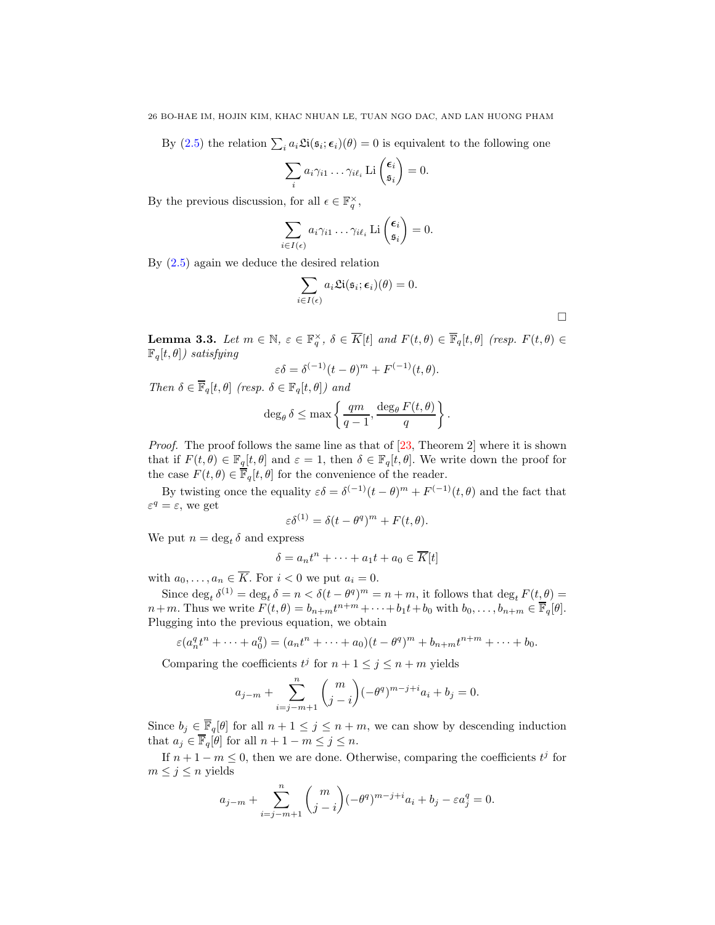By [\(2.5\)](#page-19-2) the relation  $\sum_i a_i \mathfrak{Li}(\mathfrak{s}_i; \epsilon_i) (\theta) = 0$  is equivalent to the following one

$$
\sum_i a_i \gamma_{i1} \ldots \gamma_{i\ell_i} \operatorname{Li}\left(\frac{\epsilon_i}{\mathfrak{s}_i}\right) = 0.
$$

By the previous discussion, for all  $\epsilon \in \mathbb{F}_q^{\times}$ ,

$$
\sum_{i\in I(\epsilon)} a_i \gamma_{i1} \dots \gamma_{i\ell_i} \operatorname{Li}\left(\frac{\epsilon_i}{\mathfrak{s}_i}\right) = 0.
$$

By [\(2.5\)](#page-19-2) again we deduce the desired relation

$$
\sum_{i \in I(\epsilon)} a_i \mathfrak{Li}(\mathfrak{s}_i; \epsilon_i)(\theta) = 0.
$$

<span id="page-25-0"></span>**Lemma 3.3.** Let  $m \in \mathbb{N}$ ,  $\varepsilon \in \mathbb{F}_q^{\times}$ ,  $\delta \in \overline{K}[t]$  and  $F(t, \theta) \in \overline{\mathbb{F}}_q[t, \theta]$  (resp.  $F(t, \theta) \in$  $\mathbb{F}_q[t,\theta]$ ) satisfying

$$
\varepsilon \delta = \delta^{(-1)}(t - \theta)^m + F^{(-1)}(t, \theta).
$$

Then  $\delta \in \overline{\mathbb{F}}_q[t,\theta]$  (resp.  $\delta \in \mathbb{F}_q[t,\theta]$ ) and

$$
\deg_{\theta} \delta \le \max \left\{ \frac{qm}{q-1}, \frac{\deg_{\theta} F(t, \theta)}{q} \right\}.
$$

Proof. The proof follows the same line as that of [\[23,](#page-39-23) Theorem 2] where it is shown that if  $F(t, \theta) \in \mathbb{F}_q[t, \theta]$  and  $\varepsilon = 1$ , then  $\delta \in \mathbb{F}_q[t, \theta]$ . We write down the proof for the case  $F(t, \theta) \in \overline{\mathbb{F}}_q[t, \theta]$  for the convenience of the reader.

By twisting once the equality  $\varepsilon \delta = \delta^{(-1)}(t-\theta)^m + F^{(-1)}(t,\theta)$  and the fact that  $\varepsilon^q = \varepsilon$ , we get

$$
\varepsilon \delta^{(1)} = \delta(t - \theta^q)^m + F(t, \theta).
$$

We put  $n = \deg_t \delta$  and express

$$
\delta = a_n t^n + \dots + a_1 t + a_0 \in \overline{K}[t]
$$

with  $a_0, \ldots, a_n \in \overline{K}$ . For  $i < 0$  we put  $a_i = 0$ .

Since  $\deg_t \delta^{(1)} = \deg_t \delta = n < \delta(t - \theta^q)^m = n + m$ , it follows that  $\deg_t F(t, \theta) =$  $n+m$ . Thus we write  $F(t,\theta) = b_{n+m}t^{n+m} + \cdots + b_1t + b_0$  with  $b_0, \ldots, b_{n+m} \in \overline{\mathbb{F}}_q[\theta]$ . Plugging into the previous equation, we obtain

$$
\varepsilon (a_n^q t^n + \dots + a_0^q) = (a_n t^n + \dots + a_0)(t - \theta^q)^m + b_{n+m} t^{n+m} + \dots + b_0.
$$

Comparing the coefficients  $t^j$  for  $n + 1 \le j \le n + m$  yields

$$
a_{j-m} + \sum_{i=j-m+1}^{n} {m \choose j-i} (-\theta^q)^{m-j+i} a_i + b_j = 0.
$$

Since  $b_j \in \overline{\mathbb{F}}_q[\theta]$  for all  $n+1 \leq j \leq n+m$ , we can show by descending induction that  $a_j \in \overline{\mathbb{F}}_q[\theta]$  for all  $n+1-m \leq j \leq n$ .

If  $n + 1 - m \leq 0$ , then we are done. Otherwise, comparing the coefficients  $t<sup>j</sup>$  for  $m \leq j \leq n$  yields

$$
a_{j-m} + \sum_{i=j-m+1}^{n} {m \choose j-i} (-\theta^q)^{m-j+i} a_i + b_j - \varepsilon a_j^q = 0.
$$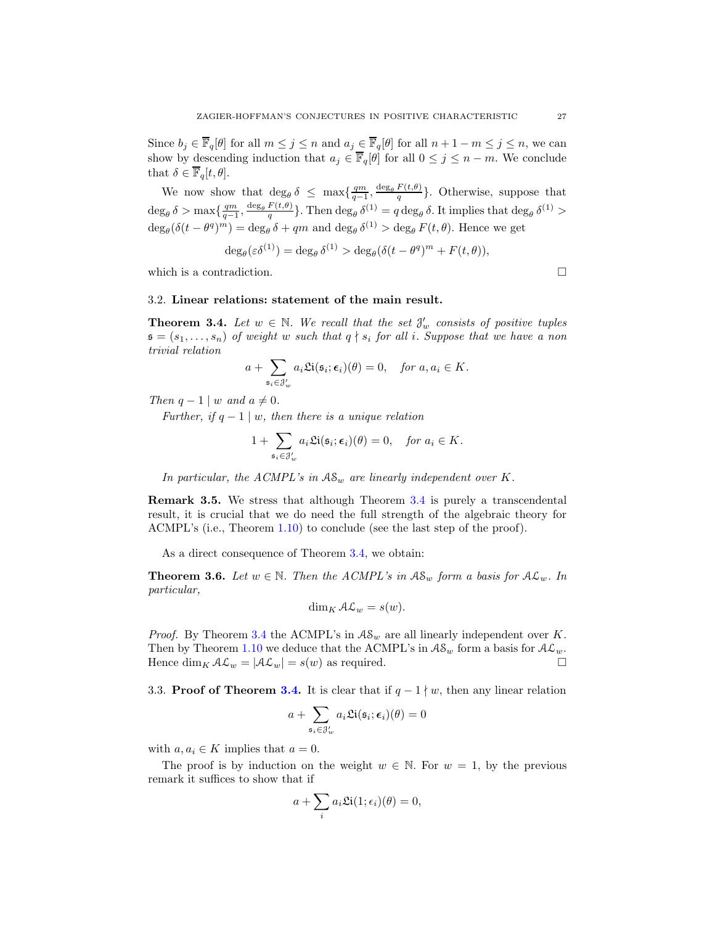Since  $b_j \in \overline{\mathbb{F}}_q[\theta]$  for all  $m \leq j \leq n$  and  $a_j \in \overline{\mathbb{F}}_q[\theta]$  for all  $n+1-m \leq j \leq n$ , we can show by descending induction that  $a_j \in \overline{\mathbb{F}}_q[\theta]$  for all  $0 \leq j \leq n-m$ . We conclude that  $\delta \in \overline{\mathbb{F}}_q[t,\theta].$ 

We now show that  $\deg_{\theta} \delta \leq \max\{\frac{qm}{q-1}, \frac{\deg_{\theta} F(t,\theta)}{q}\}.$  Otherwise, suppose that  $\deg_{\theta} \delta > \max\{\frac{qm}{q-1}, \frac{\deg_{\theta} F(t,\theta)}{q}\}.$  Then  $\deg_{\theta} \delta^{(1)} = q \deg_{\theta} \delta.$  It implies that  $\deg_{\theta} \delta^{(1)} >$  $\deg_{\theta}(\delta(t-\theta^q)^m) = \deg_{\theta} \delta + qm$  and  $\deg_{\theta} \delta^{(1)} > \deg_{\theta} F(t,\theta)$ . Hence we get

 $\deg_{\theta}(\varepsilon \delta^{(1)}) = \deg_{\theta} \delta^{(1)} > \deg_{\theta} (\delta(t - \theta^{q})^{m} + F(t, \theta)),$ 

which is a contradiction.  $\Box$ 

## 3.2. Linear relations: statement of the main result.

<span id="page-26-1"></span>**Theorem 3.4.** Let  $w \in \mathbb{N}$ . We recall that the set  $\mathcal{J}'_w$  consists of positive tuples  $\mathfrak{s} = (s_1, \ldots, s_n)$  of weight w such that  $q \nmid s_i$  for all i. Suppose that we have a non trivial relation

$$
a + \sum_{\mathfrak{s}_i \in \mathcal{J}'_w} a_i \mathfrak{Li}(\mathfrak{s}_i; \epsilon_i)(\theta) = 0, \quad \text{for } a, a_i \in K.
$$

Then  $q-1 \mid w \text{ and } a \neq 0$ .

Further, if  $q-1 \mid w$ , then there is a unique relation

$$
1 + \sum_{\mathfrak{s}_i \in \mathcal{J}'_w} a_i \mathfrak{Li}(\mathfrak{s}_i; \epsilon_i)(\theta) = 0, \quad \text{for } a_i \in K.
$$

In particular, the ACMPL's in  $AS_w$  are linearly independent over K.

Remark 3.5. We stress that although Theorem [3.4](#page-26-1) is purely a transcendental result, it is crucial that we do need the full strength of the algebraic theory for ACMPL's (i.e., Theorem [1.10\)](#page-16-1) to conclude (see the last step of the proof).

As a direct consequence of Theorem [3.4,](#page-26-1) we obtain:

<span id="page-26-0"></span>**Theorem 3.6.** Let  $w \in \mathbb{N}$ . Then the ACMPL's in  $AS_w$  form a basis for  $A\mathcal{L}_w$ . In particular,

$$
\dim_K A \mathcal{L}_w = s(w).
$$

*Proof.* By Theorem [3.4](#page-26-1) the ACMPL's in  $AS_w$  are all linearly independent over K. Then by Theorem [1.10](#page-16-1) we deduce that the ACMPL's in  $AS_w$  form a basis for  $A\mathcal{L}_w$ . Hence  $\dim_K A \mathcal{L}_w = |A \mathcal{L}_w| = s(w)$  as required.

3.3. Proof of Theorem [3.4.](#page-26-1) It is clear that if  $q - 1 \nmid w$ , then any linear relation

$$
a + \sum_{\mathfrak{s}_i \in \mathcal{J}_w'} a_i \mathfrak{Li}(\mathfrak{s}_i; \epsilon_i)(\theta) = 0
$$

with  $a, a_i \in K$  implies that  $a = 0$ .

The proof is by induction on the weight  $w \in \mathbb{N}$ . For  $w = 1$ , by the previous remark it suffices to show that if

$$
a + \sum_i a_i \mathfrak{Li}(1; \epsilon_i)(\theta) = 0,
$$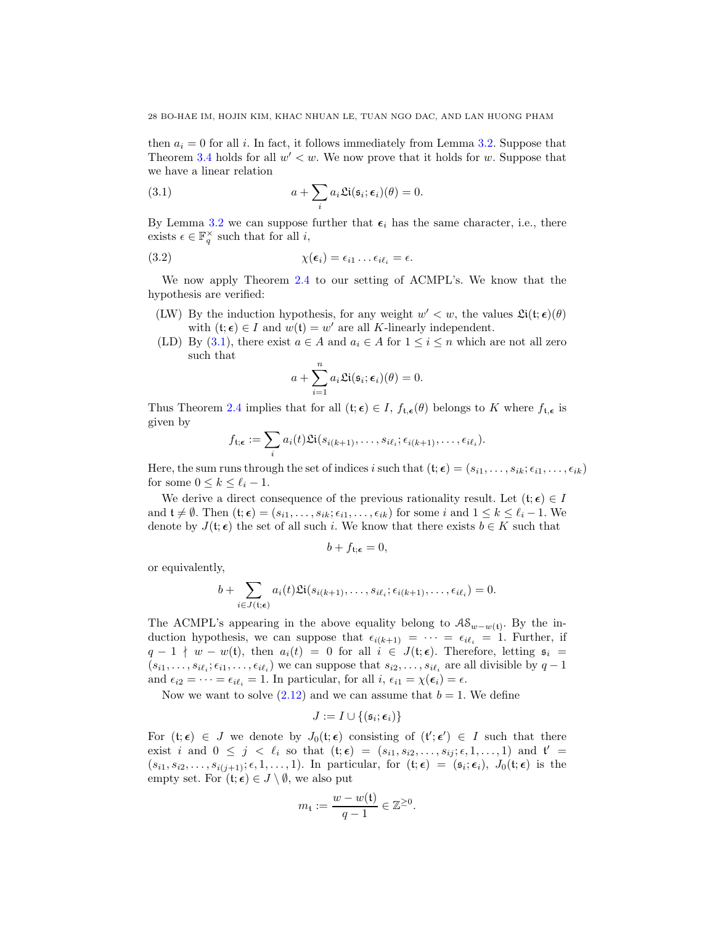then  $a_i = 0$  for all i. In fact, it follows immediately from Lemma [3.2.](#page-24-3) Suppose that Theorem [3.4](#page-26-1) holds for all  $w' < w$ . We now prove that it holds for w. Suppose that we have a linear relation

<span id="page-27-0"></span>(3.1) 
$$
a + \sum_{i} a_i \mathfrak{Li}(\mathfrak{s}_i; \epsilon_i)(\theta) = 0.
$$

By Lemma [3.2](#page-24-3) we can suppose further that  $\epsilon_i$  has the same character, i.e., there exists  $\epsilon \in \mathbb{F}_q^{\times}$  such that for all *i*,

(3.2) 
$$
\chi(\epsilon_i) = \epsilon_{i1} \dots \epsilon_{i\ell_i} = \epsilon.
$$

We now apply Theorem [2.4](#page-20-0) to our setting of ACMPL's. We know that the hypothesis are verified:

- (LW) By the induction hypothesis, for any weight  $w' < w$ , the values  $\mathfrak{Li}(\mathfrak{t};\epsilon)(\theta)$ with  $(t; \epsilon) \in I$  and  $w(t) = w'$  are all K-linearly independent.
- (LD) By [\(3.1\)](#page-27-0), there exist  $a \in A$  and  $a_i \in A$  for  $1 \leq i \leq n$  which are not all zero such that

$$
a + \sum_{i=1}^{n} a_i \mathfrak{Li}(\mathfrak{s}_i; \epsilon_i)(\theta) = 0.
$$

Thus Theorem [2.4](#page-20-0) implies that for all  $(t; \epsilon) \in I$ ,  $f_{t,\epsilon}(\theta)$  belongs to K where  $f_{t,\epsilon}$  is given by

$$
f_{\mathfrak{t};\boldsymbol{\epsilon}} := \sum_i a_i(t) \mathfrak{Li}(s_{i(k+1)},\ldots,s_{i\ell_i};\epsilon_{i(k+1)},\ldots,\epsilon_{i\ell_i}).
$$

Here, the sum runs through the set of indices i such that  $(t; \epsilon) = (s_{i1}, \ldots, s_{ik}; \epsilon_{i1}, \ldots, \epsilon_{ik})$ for some  $0 \leq k \leq \ell_i - 1$ .

We derive a direct consequence of the previous rationality result. Let  $(t; \epsilon) \in I$ and  $\mathfrak{t} \neq \emptyset$ . Then  $(\mathfrak{t}; \epsilon) = (s_{i1}, \ldots, s_{ik}; \epsilon_{i1}, \ldots, \epsilon_{ik})$  for some i and  $1 \leq k \leq \ell_i - 1$ . We denote by  $J(\mathfrak{t};\epsilon)$  the set of all such i. We know that there exists  $b \in K$  such that

$$
b + f_{\mathfrak{t};\boldsymbol{\epsilon}} = 0,
$$

or equivalently,

$$
b+\sum_{i\in J(\mathfrak{t};\epsilon)}a_i(t)\mathfrak{Li}(s_{i(k+1)},\ldots,s_{i\ell_i};\epsilon_{i(k+1)},\ldots,\epsilon_{i\ell_i})=0.
$$

The ACMPL's appearing in the above equality belong to  $\mathcal{AS}_{w-w(t)}$ . By the induction hypothesis, we can suppose that  $\epsilon_{i(k+1)} = \cdots = \epsilon_{i\ell_i} = 1$ . Further, if  $q-1 \nmid w-w(\mathfrak{t})$ , then  $a_i(t) = 0$  for all  $i \in J(\mathfrak{t}; \epsilon)$ . Therefore, letting  $\mathfrak{s}_i =$  $(s_{i1},\ldots,s_{i\ell_i};\epsilon_{i1},\ldots,\epsilon_{i\ell_i})$  we can suppose that  $s_{i2},\ldots,s_{i\ell_i}$  are all divisible by  $q-1$ and  $\epsilon_{i2} = \cdots = \epsilon_{i\ell_i} = 1$ . In particular, for all  $i, \epsilon_{i1} = \chi(\epsilon_i) = \epsilon$ .

Now we want to solve  $(2.12)$  and we can assume that  $b = 1$ . We define

$$
J:=I\cup\{(\mathfrak{s}_i;\boldsymbol{\epsilon}_i)\}
$$

For  $(t; \epsilon) \in J$  we denote by  $J_0(t; \epsilon)$  consisting of  $(t'; \epsilon') \in I$  such that there exist i and  $0 \leq j \leq \ell_i$  so that  $(t; \epsilon) = (s_{i1}, s_{i2}, \ldots, s_{ij}; \epsilon, 1, \ldots, 1)$  and  $t' =$  $(s_{i1}, s_{i2}, \ldots, s_{i(j+1)}; \epsilon, 1, \ldots, 1)$ . In particular, for  $(\mathfrak{t}; \epsilon) = (\mathfrak{s}_i; \epsilon_i), J_0(\mathfrak{t}; \epsilon)$  is the empty set. For  $(t; \epsilon) \in J \setminus \emptyset$ , we also put

$$
m_{\mathfrak{t}} := \frac{w - w(\mathfrak{t})}{q - 1} \in \mathbb{Z}^{\geq 0}.
$$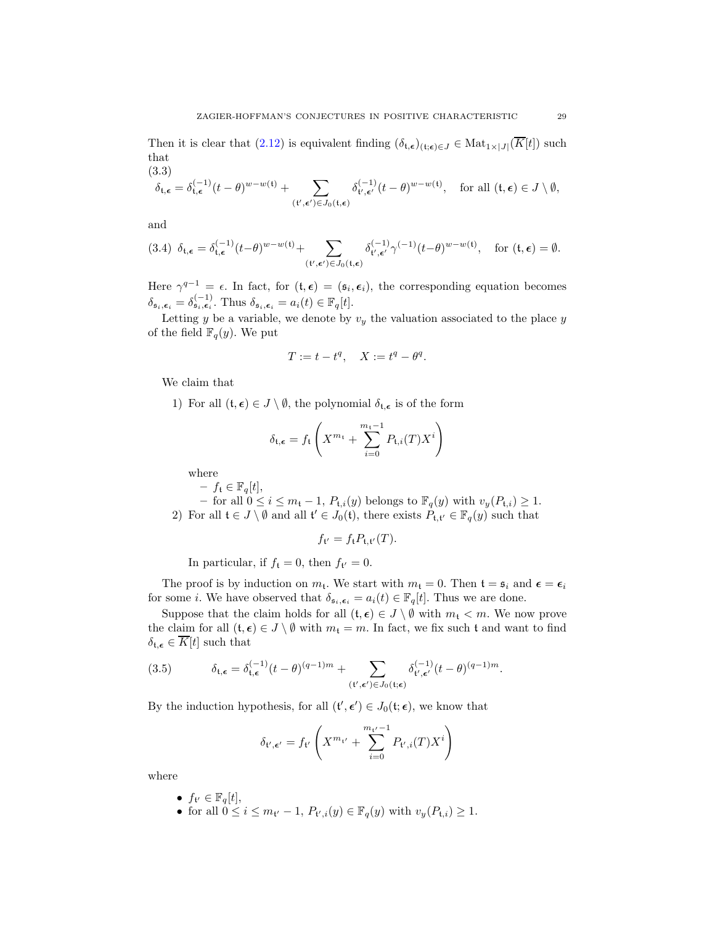Then it is clear that [\(2.12\)](#page-23-1) is equivalent finding  $(\delta_{t,\epsilon})_{(t;\epsilon)\in J} \in Mat_{1\times |J|}(\overline{K}[t])$  such that  $(3.3)$ 

<span id="page-28-1"></span>
$$
\delta_{\mathfrak{t},\boldsymbol{\epsilon}} = \delta_{\mathfrak{t},\boldsymbol{\epsilon}}^{(-1)}(t-\theta)^{w-w(\mathfrak{t})} + \sum_{(\mathfrak{t}',\boldsymbol{\epsilon}')\in J_0(\mathfrak{t},\boldsymbol{\epsilon})} \delta_{\mathfrak{t}',\boldsymbol{\epsilon}'}^{(-1)}(t-\theta)^{w-w(\mathfrak{t})}, \quad \text{for all } (\mathfrak{t},\boldsymbol{\epsilon})\in J\setminus\emptyset,
$$

and

<span id="page-28-2"></span>
$$
(3.4) \ \ \delta_{\mathfrak{t},\epsilon} = \delta_{\mathfrak{t},\epsilon}^{(-1)}(t-\theta)^{w-w(\mathfrak{t})} + \sum_{(\mathfrak{t}',\epsilon') \in J_0(\mathfrak{t},\epsilon)} \delta_{\mathfrak{t}',\epsilon'}^{(-1)}(\tau')^{(-1)}(t-\theta)^{w-w(\mathfrak{t})}, \quad \text{for } (\mathfrak{t},\epsilon) = \emptyset.
$$

Here  $\gamma^{q-1} = \epsilon$ . In fact, for  $(t, \epsilon) = (\epsilon_i, \epsilon_i)$ , the corresponding equation becomes  $\delta_{\mathfrak{s}_i,\boldsymbol{\epsilon}_i} = \delta_{\mathfrak{s}_i,\boldsymbol{\epsilon}_i}^{(-1)}$ . Thus  $\delta_{\mathfrak{s}_i,\boldsymbol{\epsilon}_i} = a_i(t) \in \mathbb{F}_q[t]$ .

Letting  $y$  be a variable, we denote by  $v_y$  the valuation associated to the place  $y$ of the field  $\mathbb{F}_q(y)$ . We put

$$
T:=t-t^q, \quad X:=t^q-\theta^q.
$$

We claim that

1) For all  $(t, \epsilon) \in J \setminus \emptyset$ , the polynomial  $\delta_{t,\epsilon}$  is of the form

$$
\delta_{\mathfrak{t},\epsilon} = f_{\mathfrak{t}} \left( X^{m_{\mathfrak{t}}} + \sum_{i=0}^{m_{\mathfrak{t}}-1} P_{\mathfrak{t},i}(T) X^{i} \right)
$$

where

\n- \n
$$
-f_t \in \mathbb{F}_q[t],
$$
\n $-$  for all  $0 \leq i \leq m_t - 1$ ,  $P_{t,i}(y)$  belongs to  $\mathbb{F}_q(y)$  with  $v_y(P_{t,i}) \geq 1$ .\n
\n- \n For all  $t \in J \setminus \emptyset$  and all  $t' \in J_0(t)$ , there exists  $P_{t,t'} \in \mathbb{F}_q(y)$  such that\n
\n

$$
f_{\mathfrak{t}'} = f_{\mathfrak{t}} P_{\mathfrak{t},\mathfrak{t}'}(T).
$$

In particular, if  $f_t = 0$ , then  $f_{t'} = 0$ .

The proof is by induction on  $m_t$ . We start with  $m_t = 0$ . Then  $t = s_i$  and  $\epsilon = \epsilon_i$ for some *i*. We have observed that  $\delta_{\mathfrak{s}_i, \epsilon_i} = a_i(t) \in \mathbb{F}_q[t]$ . Thus we are done.

Suppose that the claim holds for all  $(t, \epsilon) \in J \setminus \emptyset$  with  $m_t < m$ . We now prove the claim for all  $(t, \epsilon) \in J \setminus \emptyset$  with  $m_t = m$ . In fact, we fix such t and want to find  $\delta_{\mathfrak{t},\boldsymbol{\epsilon}} \in \overline{K}[t]$  such that

<span id="page-28-0"></span>(3.5) 
$$
\delta_{\mathfrak{t},\epsilon} = \delta_{\mathfrak{t},\epsilon}^{(-1)}(t-\theta)^{(q-1)m} + \sum_{(\mathfrak{t}',\epsilon')\in J_0(\mathfrak{t};\epsilon)} \delta_{\mathfrak{t}',\epsilon'}^{(-1)}(t-\theta)^{(q-1)m}.
$$

By the induction hypothesis, for all  $(\mathfrak{t}', \epsilon') \in J_0(\mathfrak{t}; \epsilon)$ , we know that

$$
\delta_{\mathfrak{t}',\epsilon'} = f_{\mathfrak{t}'}\left(X^{m_{\mathfrak{t}'}} + \sum_{i=0}^{m_{\mathfrak{t}'}-1} P_{\mathfrak{t}',i}(T)X^i\right)
$$

where

- $\bullet\;\; f_{\mathfrak{t}'}\in \mathbb{F}_q[t],$
- for all  $0 \leq i \leq m_{t'}-1$ ,  $P_{t',i}(y) \in \mathbb{F}_q(y)$  with  $v_y(P_{t,i}) \geq 1$ .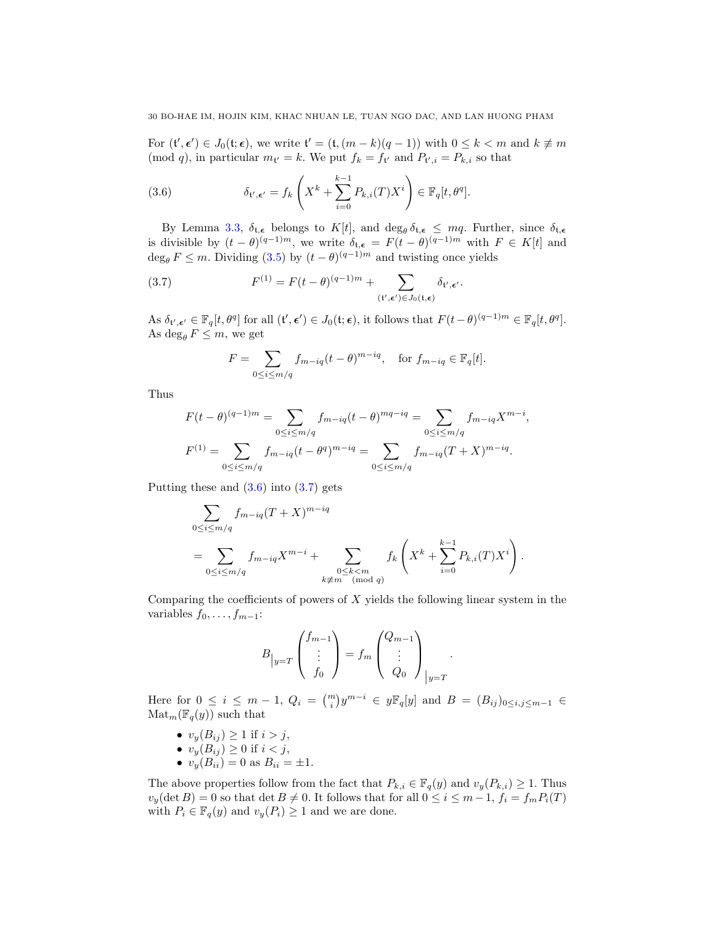For  $({\bf t}', {\bf \epsilon}') \in J_0({\bf t}; {\bf \epsilon}),$  we write  ${\bf t}' = ({\bf t},(m-k)(q-1))$  with  $0 \leq k < m$  and  $k \not\equiv m$ (mod q), in particular  $m_{t'} = k$ . We put  $f_k = f_{t'}$  and  $P_{t',i} = P_{k,i}$  so that

<span id="page-29-0"></span>(3.6) 
$$
\delta_{t',\epsilon'} = f_k \left( X^k + \sum_{i=0}^{k-1} P_{k,i}(T) X^i \right) \in \mathbb{F}_q[t, \theta^q].
$$

By Lemma [3.3,](#page-25-0)  $\delta_{t,\epsilon}$  belongs to  $K[t]$ , and  $\deg_{\theta} \delta_{t,\epsilon} \leq mq$ . Further, since  $\delta_{t,\epsilon}$ is divisible by  $(t - \theta)^{(q-1)m}$ , we write  $\delta_{t,\epsilon} = F(t - \theta)^{(q-1)m}$  with  $F \in K[t]$  and  $\deg_{\theta} F \leq m$ . Dividing [\(3.5\)](#page-28-0) by  $(t - \theta)^{(q-1)m}$  and twisting once yields

(3.7) 
$$
F^{(1)} = F(t - \theta)^{(q-1)m} + \sum_{(\mathfrak{t}',\epsilon') \in J_0(\mathfrak{t},\epsilon)} \delta_{\mathfrak{t}',\epsilon'}.
$$

As  $\delta_{t',\epsilon'} \in \mathbb{F}_q[t,\theta^q]$  for all  $(t',\epsilon') \in J_0(t;\epsilon)$ , it follows that  $F(t-\theta)^{(q-1)m} \in \mathbb{F}_q[t,\theta^q]$ . As  $\deg_{\theta} F \leq m$ , we get

<span id="page-29-1"></span>
$$
F = \sum_{0 \le i \le m/q} f_{m-iq}(t-\theta)^{m-iq}, \quad \text{for } f_{m-iq} \in \mathbb{F}_q[t].
$$

Thus

$$
F(t - \theta)^{(q-1)m} = \sum_{0 \le i \le m/q} f_{m-iq}(t - \theta)^{mq-iq} = \sum_{0 \le i \le m/q} f_{m-iq} X^{m-i},
$$
  

$$
F^{(1)} = \sum_{0 \le i \le m/q} f_{m-iq}(t - \theta^q)^{m-iq} = \sum_{0 \le i \le m/q} f_{m-iq}(T + X)^{m-iq}.
$$

Putting these and  $(3.6)$  into  $(3.7)$  gets

$$
\sum_{0 \le i \le m/q} f_{m-iq}(T+X)^{m-iq}
$$
\n
$$
= \sum_{0 \le i \le m/q} f_{m-iq}X^{m-i} + \sum_{\substack{0 \le k < m \\ k \ne m \pmod{q}}} f_k\left(X^k + \sum_{i=0}^{k-1} P_{k,i}(T)X^i\right).
$$

Comparing the coefficients of powers of  $X$  yields the following linear system in the variables  $f_0, \ldots, f_{m-1}$ :

$$
B_{\vert y=T}\begin{pmatrix}f_{m-1}\\ \vdots\\ f_0\end{pmatrix}=f_m\begin{pmatrix}Q_{m-1}\\ \vdots\\ Q_0\end{pmatrix}_{\vert y=T}.
$$

Here for  $0 \leq i \leq m-1$ ,  $Q_i = {m \choose i} y^{m-i} \in y \mathbb{F}_q[y]$  and  $B = (B_{ij})_{0 \leq i,j \leq m-1}$  $\text{Mat}_m(\mathbb{F}_q(y))$  such that

- $v_y(B_{ij}) \ge 1$  if  $i > j$ ,
- $v_y(B_{ij}) \geq 0$  if  $i < j$ ,
- $v_y(B_{ii}) = 0$  as  $B_{ii} = \pm 1$ .

The above properties follow from the fact that  $P_{k,i} \in \mathbb{F}_q(y)$  and  $v_y(P_{k,i}) \geq 1$ . Thus  $v_y(\det B) = 0$  so that  $\det B \neq 0$ . It follows that for all  $0 \leq i \leq m-1$ ,  $f_i = f_m P_i(T)$ with  $P_i \in \mathbb{F}_q(y)$  and  $v_y(P_i) \geq 1$  and we are done.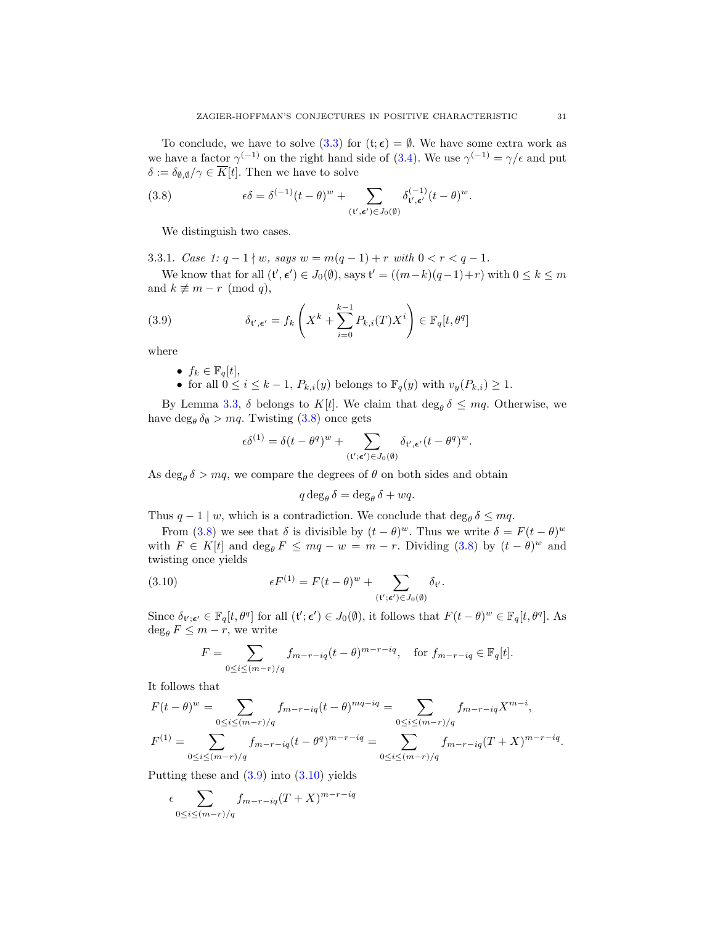To conclude, we have to solve  $(3.3)$  for  $(t; \epsilon) = \emptyset$ . We have some extra work as we have a factor  $\gamma^{(-1)}$  on the right hand side of [\(3.4\)](#page-28-2). We use  $\gamma^{(-1)} = \gamma / \epsilon$  and put  $\delta := \delta_{\emptyset,\emptyset}/\gamma \in \overline{K}[t]$ . Then we have to solve

(3.8) 
$$
\epsilon \delta = \delta^{(-1)}(t-\theta)^w + \sum_{(\mathbf{t}',\boldsymbol{\epsilon}')\in J_0(\emptyset)} \delta_{\mathbf{t}',\boldsymbol{\epsilon}'}^{(-1)}(t-\theta)^w.
$$

<span id="page-30-0"></span>We distinguish two cases.

3.3.1. Case 1:  $q-1 \nmid w$ , says  $w = m(q-1) + r$  with  $0 < r < q-1$ .

We know that for all  $(\mathfrak{t}', \epsilon') \in J_0(\emptyset)$ , says  $\mathfrak{t}' = ((m-k)(q-1)+r)$  with  $0 \leq k \leq m$ and  $k \not\equiv m - r \pmod{q}$ ,

(3.9) 
$$
\delta_{t', \epsilon'} = f_k \left( X^k + \sum_{i=0}^{k-1} P_{k,i}(T) X^i \right) \in \mathbb{F}_q[t, \theta^q]
$$

where

- <span id="page-30-1"></span>•  $f_k \in \mathbb{F}_q[t],$
- for all  $0 \leq i \leq k-1$ ,  $P_{k,i}(y)$  belongs to  $\mathbb{F}_q(y)$  with  $v_y(P_{k,i}) \geq 1$ .

By Lemma [3.3,](#page-25-0)  $\delta$  belongs to K[t]. We claim that  $\deg_{\theta} \delta \leq mq$ . Otherwise, we have  $\deg_{\theta} \delta_{\emptyset} > mq$ . Twisting [\(3.8\)](#page-30-0) once gets

$$
\epsilon \delta^{(1)} = \delta(t - \theta^q)^w + \sum_{(\mathfrak{t}';\boldsymbol{\epsilon}') \in J_0(\emptyset)} \delta_{\mathfrak{t}',\boldsymbol{\epsilon}'}(t - \theta^q)^w.
$$

As  $\deg_{\theta} \delta > mq$ , we compare the degrees of  $\theta$  on both sides and obtain

<span id="page-30-2"></span>
$$
q \deg_{\theta} \delta = \deg_{\theta} \delta + wq.
$$

Thus  $q-1 \mid w$ , which is a contradiction. We conclude that  $\deg_{\theta} \delta \leq mq$ .

From [\(3.8\)](#page-30-0) we see that  $\delta$  is divisible by  $(t - \theta)^w$ . Thus we write  $\delta = F(t - \theta)^w$ with  $F \in K[t]$  and  $\deg_{\theta} F \leq mq - w = m - r$ . Dividing [\(3.8\)](#page-30-0) by  $(t - \theta)^w$  and twisting once yields

(3.10) 
$$
\epsilon F^{(1)} = F(t-\theta)^w + \sum_{(\mathbf{t}';\boldsymbol{\epsilon}')\in J_0(\emptyset)} \delta_{\mathbf{t}'}.
$$

Since  $\delta_{t';\epsilon'} \in \mathbb{F}_q[t,\theta^q]$  for all  $(t';\epsilon') \in J_0(\emptyset)$ , it follows that  $F(t-\theta)^w \in \mathbb{F}_q[t,\theta^q]$ . As  $\deg_{\theta} F \leq m-r$ , we write

$$
F = \sum_{0 \le i \le (m-r)/q} f_{m-r-iq}(t-\theta)^{m-r-iq}, \quad \text{for } f_{m-r-iq} \in \mathbb{F}_q[t].
$$

It follows that

$$
F(t - \theta)^w = \sum_{0 \le i \le (m-r)/q} f_{m-r-iq}(t - \theta)^{mq-iq} = \sum_{0 \le i \le (m-r)/q} f_{m-r-iq} X^{m-i},
$$
  

$$
F^{(1)} = \sum_{0 \le i \le (m-r)/q} f_{m-r-iq}(t - \theta^q)^{m-r-iq} = \sum_{0 \le i \le (m-r)/q} f_{m-r-iq}(T + X)^{m-r-iq}.
$$

Putting these and  $(3.9)$  into  $(3.10)$  yields

$$
\epsilon \sum_{0 \le i \le (m-r)/q} f_{m-r-iq} (T+X)^{m-r-iq}
$$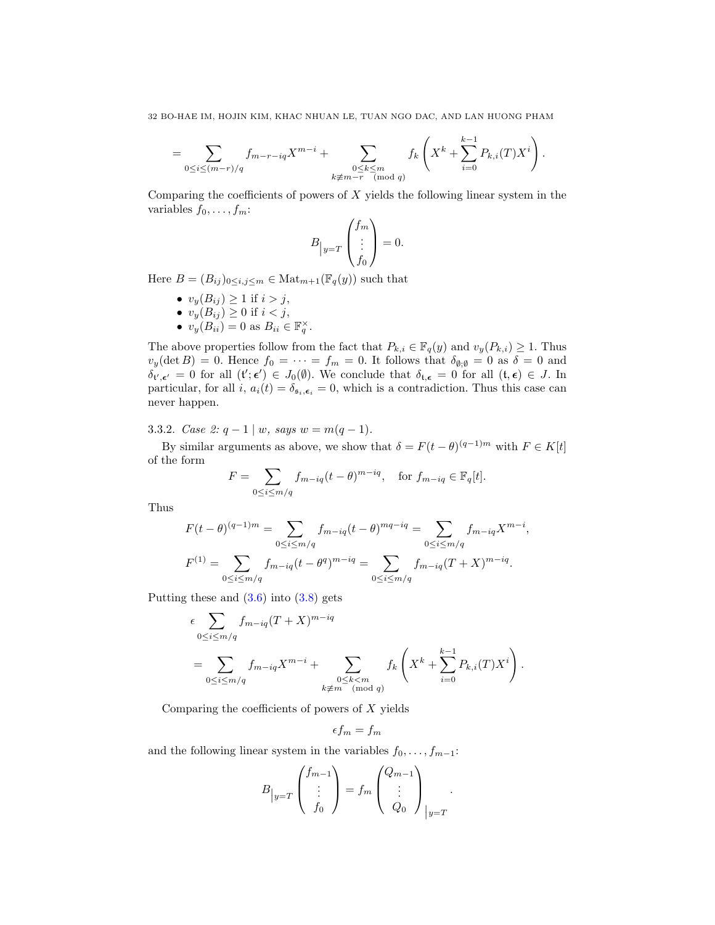32 BO-HAE IM, HOJIN KIM, KHAC NHUAN LE, TUAN NGO DAC, AND LAN HUONG PHAM

$$
= \sum_{0 \le i \le (m-r)/q} f_{m-r-iq} X^{m-i} + \sum_{\substack{0 \le k \le m \\ k \ne m-r \pmod{q}}} f_k \left( X^k + \sum_{i=0}^{k-1} P_{k,i}(T) X^i \right).
$$

Comparing the coefficients of powers of  $X$  yields the following linear system in the variables  $f_0, \ldots, f_m$ :

$$
B_{\big|y=T}\begin{pmatrix}f_m\\ \vdots\\ f_0\end{pmatrix}=0.
$$

Here  $B = (B_{ij})_{0 \le i,j \le m} \in \text{Mat}_{m+1}(\mathbb{F}_q(y))$  such that

•  $v_y(B_{ij}) \geq 1$  if  $i > j$ , •  $v_y(B_{ij}) \geq 0$  if  $i < j$ , •  $v_y(B_{ii}) = 0$  as  $B_{ii} \in \mathbb{F}_q^{\times}$ .

The above properties follow from the fact that  $P_{k,i} \in \mathbb{F}_q(y)$  and  $v_y(P_{k,i}) \geq 1$ . Thus  $v_y(\det B) = 0.$  Hence  $f_0 = \cdots = f_m = 0.$  It follows that  $\delta_{\theta, \emptyset} = 0$  as  $\delta = 0$  and  $\delta_{\mathbf{t}',\boldsymbol{\epsilon}'}=0$  for all  $(\mathbf{t}',\boldsymbol{\epsilon}')\in J_0(\emptyset)$ . We conclude that  $\delta_{\mathbf{t},\boldsymbol{\epsilon}}=0$  for all  $(\mathbf{t},\boldsymbol{\epsilon})\in J$ . In particular, for all i,  $a_i(t) = \delta_{\mathfrak{s}_i, \epsilon_i} = 0$ , which is a contradiction. Thus this case can never happen.

3.3.2. Case 2:  $q-1 \mid w$ , says  $w = m(q-1)$ .

By similar arguments as above, we show that  $\delta = F(t-\theta)^{(q-1)m}$  with  $F \in K[t]$ of the form

$$
F = \sum_{0 \le i \le m/q} f_{m-iq}(t-\theta)^{m-iq}, \quad \text{for } f_{m-iq} \in \mathbb{F}_q[t].
$$

Thus

$$
F(t - \theta)^{(q-1)m} = \sum_{0 \le i \le m/q} f_{m-iq}(t - \theta)^{mq-iq} = \sum_{0 \le i \le m/q} f_{m-iq} X^{m-i},
$$
  

$$
F^{(1)} = \sum_{0 \le i \le m/q} f_{m-iq}(t - \theta^q)^{m-iq} = \sum_{0 \le i \le m/q} f_{m-iq}(T + X)^{m-iq}.
$$

Putting these and  $(3.6)$  into  $(3.8)$  gets

$$
\epsilon \sum_{0 \le i \le m/q} f_{m-iq}(T+X)^{m-iq}
$$
\n
$$
= \sum_{0 \le i \le m/q} f_{m-iq}X^{m-i} + \sum_{\substack{0 \le k < m \\ k \ne m \pmod{q}}} f_k\left(X^k + \sum_{i=0}^{k-1} P_{k,i}(T)X^i\right).
$$

Comparing the coefficients of powers of  $X$  yields

$$
\epsilon f_m = f_m
$$

and the following linear system in the variables  $f_0, \ldots, f_{m-1}$ :

$$
B_{\vert y=T} \begin{pmatrix} f_{m-1} \\ \vdots \\ f_0 \end{pmatrix} = f_m \begin{pmatrix} Q_{m-1} \\ \vdots \\ Q_0 \end{pmatrix}_{\vert y=T}.
$$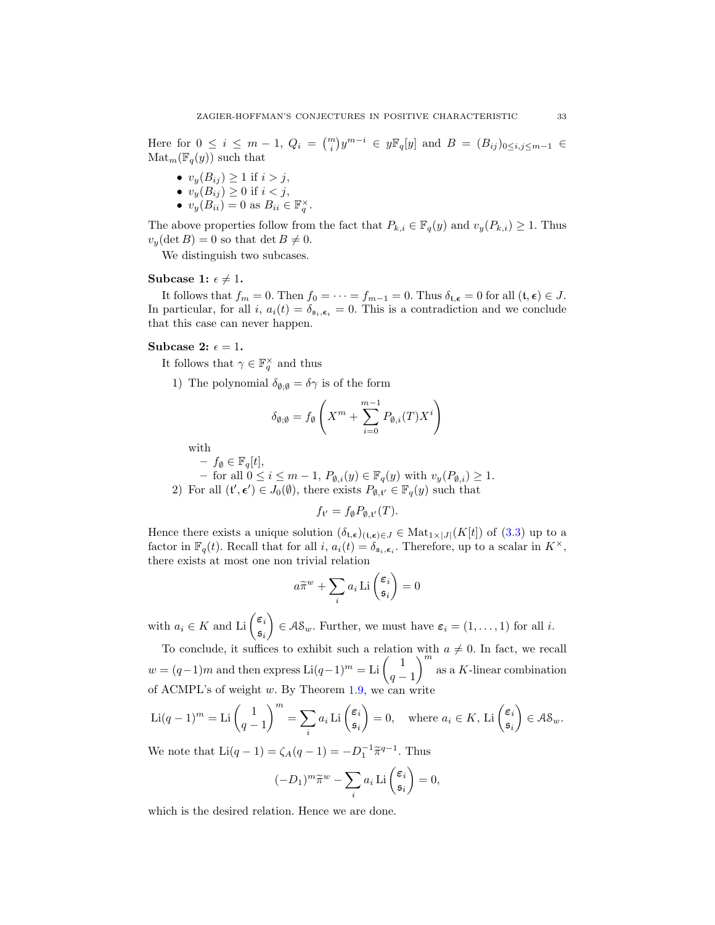Here for  $0 \le i \le m-1$ ,  $Q_i = {m \choose i} y^{m-i} \in y \mathbb{F}_q[y]$  and  $B = (B_{ij})_{0 \le i,j \le m-1}$  $\text{Mat}_m(\mathbb{F}_q(y))$  such that

- $v_y(B_{ij}) \geq 1$  if  $i > j$ ,
- $v_y(B_{ij}) \geq 0$  if  $i < j$ ,
- $v_y(B_{ii}) = 0$  as  $B_{ii} \in \mathbb{F}_q^{\times}$ .

The above properties follow from the fact that  $P_{k,i} \in \mathbb{F}_q(y)$  and  $v_y(P_{k,i}) \geq 1$ . Thus  $v_y(\det B) = 0$  so that  $\det B \neq 0$ .

We distinguish two subcases.

### Subcase 1:  $\epsilon \neq 1$ .

It follows that  $f_m = 0$ . Then  $f_0 = \cdots = f_{m-1} = 0$ . Thus  $\delta_{\mathfrak{t}, \epsilon} = 0$  for all  $(\mathfrak{t}, \epsilon) \in J$ . In particular, for all i,  $a_i(t) = \delta_{\mathfrak{s}_i, \epsilon_i} = 0$ . This is a contradiction and we conclude that this case can never happen.

## Subcase 2:  $\epsilon = 1$ .

It follows that  $\gamma \in \mathbb{F}_q^{\times}$  and thus

1) The polynomial  $\delta_{\emptyset;\emptyset} = \delta \gamma$  is of the form

$$
\delta_{\emptyset,\emptyset} = f_{\emptyset} \left( X^m + \sum_{i=0}^{m-1} P_{\emptyset,i}(T) X^i \right)
$$

with

- $f_{\emptyset} \in \mathbb{F}_q[t],$
- for all 0 ≤ *i* ≤ *m* − 1,  $P_{\emptyset,i}(y) \in \mathbb{F}_q(y)$  with  $v_y(P_{\emptyset,i}) \ge 1$ . 2) For all  $({\bf t}', {\bf \epsilon}') \in J_0(\emptyset)$ , there exists  $P_{\emptyset, {\bf t}'} \in \mathbb{F}_q(y)$  such that

$$
f_{\mathfrak{t}'} = f_{\emptyset} P_{\emptyset, \mathfrak{t}'}(T).
$$

Hence there exists a unique solution  $(\delta_{t,\epsilon})_{(t,\epsilon)\in J} \in Mat_{1\times |J|}(K[t])$  of  $(3.3)$  up to a factor in  $\mathbb{F}_q(t)$ . Recall that for all  $i, a_i(t) = \delta_{\mathfrak{s}_i, \epsilon_i}$ . Therefore, up to a scalar in  $K^{\times}$ , there exists at most one non trivial relation

$$
a\widetilde{\pi}^w + \sum_i a_i \operatorname{Li}\left(\frac{\varepsilon_i}{\mathfrak{s}_i}\right) = 0
$$

with  $a_i \in K$  and Li  $\begin{pmatrix} \varepsilon_i \\ \varepsilon_i \end{pmatrix}$ si  $\Big) \in \mathcal{AS}_w$ . Further, we must have  $\varepsilon_i = (1, \ldots, 1)$  for all i.

To conclude, it suffices to exhibit such a relation with  $a \neq 0$ . In fact, we recall  $w = (q-1)m$  and then express  $\text{Li}(q-1)^m = \text{Li}\left(\frac{1}{q}\right)$  $q-1$  $\setminus^m$ as a K-linear combination of ACMPL's of weight  $w$ . By Theorem [1.9,](#page-15-0) we can write

$$
\operatorname{Li}(q-1)^m = \operatorname{Li}\left(\frac{1}{q-1}\right)^m = \sum_i a_i \operatorname{Li}\left(\frac{\varepsilon_i}{\mathfrak{s}_i}\right) = 0, \quad \text{where } a_i \in K, \operatorname{Li}\left(\frac{\varepsilon_i}{\mathfrak{s}_i}\right) \in \mathcal{AS}_w.
$$

We note that  $\text{Li}(q-1) = \zeta_A(q-1) = -D_1^{-1}\tilde{\pi}^{q-1}$ . Thus

$$
(-D_1)^m \widetilde{\pi}^w - \sum_i a_i \operatorname{Li}\left(\begin{matrix} \varepsilon_i \\ \mathfrak{s}_i \end{matrix}\right) = 0,
$$

which is the desired relation. Hence we are done.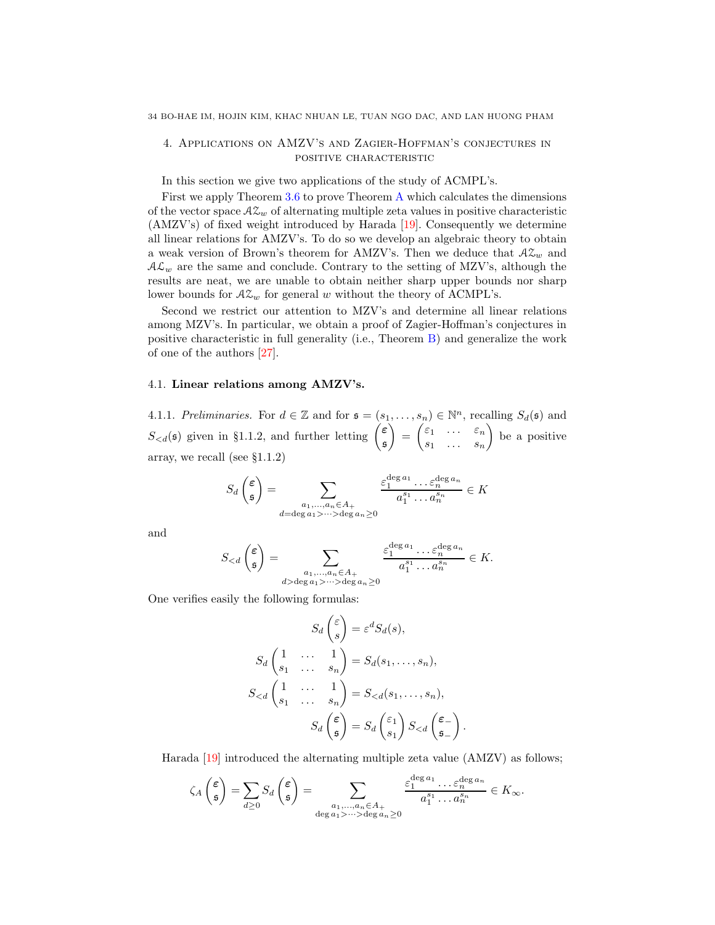## <span id="page-33-0"></span>4. Applications on AMZV's and Zagier-Hoffman's conjectures in positive characteristic

In this section we give two applications of the study of ACMPL's.

First we apply Theorem [3.6](#page-26-0) to prove Theorem [A](#page-3-1) which calculates the dimensions of the vector space  $A\mathcal{Z}_w$  of alternating multiple zeta values in positive characteristic (AMZV's) of fixed weight introduced by Harada [\[19\]](#page-39-4). Consequently we determine all linear relations for AMZV's. To do so we develop an algebraic theory to obtain a weak version of Brown's theorem for AMZV's. Then we deduce that  $A\mathcal{Z}_w$  and  $A\mathcal{L}_w$  are the same and conclude. Contrary to the setting of MZV's, although the results are neat, we are unable to obtain neither sharp upper bounds nor sharp lower bounds for  $A\mathcal{Z}_w$  for general w without the theory of ACMPL's.

Second we restrict our attention to MZV's and determine all linear relations among MZV's. In particular, we obtain a proof of Zagier-Hoffman's conjectures in positive characteristic in full generality (i.e., Theorem [B\)](#page-4-0) and generalize the work of one of the authors [\[27\]](#page-39-18).

## <span id="page-33-1"></span>4.1. Linear relations among AMZV's.

4.1.1. Preliminaries. For  $d \in \mathbb{Z}$  and for  $\mathfrak{s} = (s_1, \ldots, s_n) \in \mathbb{N}^n$ , recalling  $S_d(\mathfrak{s})$  and  $S_{\leq d}(\mathfrak{s})$  given in §1.1.2, and further letting  $\begin{pmatrix} \varepsilon \\ \varepsilon \end{pmatrix}$ s  $\overline{\phantom{0}}$ =  $\left( \begin{matrix} \varepsilon_1 & \ldots & \varepsilon_n \end{matrix} \right)$  $s_1 \ldots s_n$  $\setminus$ be a positive array, we recall (see §1.1.2)

$$
S_d\left(\frac{\varepsilon}{\mathfrak{s}}\right) = \sum_{\substack{a_1,\dots,a_n \in A_+ \\ d = \deg a_1 > \dots > \deg a_n \ge 0}} \frac{\varepsilon_1^{\deg a_1} \dots \varepsilon_n^{\deg a_n}}{a_1^{s_1} \dots a_n^{s_n}} \in K
$$

and

$$
S_{< d}\begin{pmatrix} \varepsilon \\ \mathfrak{s} \end{pmatrix} = \sum_{\substack{a_1, \dots, a_n \in A_+ \\ d > \deg a_1 > \dots > \deg a_n \ge 0}} \frac{\varepsilon_1^{\deg a_1} \dots \varepsilon_n^{\deg a_n}}{a_1^{s_1} \dots a_n^{s_n}} \in K.
$$

One verifies easily the following formulas:

$$
S_d \begin{pmatrix} \varepsilon \\ s \end{pmatrix} = \varepsilon^d S_d(s),
$$
  
\n
$$
S_d \begin{pmatrix} 1 & \cdots & 1 \\ s_1 & \cdots & s_n \end{pmatrix} = S_d(s_1, \ldots, s_n),
$$
  
\n
$$
S_{  
\n
$$
S_d \begin{pmatrix} \varepsilon \\ \mathfrak{s} \end{pmatrix} = S_d \begin{pmatrix} \varepsilon_1 \\ s_1 \end{pmatrix} S_{
$$
$$

Harada [\[19\]](#page-39-4) introduced the alternating multiple zeta value (AMZV) as follows;

$$
\zeta_A\begin{pmatrix} \varepsilon \\ \mathfrak{s} \end{pmatrix} = \sum_{d \geq 0} S_d \begin{pmatrix} \varepsilon \\ \mathfrak{s} \end{pmatrix} = \sum_{\substack{a_1, \dots, a_n \in A_+ \\ \deg a_1 > \dots > \deg a_n \geq 0}} \frac{\varepsilon_1^{\deg a_1} \dots \varepsilon_n^{\deg a_n}}{a_1^{s_1} \dots a_n^{s_n}} \in K_{\infty}.
$$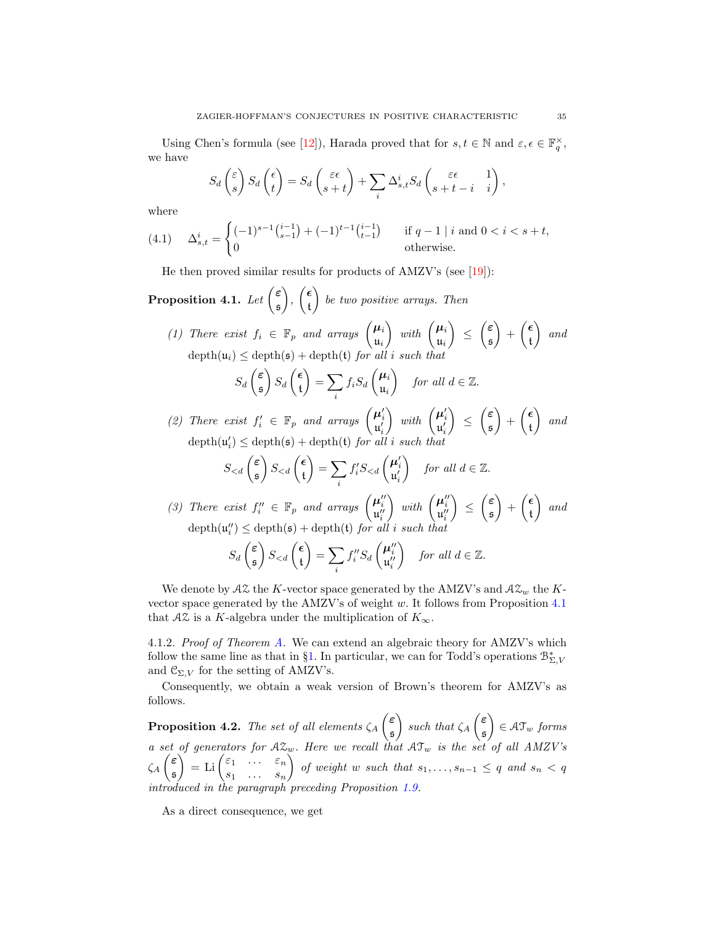Using Chen's formula (see [\[12\]](#page-39-26)), Harada proved that for  $s, t \in \mathbb{N}$  and  $\varepsilon, \epsilon \in \mathbb{F}_q^{\times}$ , we have

$$
S_d\begin{pmatrix} \varepsilon \\ s \end{pmatrix} S_d\begin{pmatrix} \epsilon \\ t \end{pmatrix} = S_d\begin{pmatrix} \varepsilon \epsilon \\ s+t \end{pmatrix} + \sum_i \Delta^i_{s,t} S_d\begin{pmatrix} \varepsilon \epsilon & 1 \\ s+t-i & i \end{pmatrix},
$$

where

<span id="page-34-1"></span>
$$
(4.1) \qquad \Delta^i_{s,t} = \begin{cases} (-1)^{s-1} {i-1 \choose s-1} + (-1)^{t-1} {i-1 \choose t-1} & \text{ if } q-1 \mid i \text{ and } 0 < i < s+t, \\ 0 & \text{ otherwise.} \end{cases}
$$

He then proved similar results for products of AMZV's (see [\[19\]](#page-39-4)):

<span id="page-34-0"></span>Proposition 4.1. Let  $\begin{pmatrix} \varepsilon \\ 0 \end{pmatrix}$ s  $\overline{\phantom{0}}$ ,  $\sqrt{\epsilon}$ t  $\setminus$ be two positive arrays. Then

(1) There exist  $f_i \in \mathbb{F}_p$  and arrays  $\begin{pmatrix} \mu_i \\ \mu_j \end{pmatrix}$  $\mathfrak{u}_i$ ) with  $\begin{pmatrix} \mu_i \\ \vdots \end{pmatrix}$  $\mathfrak{u}_i$  $\setminus$ ≤  $\sqrt{\varepsilon}$ s  $\setminus$ +  $\sqrt{\epsilon}$ t  $\overline{ }$ and  $\text{depth}(\mathfrak{u}_i) \leq \text{depth}(\mathfrak{s}) + \text{depth}(\mathfrak{t})$  for all i such that

$$
S_d\left(\frac{\epsilon}{\mathfrak{s}}\right)S_d\left(\frac{\epsilon}{\mathfrak{t}}\right)=\sum_i f_i S_d\left(\frac{\mu_i}{\mathfrak{u}_i}\right) \quad \text{for all } d \in \mathbb{Z}.
$$

(2) There exist  $f'_i \in \mathbb{F}_p$  and arrays  $\begin{pmatrix} \mu'_i \\ \mu'_i \end{pmatrix}$  $\bigg)$  with  $\begin{pmatrix} \boldsymbol{\mu}'_i \\ \boldsymbol{\mathfrak{u}}'_i \end{pmatrix}$  $\overline{\phantom{0}}$ ≤  $\sqrt{\varepsilon}$ s  $\overline{\phantom{0}}$ +  $\sqrt{\epsilon}$ t  $\overline{ }$ and  $\text{depth}(\mathfrak{u}_i') \leq \text{depth}(\mathfrak{s}) + \text{depth}(\mathfrak{t})$  for all i such that

$$
S_{< d}\begin{pmatrix} \varepsilon \\ \mathfrak{s} \end{pmatrix} S_{< d}\begin{pmatrix} \epsilon \\ \mathfrak{t} \end{pmatrix} = \sum_i f'_i S_{< d}\begin{pmatrix} \mu'_i \\ \mu'_i \end{pmatrix} \quad \text{for all } d \in \mathbb{Z}.
$$

(3) There exist  $f_i'' \in \mathbb{F}_p$  and arrays  $\begin{pmatrix} \boldsymbol{\mu}_i'' \\ \mathbf{u}_i'' \end{pmatrix}$  $\Bigg)$  with  $\begin{pmatrix} \boldsymbol{\mu}''_i \\ \mathfrak{u}''_i \end{pmatrix}$  $\overline{ }$ ≤  $\sqrt{\varepsilon}$ s  $\overline{ }$ +  $\sqrt{\epsilon}$ t  $\overline{ }$ and  $\operatorname{depth}(\mathfrak{u}''_i) \leq \operatorname{depth}(\mathfrak{s}) + \operatorname{depth}(\mathfrak{t})$  for all i such that

$$
S_d\left(\frac{\epsilon}{\mathfrak{s}}\right)S_{< d}\left(\frac{\epsilon}{\mathfrak{t}}\right) = \sum_i f_i'' S_d\left(\frac{\mu_i''}{\mathfrak{u}_i''}\right) \quad \text{for all } d \in \mathbb{Z}.
$$

We denote by  $A\mathcal{Z}$  the K-vector space generated by the AMZV's and  $A\mathcal{Z}_w$  the Kvector space generated by the AMZV's of weight  $w$ . It follows from Proposition [4.1](#page-34-0) that  $A\mathcal{Z}$  is a K-algebra under the multiplication of  $K_{\infty}$ .

4.1.2. Proof of Theorem [A.](#page-3-1) We can extend an algebraic theory for AMZV's which follow the same line as that in §[1.](#page-6-0) In particular, we can for Todd's operations  $\mathcal{B}_{\Sigma,V}^*$ and  $\mathcal{C}_{\Sigma,V}$  for the setting of AMZV's.

Consequently, we obtain a weak version of Brown's theorem for AMZV's as follows.

**Proposition 4.2.** The set of all elements  $\zeta_A$  $\sqrt{\varepsilon}$ s  $\overline{\phantom{0}}$ such that  $\zeta_A$  $\sqrt{\varepsilon}$ s  $\Big) \in \mathcal{AT}_w$  forms a set of generators for  $A\mathcal{Z}_w$ . Here we recall that  $A\mathcal{T}_w$  is the set of all AMZV's  $\zeta_A$  $\sqrt{\varepsilon}$ s  $\Big) = \mathrm{Li} \begin{pmatrix} \varepsilon_1 & \cdots & \varepsilon_n \end{pmatrix}$  $s_1 \ldots s_n$  $\bar{\setminus}$ of weight w such that  $s_1, \ldots, s_{n-1} \leq q$  and  $s_n < q$ introduced in the paragraph preceding Proposition [1.9.](#page-15-0)

As a direct consequence, we get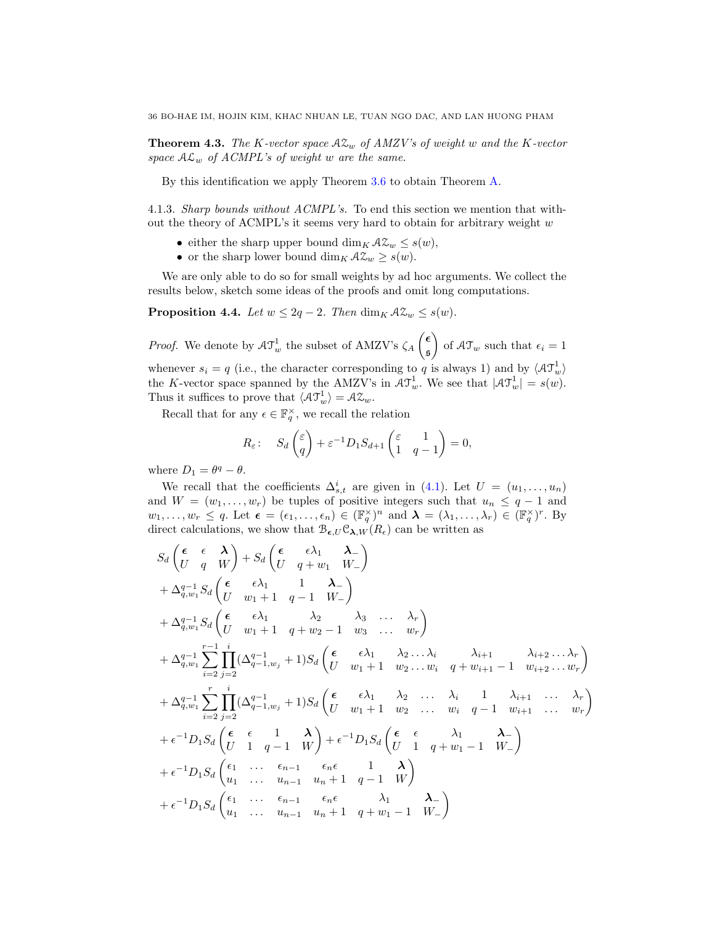<span id="page-35-1"></span>**Theorem 4.3.** The K-vector space  $A\mathcal{Z}_w$  of AMZV's of weight w and the K-vector space  $A\mathcal{L}_w$  of ACMPL's of weight w are the same.

<span id="page-35-0"></span>By this identification we apply Theorem [3.6](#page-26-0) to obtain Theorem [A.](#page-3-1)

4.1.3. Sharp bounds without ACMPL's. To end this section we mention that without the theory of ACMPL's it seems very hard to obtain for arbitrary weight w

- either the sharp upper bound  $\dim_K A\mathcal{Z}_w \leq s(w)$ ,
- or the sharp lower bound dim<sub>K</sub>  $A\mathcal{Z}_w \geq s(w)$ .

We are only able to do so for small weights by ad hoc arguments. We collect the results below, sketch some ideas of the proofs and omit long computations.

<span id="page-35-2"></span>**Proposition 4.4.** Let  $w \leq 2q - 2$ . Then  $\dim_K A \mathcal{Z}_w \leq s(w)$ .

*Proof.* We denote by  $AT_w^1$  the subset of AMZV's  $\zeta_A$  $\sqrt{\epsilon}$ s ) of  $A\mathfrak{T}_w$  such that  $\epsilon_i = 1$ whenever  $s_i = q$  (i.e., the character corresponding to q is always 1) and by  $\langle \mathcal{AT}_w^1 \rangle$ the K-vector space spanned by the AMZV's in  $\mathcal{AT}^1_w$ . We see that  $|\mathcal{AT}^1_w| = s(w)$ . Thus it suffices to prove that  $\langle \mathcal{AT}^1_w \rangle = \mathcal{AZ}_w$ .

Recall that for any  $\epsilon \in \mathbb{F}_q^{\times}$ , we recall the relation

$$
R_{\varepsilon}: \quad S_d\begin{pmatrix} \varepsilon \\ q \end{pmatrix} + \varepsilon^{-1}D_1S_{d+1}\begin{pmatrix} \varepsilon & 1 \\ 1 & q-1 \end{pmatrix} = 0,
$$

where  $D_1 = \theta^q - \theta$ .

We recall that the coefficients  $\Delta_{s,t}^{i}$  are given in [\(4.1\)](#page-34-1). Let  $U = (u_1, \ldots, u_n)$ and  $W = (w_1, \ldots, w_r)$  be tuples of positive integers such that  $u_n \leq q-1$  and  $w_1, \ldots, w_r \leq q$ . Let  $\boldsymbol{\epsilon} = (\epsilon_1, \ldots, \epsilon_n) \in (\mathbb{F}_q^{\times})^n$  and  $\boldsymbol{\lambda} = (\lambda_1, \ldots, \lambda_r) \in (\mathbb{F}_q^{\times})^r$ . By direct calculations, we show that  $\mathcal{B}_{\epsilon,U} \mathcal{C}_{\lambda,W}(R_{\epsilon})$  can be written as

$$
S_d \begin{pmatrix} \epsilon & \epsilon & \lambda \\ U & q & W \end{pmatrix} + S_d \begin{pmatrix} \epsilon & \epsilon \lambda_1 & \lambda_- \\ U & q + w_1 & W_- \end{pmatrix}
$$
  
+  $\Delta_{q,w_1}^{q-1} S_d \begin{pmatrix} \epsilon & \epsilon \lambda_1 & 1 & \lambda_- \\ U & w_1 + 1 & q - 1 & W_- \end{pmatrix}$   
+  $\Delta_{q,w_1}^{q-1} S_d \begin{pmatrix} \epsilon & \epsilon \lambda_1 & \lambda_2 & \lambda_3 & \dots & \lambda_r \\ U & w_1 + 1 & q + w_2 - 1 & w_3 & \dots & w_r \end{pmatrix}$   
+  $\Delta_{q,w_1}^{q-1} \sum_{i=2}^{r-1} \prod_{j=2}^{i} (\Delta_{q-1,w_j}^{q-1} + 1) S_d \begin{pmatrix} \epsilon & \epsilon \lambda_1 & \lambda_2 & \lambda_3 & \lambda_{i+1} & \lambda_{i+2} & \dots & \lambda_r \\ U & w_1 + 1 & w_2 & \dots & w_i & q + w_{i+1} - 1 & w_{i+2} & \dots & w_r \end{pmatrix}$   
+  $\Delta_{q,w_1}^{q-1} \sum_{i=2}^{r} \prod_{j=2}^{i} (\Delta_{q-1,w_j}^{q-1} + 1) S_d \begin{pmatrix} \epsilon & \epsilon \lambda_1 & \lambda_2 & \dots & \lambda_i & 1 & \lambda_{i+1} & \dots & \lambda_r \\ U & w_1 + 1 & w_2 & \dots & w_i & q - 1 & w_{i+1} & \dots & w_r \end{pmatrix}$   
+  $\epsilon^{-1} D_1 S_d \begin{pmatrix} \epsilon & \epsilon & 1 & \lambda \\ U & 1 & q - 1 & W \end{pmatrix} + \epsilon^{-1} D_1 S_d \begin{pmatrix} \epsilon & \epsilon & \lambda_1 & \lambda_- \\ U & 1 & q + w_1 - 1 & W_- \end{pmatrix}$   
+  $\epsilon^{-1} D_1 S_d \begin{pmatrix} \epsilon_1 & \dots & \epsilon_{n-1} & \epsilon_n \epsilon & 1 & \lambda \\ u_1 & \dots & u_{n-1} & u_n + 1 & q - 1 & W \end{pmatrix}$   
+  $\epsilon^{-1} D_1 S_d \begin{pmatrix} \epsilon_1 & \dots & \epsilon_{n-1} & \epsilon_n \epsilon & \lambda$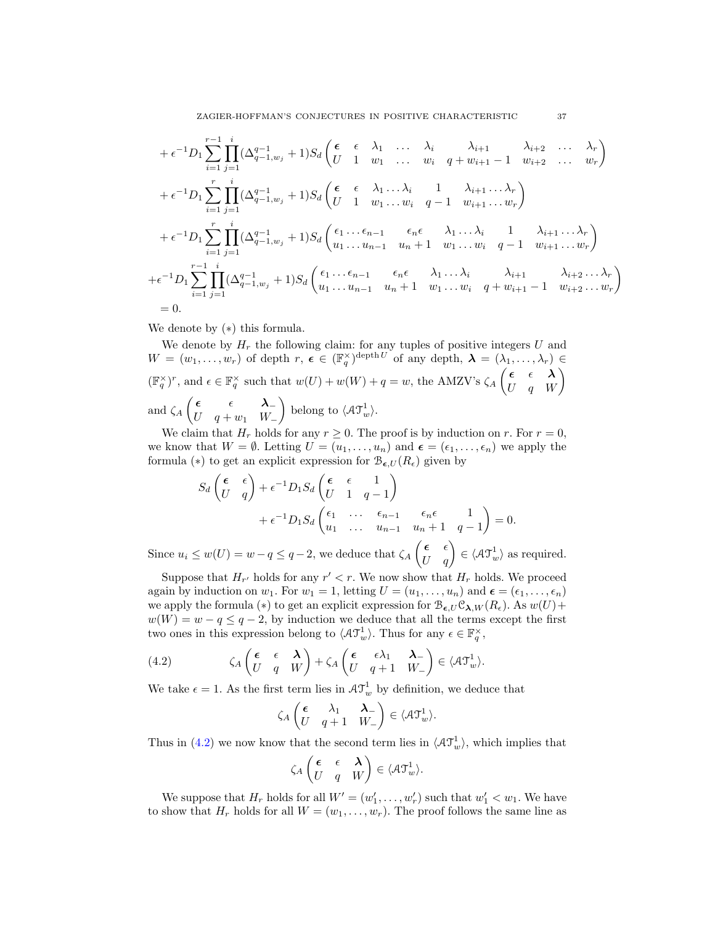ZAGIER-HOFFMAN'S CONJECTURES IN POSITIVE CHARACTERISTIC 37

$$
+ \epsilon^{-1}D_{1} \sum_{i=1}^{r-1} \prod_{j=1}^{i} (\Delta_{q-1,w_{j}}^{q-1} + 1)S_{d} \begin{pmatrix} \epsilon & \epsilon & \lambda_{1} & \dots & \lambda_{i} & \lambda_{i+1} & \lambda_{i+2} & \dots & \lambda_{r} \\ U & 1 & w_{1} & \dots & w_{i} & q + w_{i+1} - 1 & w_{i+2} & \dots & w_{r} \end{pmatrix}
$$
  
\n
$$
+ \epsilon^{-1}D_{1} \sum_{i=1}^{r} \prod_{j=1}^{i} (\Delta_{q-1,w_{j}}^{q-1} + 1)S_{d} \begin{pmatrix} \epsilon & \epsilon & \lambda_{1} & \dots & \lambda_{i} & 1 & \lambda_{i+1} & \dots & \lambda_{r} \\ U & 1 & w_{1} & \dots & w_{i} & q - 1 & w_{i+1} & \dots & w_{r} \end{pmatrix}
$$
  
\n
$$
+ \epsilon^{-1}D_{1} \sum_{i=1}^{r} \prod_{j=1}^{i} (\Delta_{q-1,w_{j}}^{q-1} + 1)S_{d} \begin{pmatrix} \epsilon_{1} & \dots & \epsilon_{n-1} & \epsilon_{n} \epsilon & \lambda_{1} & \dots & \lambda_{i} & 1 & \lambda_{i+1} & \dots & \lambda_{r} \\ u_{1} & \dots & u_{n-1} & u_{n} + 1 & w_{1} & \dots & w_{i} & q - 1 & w_{i+1} & \dots & w_{r} \end{pmatrix}
$$
  
\n
$$
+ \epsilon^{-1}D_{1} \sum_{i=1}^{r-1} \prod_{j=1}^{i} (\Delta_{q-1,w_{j}}^{q-1} + 1)S_{d} \begin{pmatrix} \epsilon_{1} & \dots & \epsilon_{n-1} & \epsilon_{n} \epsilon & \lambda_{1} & \dots & \lambda_{i} & \lambda_{i+1} & \lambda_{i+2} & \dots & \lambda_{r} \\ u_{1} & \dots & u_{n-1} & u_{n} + 1 & w_{1} & \dots & w_{i} & q + w_{i+1} - 1 & w_{i+2} & \dots & w_{r} \end{pmatrix}
$$
  
\n= 0.

We denote by (∗) this formula.

We denote by  $H_r$  the following claim: for any tuples of positive integers U and  $W = (w_1, \ldots, w_r)$  of depth  $r, \epsilon \in (\mathbb{F}_q^{\times})^{\mathrm{depth} U}$  of any depth,  $\lambda = (\lambda_1, \ldots, \lambda_r) \in$  $(\mathbb{F}_q^{\times})^r,$  and  $\epsilon \in \mathbb{F}_q^{\times}$  such that  $w(U) + w(W) + q = w$ , the AMZV's  $\zeta_A$  $\begin{pmatrix} \epsilon & \epsilon & \pmb{\lambda} \\ U & q & W \end{pmatrix}$ and  $\zeta_A$  $\int \epsilon$   $\epsilon$   $\lambda$ <sub>−</sub>  $U \t q + w_1 W$ <sub>-</sub> ) belong to  $\langle \mathcal{AT}^1_w \rangle$ .

We claim that  $H_r$  holds for any  $r \geq 0$ . The proof is by induction on r. For  $r = 0$ , we know that  $W = \emptyset$ . Letting  $U = (u_1, \ldots, u_n)$  and  $\boldsymbol{\epsilon} = (\epsilon_1, \ldots, \epsilon_n)$  we apply the formula (\*) to get an explicit expression for  $\mathcal{B}_{\epsilon,U}(R_{\epsilon})$  given by

$$
S_d \begin{pmatrix} \epsilon & \epsilon \\ U & q \end{pmatrix} + \epsilon^{-1} D_1 S_d \begin{pmatrix} \epsilon & \epsilon & 1 \\ U & 1 & q - 1 \end{pmatrix}
$$
  
+  $\epsilon^{-1} D_1 S_d \begin{pmatrix} \epsilon_1 & \dots & \epsilon_{n-1} & \epsilon_n \epsilon & 1 \\ u_1 & \dots & u_{n-1} & u_n + 1 & q - 1 \end{pmatrix} = 0.$ 

Since  $u_i \leq w(U) = w - q \leq q - 2$ , we deduce that  $\zeta_A$  $\begin{pmatrix} \epsilon & \epsilon \\ U & q \end{pmatrix} \in \langle \mathcal{AT}^1_w \rangle$  as required.

Suppose that  $H_{r'}$  holds for any  $r' < r$ . We now show that  $H_r$  holds. We proceed again by induction on  $w_1$ . For  $w_1 = 1$ , letting  $U = (u_1, \ldots, u_n)$  and  $\boldsymbol{\epsilon} = (\epsilon_1, \ldots, \epsilon_n)$ we apply the formula (\*) to get an explicit expression for  $\mathcal{B}_{\epsilon,U} \mathcal{C}_{\lambda,W}(R_{\epsilon})$ . As  $w(U)$ +  $w(W) = w - q \leq q - 2$ , by induction we deduce that all the terms except the first two ones in this expression belong to  $\langle \mathcal{AT}^1_w \rangle$ . Thus for any  $\epsilon \in \mathbb{F}_q^{\times}$ ,

(4.2) 
$$
\zeta_A \begin{pmatrix} \epsilon & \epsilon & \lambda \\ U & q & W \end{pmatrix} + \zeta_A \begin{pmatrix} \epsilon & \epsilon \lambda_1 & \lambda_- \\ U & q+1 & W_- \end{pmatrix} \in \langle A \mathcal{T}_w^1 \rangle.
$$

We take  $\epsilon = 1$ . As the first term lies in  $\mathcal{AT}_{w}^{1}$  by definition, we deduce that

<span id="page-36-0"></span>
$$
\zeta_A\begin{pmatrix} \epsilon & \lambda_1 & \lambda_- \\ U & q+1 & W_- \end{pmatrix} \in \langle \mathcal{AT}^1_w \rangle.
$$

Thus in [\(4.2\)](#page-36-0) we now know that the second term lies in  $\langle \mathcal{AT}^1_w \rangle$ , which implies that

$$
\zeta_A \begin{pmatrix} \epsilon & \epsilon & \lambda \\ U & q & W \end{pmatrix} \in \langle \mathcal{AT}^1_w \rangle.
$$

We suppose that  $H_r$  holds for all  $W' = (w'_1, \ldots, w'_r)$  such that  $w'_1 < w_1$ . We have to show that  $H_r$  holds for all  $W = (w_1, \ldots, w_r)$ . The proof follows the same line as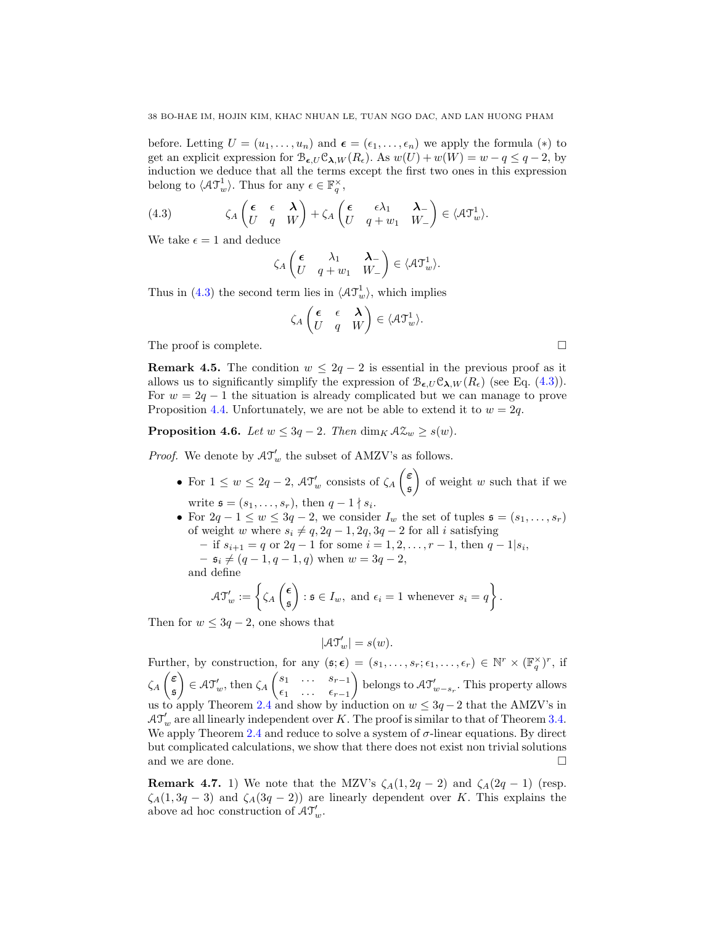before. Letting  $U = (u_1, \ldots, u_n)$  and  $\epsilon = (\epsilon_1, \ldots, \epsilon_n)$  we apply the formula  $(*)$  to get an explicit expression for  $\mathcal{B}_{\epsilon,U} \mathcal{C}_{\lambda,W}(R_{\epsilon})$ . As  $w(U) + w(W) = w - q \leq q - 2$ , by induction we deduce that all the terms except the first two ones in this expression belong to  $\langle \mathcal{AT}_w^1 \rangle$ . Thus for any  $\epsilon \in \mathbb{F}_q^{\times}$ ,

(4.3) 
$$
\zeta_A \begin{pmatrix} \epsilon & \epsilon & \lambda \\ U & q & W \end{pmatrix} + \zeta_A \begin{pmatrix} \epsilon & \epsilon \lambda_1 & \lambda_- \\ U & q + w_1 & W_- \end{pmatrix} \in \langle A \mathcal{T}_w^1 \rangle.
$$

We take  $\epsilon = 1$  and deduce

<span id="page-37-0"></span>
$$
\zeta_A \begin{pmatrix} \epsilon & \lambda_1 & \mathbf{\lambda}_- \\ U & q+w_1 & W_- \end{pmatrix} \in \langle \mathcal{A} \mathfrak{I}_w^1 \rangle.
$$

Thus in [\(4.3\)](#page-37-0) the second term lies in  $\langle \mathcal{AT}^1_w \rangle$ , which implies

$$
\zeta_A \begin{pmatrix} \epsilon & \epsilon & \lambda \\ U & q & W \end{pmatrix} \in \langle \mathcal{AT}^1_w \rangle.
$$

The proof is complete.  $\Box$ 

<span id="page-37-1"></span>**Remark 4.5.** The condition  $w \leq 2q - 2$  is essential in the previous proof as it allows us to significantly simplify the expression of  $\mathcal{B}_{\epsilon,U} \mathcal{C}_{\lambda,W}(R_{\epsilon})$  (see Eq. [\(4.3\)](#page-37-0)). For  $w = 2q - 1$  the situation is already complicated but we can manage to prove Proposition [4.4.](#page-35-2) Unfortunately, we are not be able to extend it to  $w = 2q$ .

**Proposition 4.6.** Let  $w \leq 3q - 2$ . Then  $\dim_K A \mathcal{Z}_w \geq s(w)$ .

*Proof.* We denote by  $A\mathcal{T}'_w$  the subset of AMZV's as follows.

- For  $1 \leq w \leq 2q-2$ ,  $\mathcal{AT}'_w$  consists of  $\zeta_A$  $\sqrt{\varepsilon}$ s  $\setminus$ of weight  $w$  such that if we write  $\mathfrak{s} = (s_1, \ldots, s_r)$ , then  $q - 1 \nmid s_i$ .
- For  $2q 1 \le w \le 3q 2$ , we consider  $I_w$  the set of tuples  $\mathfrak{s} = (s_1, \ldots, s_r)$ of weight w where  $s_i \neq q$ ,  $2q - 1$ ,  $2q$ ,  $3q - 2$  for all i satisfying  $-$  if  $s_{i+1} = q$  or 2 $q-1$  for some  $i = 1, 2, ..., r-1$ , then  $q-1|s_i$ ,  $\mathfrak{s}_i \neq (q - 1, q - 1, q)$  when  $w = 3q - 2$ ,

and define

$$
\mathcal{AT}'_w := \left\{ \zeta_A \begin{pmatrix} \epsilon \\ \mathfrak{s} \end{pmatrix} : \mathfrak{s} \in I_w, \text{ and } \epsilon_i = 1 \text{ whenever } s_i = q \right\}.
$$

Then for  $w \leq 3q - 2$ , one shows that

$$
|\mathcal{AT}_w'| = s(w).
$$

Further, by construction, for any  $(\mathfrak{s}; \epsilon) = (s_1, \ldots, s_r; \epsilon_1, \ldots, \epsilon_r) \in \mathbb{N}^r \times (\mathbb{F}_q^{\times})^r$ , if  $\zeta_A$  $\sqrt{\varepsilon}$ s  $\Big) \in \mathcal{AT}'_w$ , then  $\zeta_A$  $\begin{pmatrix} s_1 & \ldots & s_{r-1} \end{pmatrix}$  $\epsilon_1$  ...  $\epsilon_{r-1}$ belongs to  $\mathcal{AT}'_{w-s_r}$ . This property allows us to apply Theorem [2.4](#page-20-0) and show by induction on  $w \leq 3q - 2$  that the AMZV's in  $\mathcal{AT}'_w$  are all linearly independent over K. The proof is similar to that of Theorem [3.4.](#page-26-1) We apply Theorem [2.4](#page-20-0) and reduce to solve a system of  $\sigma$ -linear equations. By direct but complicated calculations, we show that there does not exist non trivial solutions and we are done.  $\Box$ 

**Remark 4.7.** 1) We note that the MZV's  $\zeta_A(1, 2q - 2)$  and  $\zeta_A(2q - 1)$  (resp.  $\zeta_A(1, 3q-3)$  and  $\zeta_A(3q-2)$ ) are linearly dependent over K. This explains the above ad hoc construction of  $AT'_{w}$ .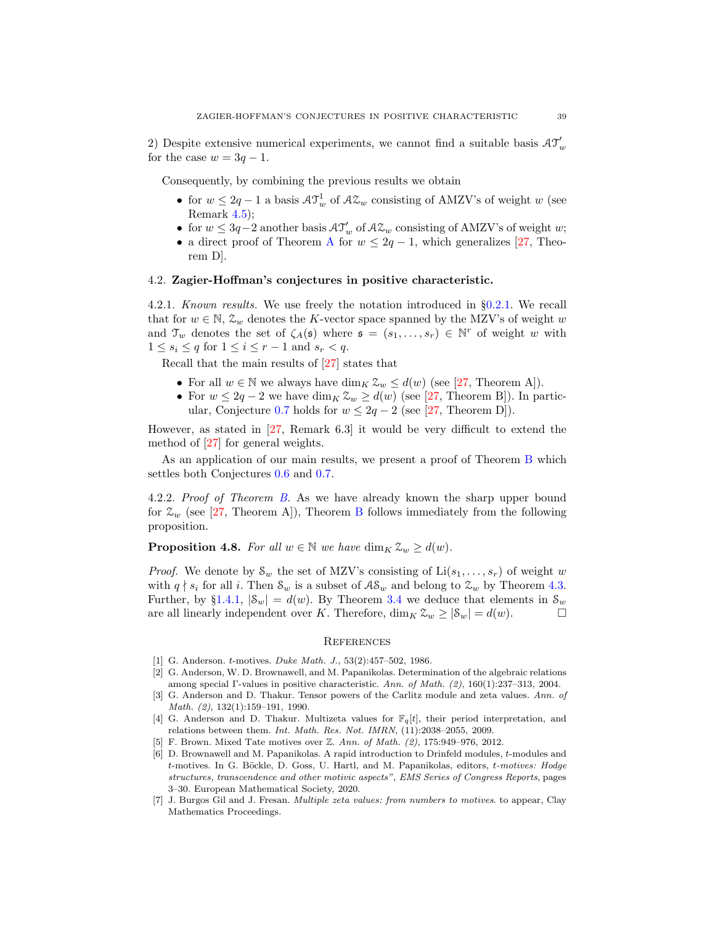2) Despite extensive numerical experiments, we cannot find a suitable basis  $\mathcal{AT}^\prime_w$ for the case  $w = 3q - 1$ .

Consequently, by combining the previous results we obtain

- for  $w \leq 2q 1$  a basis  $AT_w^1$  of  $A\mathcal{Z}_w$  consisting of AMZV's of weight w (see Remark [4.5\)](#page-37-1);
- for  $w \leq 3q-2$  another basis  $\mathcal{AT}'_w$  of  $\mathcal{AZ}_w$  consisting of AMZV's of weight w;
- a direct proof of Theorem [A](#page-3-1) for  $w \leq 2q 1$ , which generalizes [\[27,](#page-39-18) Theorem D].

### <span id="page-38-6"></span>4.2. Zagier-Hoffman's conjectures in positive characteristic.

4.2.1. Known results. We use freely the notation introduced in §[0.2.1.](#page-2-2) We recall that for  $w \in \mathbb{N}$ ,  $\mathcal{Z}_w$  denotes the K-vector space spanned by the MZV's of weight w and  $\mathcal{T}_w$  denotes the set of  $\zeta_A(\mathfrak{s})$  where  $\mathfrak{s} = (s_1, \ldots, s_r) \in \mathbb{N}^r$  of weight w with  $1 \leq s_i \leq q$  for  $1 \leq i \leq r-1$  and  $s_r < q$ .

Recall that the main results of [\[27\]](#page-39-18) states that

- For all  $w \in \mathbb{N}$  we always have  $\dim_K \mathcal{Z}_w \leq d(w)$  (see [\[27,](#page-39-18) Theorem A]).
- For  $w \leq 2q 2$  we have  $\dim_K \mathcal{Z}_w \geq d(w)$  (see [\[27,](#page-39-18) Theorem B]). In partic-ular, Conjecture [0.7](#page-3-0) holds for  $w \leq 2q - 2$  (see [\[27,](#page-39-18) Theorem D]).

However, as stated in [\[27,](#page-39-18) Remark 6.3] it would be very difficult to extend the method of [\[27\]](#page-39-18) for general weights.

As an application of our main results, we present a proof of Theorem [B](#page-4-0) which settles both Conjectures [0.6](#page-2-1) and [0.7.](#page-3-0)

4.2.2. Proof of Theorem [B.](#page-4-0) As we have already known the sharp upper bound for  $\mathcal{Z}_w$  (see [\[27,](#page-39-18) Theorem A]), Theorem [B](#page-4-0) follows immediately from the following proposition.

**Proposition 4.8.** For all  $w \in \mathbb{N}$  we have  $\dim_K \mathcal{Z}_w \geq d(w)$ .

*Proof.* We denote by  $S_w$  the set of MZV's consisting of  $Li(s_1, \ldots, s_r)$  of weight w with  $q \nmid s_i$  for all i. Then  $\mathcal{S}_w$  is a subset of  $\mathcal{AS}_w$  and belong to  $\mathcal{Z}_w$  by Theorem [4.3.](#page-35-1) Further, by §[1.4.1,](#page-15-2)  $|\mathcal{S}_w| = d(w)$ . By Theorem [3.4](#page-26-1) we deduce that elements in  $\mathcal{S}_w$ are all linearly independent over K. Therefore,  $\dim_K \mathcal{Z}_w \geq |\mathcal{S}_w| = d(w)$ .

## <span id="page-38-0"></span>**REFERENCES**

- <span id="page-38-8"></span><span id="page-38-5"></span>[1] G. Anderson. t-motives. *Duke Math. J.*, 53(2):457–502, 1986.
- [2] G. Anderson, W. D. Brownawell, and M. Papanikolas. Determination of the algebraic relations among special Γ-values in positive characteristic. *Ann. of Math. (2)*, 160(1):237–313, 2004.
- <span id="page-38-3"></span>[3] G. Anderson and D. Thakur. Tensor powers of the Carlitz module and zeta values. *Ann. of Math. (2)*, 132(1):159–191, 1990.
- <span id="page-38-4"></span>[4] G. Anderson and D. Thakur. Multizeta values for  $\mathbb{F}_q[t]$ , their period interpretation, and relations between them. *Int. Math. Res. Not. IMRN*, (11):2038–2055, 2009.
- <span id="page-38-7"></span><span id="page-38-2"></span>[5] F. Brown. Mixed Tate motives over Z. *Ann. of Math. (2)*, 175:949–976, 2012.
- [6] D. Brownawell and M. Papanikolas. A rapid introduction to Drinfeld modules, t-modules and t-motives. In G. Böckle, D. Goss, U. Hartl, and M. Papanikolas, editors, t-motives: Hodge *structures, transcendence and other motivic aspects", EMS Series of Congress Reports*, pages 3–30. European Mathematical Society, 2020.
- <span id="page-38-1"></span>[7] J. Burgos Gil and J. Fresan. *Multiple zeta values: from numbers to motives*. to appear, Clay Mathematics Proceedings.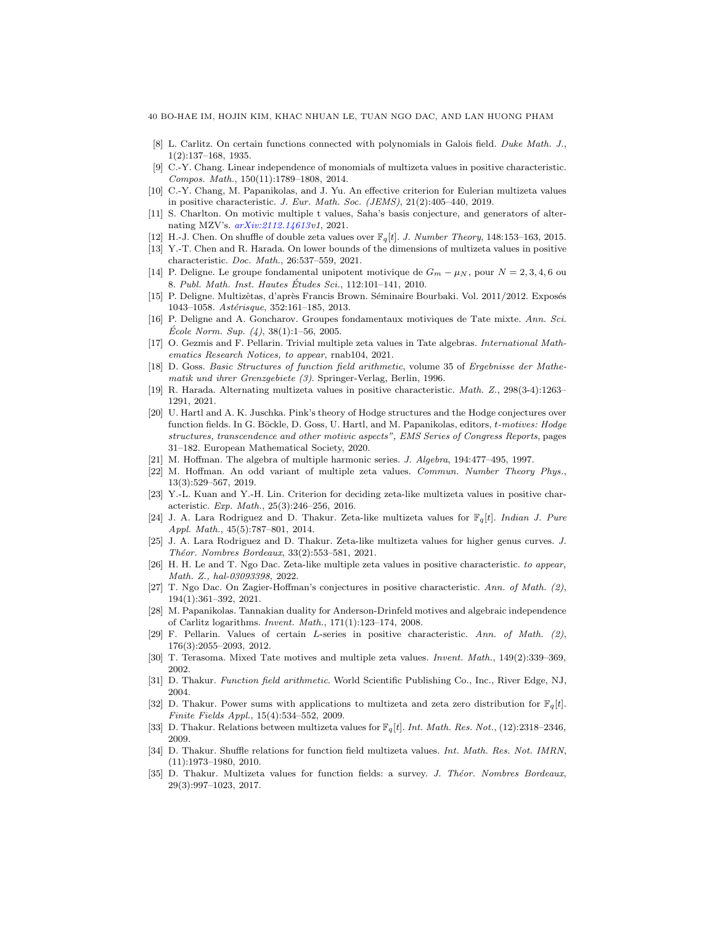<span id="page-39-8"></span>40 BO-HAE IM, HOJIN KIM, KHAC NHUAN LE, TUAN NGO DAC, AND LAN HUONG PHAM

- <span id="page-39-19"></span>[8] L. Carlitz. On certain functions connected with polynomials in Galois field. *Duke Math. J.*, 1(2):137–168, 1935.
- [9] C.-Y. Chang. Linear independence of monomials of multizeta values in positive characteristic. *Compos. Math.*, 150(11):1789–1808, 2014.
- <span id="page-39-21"></span>[10] C.-Y. Chang, M. Papanikolas, and J. Yu. An effective criterion for Eulerian multizeta values in positive characteristic. *J. Eur. Math. Soc. (JEMS)*, 21(2):405–440, 2019.
- <span id="page-39-7"></span>[11] S. Charlton. On motivic multiple t values, Saha's basis conjecture, and generators of alternating MZV's. *[arXiv:2112.14613v](http://arxiv.org/abs/2112.14613)1*, 2021.
- <span id="page-39-26"></span><span id="page-39-22"></span>[12] H.-J. Chen. On shuffle of double zeta values over  $\mathbb{F}_q[t]$ . *J. Number Theory*, 148:153–163, 2015.
- [13] Y.-T. Chen and R. Harada. On lower bounds of the dimensions of multizeta values in positive characteristic. *Doc. Math.*, 26:537–559, 2021.
- <span id="page-39-6"></span>[14] P. Deligne. Le groupe fondamental unipotent motivique de  $G_m - \mu_N$ , pour  $N = 2, 3, 4, 6$  ou 8. *Publ. Math. Inst. Hautes Etudes Sci. ´* , 112:101–141, 2010.
- <span id="page-39-3"></span>[15] P. Deligne. Multizêtas, d'après Francis Brown. Séminaire Bourbaki. Vol. 2011/2012. Exposés 1043–1058. *Ast´erisque*, 352:161–185, 2013.
- <span id="page-39-2"></span>[16] P. Deligne and A. Goncharov. Groupes fondamentaux motiviques de Tate mixte. *Ann. Sci. Ecole Norm. Sup. (4) ´* , 38(1):1–56, 2005.
- <span id="page-39-11"></span>[17] O. Gezmis and F. Pellarin. Trivial multiple zeta values in Tate algebras. *International Mathematics Research Notices, to appear*, rnab104, 2021.
- <span id="page-39-24"></span>[18] D. Goss. *Basic Structures of function field arithmetic*, volume 35 of *Ergebnisse der Mathematik und ihrer Grenzgebiete (3)*. Springer-Verlag, Berlin, 1996.
- <span id="page-39-4"></span>[19] R. Harada. Alternating multizeta values in positive characteristic. *Math. Z.*, 298(3-4):1263– 1291, 2021.
- <span id="page-39-20"></span>[20] U. Hartl and A. K. Juschka. Pink's theory of Hodge structures and the Hodge conjectures over function fields. In G. B¨ockle, D. Goss, U. Hartl, and M. Papanikolas, editors, t*-motives: Hodge structures, transcendence and other motivic aspects", EMS Series of Congress Reports*, pages 31–182. European Mathematical Society, 2020.
- <span id="page-39-5"></span><span id="page-39-0"></span>[21] M. Hoffman. The algebra of multiple harmonic series. *J. Algebra*, 194:477–495, 1997.
- [22] M. Hoffman. An odd variant of multiple zeta values. *Commun. Number Theory Phys.*, 13(3):529–567, 2019.
- <span id="page-39-23"></span>[23] Y.-L. Kuan and Y.-H. Lin. Criterion for deciding zeta-like multizeta values in positive characteristic. *Exp. Math.*, 25(3):246–256, 2016.
- <span id="page-39-12"></span>[24] J. A. Lara Rodriguez and D. Thakur. Zeta-like multizeta values for  $\mathbb{F}_q[t]$ . *Indian J. Pure Appl. Math.*, 45(5):787–801, 2014.
- <span id="page-39-13"></span>[25] J. A. Lara Rodriguez and D. Thakur. Zeta-like multizeta values for higher genus curves. *J. Th´eor. Nombres Bordeaux*, 33(2):553–581, 2021.
- [26] H. H. Le and T. Ngo Dac. Zeta-like multiple zeta values in positive characteristic. *to appear, Math. Z., hal-03093398*, 2022.
- <span id="page-39-18"></span>[27] T. Ngo Dac. On Zagier-Hoffman's conjectures in positive characteristic. *Ann. of Math. (2)*, 194(1):361–392, 2021.
- <span id="page-39-25"></span>[28] M. Papanikolas. Tannakian duality for Anderson-Drinfeld motives and algebraic independence of Carlitz logarithms. *Invent. Math.*, 171(1):123–174, 2008.
- <span id="page-39-14"></span>[29] F. Pellarin. Values of certain L-series in positive characteristic. *Ann. of Math. (2)*, 176(3):2055–2093, 2012.
- <span id="page-39-9"></span><span id="page-39-1"></span>[30] T. Terasoma. Mixed Tate motives and multiple zeta values. *Invent. Math.*, 149(2):339–369, 2002.
- <span id="page-39-10"></span>[31] D. Thakur. *Function field arithmetic*. World Scientific Publishing Co., Inc., River Edge, NJ, 2004.
- [32] D. Thakur. Power sums with applications to multizeta and zeta zero distribution for  $\mathbb{F}_q[t]$ . *Finite Fields Appl.*, 15(4):534–552, 2009.
- <span id="page-39-15"></span>[33] D. Thakur. Relations between multizeta values for  $\mathbb{F}_q[t]$ . *Int. Math. Res. Not.*, (12):2318–2346, 2009.
- <span id="page-39-16"></span>[34] D. Thakur. Shuffle relations for function field multizeta values. *Int. Math. Res. Not. IMRN*, (11):1973–1980, 2010.
- <span id="page-39-17"></span>[35] D. Thakur. Multizeta values for function fields: a survey. *J. Théor. Nombres Bordeaux*, 29(3):997–1023, 2017.